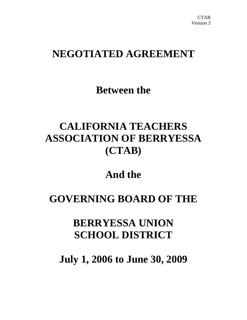# **NEGOTIATED AGREEMENT**

**Between the** 

# **CALIFORNIA TEACHERS ASSOCIATION OF BERRYESSA (CTAB)**

# **And the**

# **GOVERNING BOARD OF THE**

# **BERRYESSA UNION SCHOOL DISTRICT**

**July 1, 2006 to June 30, 2009**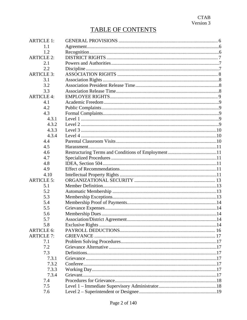| <b>ARTICLE 1:</b> |  |
|-------------------|--|
| 1.1               |  |
| 1.2               |  |
| <b>ARTICLE 2:</b> |  |
| 2.1               |  |
| 2.2               |  |
| <b>ARTICLE 3:</b> |  |
| 3.1               |  |
| 3.2               |  |
| 3.3               |  |
| <b>ARTICLE 4:</b> |  |
| 4.1               |  |
| 4.2               |  |
| 4.3               |  |
| 4.3.1             |  |
| 4.3.2             |  |
| 4.3.3             |  |
| 4.3.4             |  |
| 4.4               |  |
| 4.5               |  |
| 4.6               |  |
| 4.7               |  |
|                   |  |
| 4.8<br>4.9        |  |
|                   |  |
| 4.10              |  |
| <b>ARTICLE 5:</b> |  |
| 5.1               |  |
| 5.2               |  |
| 5.3               |  |
| 5.4               |  |
| 5.5               |  |
| 5.6               |  |
| 5.7               |  |
| 5.8               |  |
| <b>ARTICLE 6:</b> |  |
| <b>ARTICLE 7:</b> |  |
| 7.1               |  |
| 7.2               |  |
| 7.3               |  |
| 7.3.1             |  |
| 7.3.2             |  |
| 7.3.3             |  |
| 7.3.4             |  |
| 7.4               |  |
| 7.5               |  |
| 7.6               |  |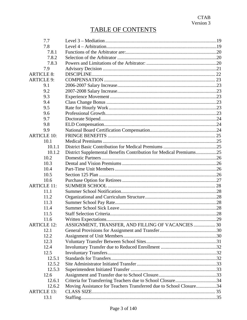| 7.7                |                                                                    |  |  |  |
|--------------------|--------------------------------------------------------------------|--|--|--|
| 7.8                |                                                                    |  |  |  |
| 7.8.1              |                                                                    |  |  |  |
| 7.8.2              |                                                                    |  |  |  |
| 7.8.3              |                                                                    |  |  |  |
| 7.9                |                                                                    |  |  |  |
| <b>ARTICLE 8:</b>  |                                                                    |  |  |  |
| <b>ARTICLE 9:</b>  |                                                                    |  |  |  |
| 9.1                |                                                                    |  |  |  |
| 9.2                |                                                                    |  |  |  |
| 9.3                |                                                                    |  |  |  |
| 9.4                |                                                                    |  |  |  |
| 9.5                |                                                                    |  |  |  |
| 9.6                |                                                                    |  |  |  |
| 9.7                |                                                                    |  |  |  |
| 9.8                |                                                                    |  |  |  |
| 9.9                |                                                                    |  |  |  |
| <b>ARTICLE 10:</b> |                                                                    |  |  |  |
| 10.1               |                                                                    |  |  |  |
| 10.1.1             |                                                                    |  |  |  |
| 10.1.2             | District Supplemental Benefits Contribution for Medical Premiums25 |  |  |  |
| 10.2               |                                                                    |  |  |  |
| 10.3               |                                                                    |  |  |  |
| 10.4               |                                                                    |  |  |  |
| 10.5               |                                                                    |  |  |  |
| 10.6               |                                                                    |  |  |  |
| <b>ARTICLE 11:</b> |                                                                    |  |  |  |
| 11.1               |                                                                    |  |  |  |
| 11.2               |                                                                    |  |  |  |
| 11.3               |                                                                    |  |  |  |
| 11.4               |                                                                    |  |  |  |
| 11.5               |                                                                    |  |  |  |
| 11.6               |                                                                    |  |  |  |
| <b>ARTICLE 12:</b> | ASSIGNMENT, TRANSFER, AND FILLING OF VACANCIES 30                  |  |  |  |
| 12.1               |                                                                    |  |  |  |
| 12.2               |                                                                    |  |  |  |
| 12.3               |                                                                    |  |  |  |
| 12.4               |                                                                    |  |  |  |
| 12.5               |                                                                    |  |  |  |
| 12.5.1             |                                                                    |  |  |  |
| 12.5.2             |                                                                    |  |  |  |
| 12.5.3             |                                                                    |  |  |  |
| 12.6               |                                                                    |  |  |  |
| 12.6.1             | Criteria for Transferring Teachers due to School Closure34         |  |  |  |
| 12.6.2             | Moving Assistance for Teachers Transferred due to School Closure34 |  |  |  |
| <b>ARTICLE 13:</b> |                                                                    |  |  |  |
| 13.1               |                                                                    |  |  |  |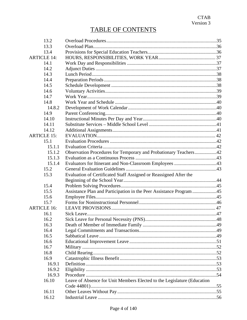| 13.2               |                                                                         |  |  |  |  |
|--------------------|-------------------------------------------------------------------------|--|--|--|--|
| 13.3               |                                                                         |  |  |  |  |
| 13.4               |                                                                         |  |  |  |  |
| <b>ARTICLE 14:</b> |                                                                         |  |  |  |  |
| 14.1               |                                                                         |  |  |  |  |
| 14.2               |                                                                         |  |  |  |  |
| 14.3               |                                                                         |  |  |  |  |
| 14.4               |                                                                         |  |  |  |  |
| 14.5               |                                                                         |  |  |  |  |
| 14.6               |                                                                         |  |  |  |  |
| 14.7               |                                                                         |  |  |  |  |
| 14.8               |                                                                         |  |  |  |  |
| 14.8.2             |                                                                         |  |  |  |  |
| 14.9               |                                                                         |  |  |  |  |
| 14.10              |                                                                         |  |  |  |  |
| 14.11              |                                                                         |  |  |  |  |
| 14.12              |                                                                         |  |  |  |  |
| <b>ARTICLE 15:</b> |                                                                         |  |  |  |  |
| 15.1               |                                                                         |  |  |  |  |
| 15.1.1             |                                                                         |  |  |  |  |
| 15.1.2             | Observation Procedures for Temporary and Probationary Teachers42        |  |  |  |  |
| 15.1.3             |                                                                         |  |  |  |  |
| 15.1.4             |                                                                         |  |  |  |  |
| 15.2               |                                                                         |  |  |  |  |
| 15.3               | Evaluation of Certificated Staff Assigned or Reassigned After the       |  |  |  |  |
|                    |                                                                         |  |  |  |  |
| 15.4               |                                                                         |  |  |  |  |
| 15.5               | Assistance Plan and Participation in the Peer Assistance Program 45     |  |  |  |  |
| 15.6               |                                                                         |  |  |  |  |
| 15.7               |                                                                         |  |  |  |  |
| <b>ARTICLE 16:</b> |                                                                         |  |  |  |  |
| 16.1               |                                                                         |  |  |  |  |
| 16.2               |                                                                         |  |  |  |  |
| 16.3               |                                                                         |  |  |  |  |
| 16.4               |                                                                         |  |  |  |  |
| 16.5               |                                                                         |  |  |  |  |
| 16.6               |                                                                         |  |  |  |  |
| 16.7               |                                                                         |  |  |  |  |
| 16.8               |                                                                         |  |  |  |  |
| 16.9               |                                                                         |  |  |  |  |
| 16.9.1             |                                                                         |  |  |  |  |
| 16.9.2             |                                                                         |  |  |  |  |
| 16.9.3             |                                                                         |  |  |  |  |
| 16.10              | Leave of Absence for Unit Members Elected to the Legislature (Education |  |  |  |  |
|                    |                                                                         |  |  |  |  |
| 16.11              |                                                                         |  |  |  |  |
| 16.12              |                                                                         |  |  |  |  |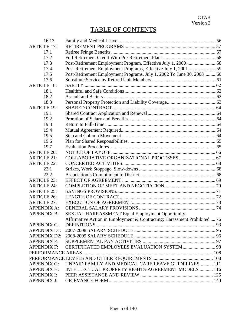| 16.13               |                                                                           |  |
|---------------------|---------------------------------------------------------------------------|--|
| <b>ARTICLE 17:</b>  |                                                                           |  |
| 17.1                |                                                                           |  |
| 17.2                |                                                                           |  |
| 17.3                | Post-Retirement Employment Program, Effective July 1, 200058              |  |
| 17.4                | Post-Retirement Employment Programs, Effective July 1, 2001 59            |  |
| 17.5                | Post-Retirement Employment Programs, July 1, 2002 To June 30, 2008 60     |  |
| 17.6                |                                                                           |  |
| <b>ARTICLE 18:</b>  |                                                                           |  |
| 18.1                |                                                                           |  |
| 18.2                |                                                                           |  |
| 18.3                |                                                                           |  |
| <b>ARTICLE 19:</b>  |                                                                           |  |
| 19.1                |                                                                           |  |
| 19.2                |                                                                           |  |
| 19.3                |                                                                           |  |
| 19.4                |                                                                           |  |
| 19.5                |                                                                           |  |
| 19.6                |                                                                           |  |
| 19.7                |                                                                           |  |
| <b>ARTICLE 20:</b>  |                                                                           |  |
| <b>ARTICLE 21:</b>  |                                                                           |  |
| <b>ARTICLE 22:</b>  |                                                                           |  |
| 22.1                |                                                                           |  |
| 22.2                |                                                                           |  |
| <b>ARTICLE 23:</b>  |                                                                           |  |
| <b>ARTICLE 24:</b>  |                                                                           |  |
| <b>ARTICLE 25:</b>  |                                                                           |  |
| <b>ARTICLE 26:</b>  |                                                                           |  |
| <b>ARTICLE 27:</b>  |                                                                           |  |
| <b>APPENDIX A:</b>  |                                                                           |  |
| <b>APPENDIX B:</b>  | SEXUAL HARRASSMENT Equal Employment Opportunity:                          |  |
|                     | Affirmative Action in Employment & Contracting; Harassment Prohibited  76 |  |
| <b>APPENDIX C:</b>  |                                                                           |  |
| <b>APPENDIX D1:</b> |                                                                           |  |
| <b>APPENDIX D2:</b> |                                                                           |  |
| <b>APPENDIX E:</b>  |                                                                           |  |
| <b>APPENDIX F:</b>  |                                                                           |  |
|                     |                                                                           |  |
|                     |                                                                           |  |
| <b>APPENDIX G:</b>  | UNPAID FAMILY AND MEDICAL CARE LEAVE GUIDELINES 111                       |  |
| <b>APPENDIX H:</b>  | INTELLECTUAL PROPERTY RIGHTS-AGREEMENT MODELS  116                        |  |
| <b>APPENDIX I:</b>  |                                                                           |  |
| <b>APPENDIX J:</b>  |                                                                           |  |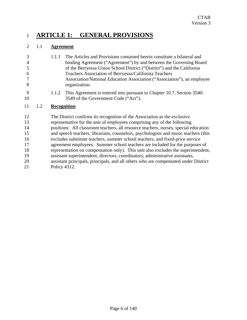# 1 **ARTICLE 1: GENERAL PROVISIONS**

# 2 1.1 **Agreement**

| 3              | 1.1.1 | The Articles and Provisions contained herein constitute a bilateral and    |
|----------------|-------|----------------------------------------------------------------------------|
| $\overline{4}$ |       | binding Agreement ("Agreement") by and between the Governing Board         |
| 5              |       | of the Berryessa Union School District ("District") and the California     |
| 6              |       | Teachers Association of Berryessa/California Teachers                      |
| $\tau$         |       | Association/National Education Association ("Association"), an employee    |
| 8              |       | organization.                                                              |
| $\Omega$       |       | 1.1.2 This Agreement is entered into pursuant to Chapter 10.7 Section 3540 |

9 1.1.2 This Agreement is entered into pursuant to Chapter 10.7, Section 3540- 10 3549 of the Government Code ("Act").

# 11 1.2 **Recognition**

12 The District confirms its recognition of the Association as the exclusive 13 representative for the unit of employees comprising any of the following 14 positions: All classroom teachers, all resource teachers, nurses, special education 15 and speech teachers, librarians, counselors, psychologists and music teachers (this 16 excludes substitute teachers, summer school teachers, and fixed-price service 17 agreement employees. Summer school teachers are included for the purposes of 18 representation on compensation only). This unit also excludes the superintendent, 19 assistant superintendent, directors, coordinators, administrative assistants, 20 assistant principals, principals, and all others who are compensated under District 21 Policy 4312.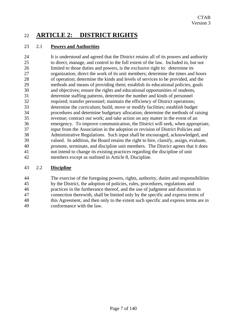# 22 **ARTICLE 2: DISTRICT RIGHTS**

# 23 2.1 **Powers and Authorities**

24 It is understood and agreed that the District retains all of its powers and authority 25 to direct, manage, and control to the full extent of the law. Included in, but not 26 limited to those duties and powers, is the exclusive right to: determine its 27 organization; direct the work of its unit members; determine the times and hours 28 of operation; determine the kinds and levels of services to be provided, and the 29 methods and means of providing them; establish its educational policies, goals 30 and objectives; ensure the rights and educational opportunities of students, 31 determine staffing patterns, determine the number and kinds of personnel 32 required; transfer personnel; maintain the efficiency of District operations; 33 determine the curriculum; build, move or modify facilities; establish budget 34 procedures and determine budgetary allocation; determine the methods of raising 35 revenue; contract out work; and take action on any matter in the event of an 36 emergency. To improve communication, the District will seek, when appropriate, 37 input from the Association in the adoption or revision of District Policies and 38 Administrative Regulations. Such input shall be encouraged, acknowledged, and 39 valued. In addition, the Board retains the right to hire, classify, assign, evaluate, 40 promote, terminate, and discipline unit members. The District agrees that it does 41 not intend to change its existing practices regarding the discipline of unit 42 members except as outlined in Article 8, Discipline.

## 43 2.2 **Discipline**

44 The exercise of the foregoing powers, rights, authority, duties and responsibilities 45 by the District, the adoption of policies, rules, procedures, regulations and 46 practices in the furtherance thereof, and the use of judgment and discretion in 47 connection therewith, shall be limited only by the specific and express terms of 48 this Agreement, and then only to the extent such specific and express terms are in 49 conformance with the law.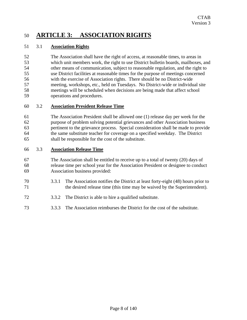# 50 **ARTICLE 3: ASSOCIATION RIGHTS**

## 51 3.1 **Association Rights**

52 The Association shall have the right of access, at reasonable times, to areas in 53 which unit members work, the right to use District bulletin boards, mailboxes, and 54 other means of communication, subject to reasonable regulation, and the right to 55 use District facilities at reasonable times for the purpose of meetings concerned 56 with the exercise of Association rights. There should be no District-wide 57 meeting, workshops, etc., held on Tuesdays. No District-wide or individual site 58 meetings will be scheduled when decisions are being made that affect school 59 operations and procedures.

## 60 3.2 **Association President Release Time**

61 The Association President shall be allowed one (1) release day per week for the 62 purpose of problem solving potential grievances and other Association business 63 pertinent to the grievance process. Special consideration shall be made to provide 64 the same substitute teacher for coverage on a specified weekday. The District 65 shall be responsible for the cost of the substitute.

#### 66 3.3 **Association Release Time**

- 67 The Association shall be entitled to receive up to a total of twenty (20) days of 68 release time per school year for the Association President or designee to conduct 69 Association business provided:
- 70 3.3.1 The Association notifies the District at least forty-eight (48) hours prior to 71 the desired release time (this time may be waived by the Superintendent).
- 72 3.3.2 The District is able to hire a qualified substitute.
- 73 3.3.3 The Association reimburses the District for the cost of the substitute.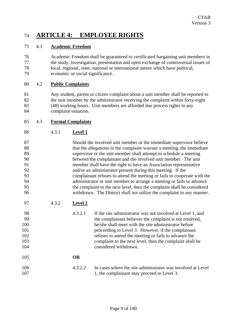# 74 **ARTICLE 4: EMPLOYEE RIGHTS**

# 75 4.1 **Academic Freedom**

76 Academic Freedom shall be guaranteed to certificated bargaining unit members in 77 the study, investigation, presentation and open exchange of controversial issues of 78 local, regional, state, national or international nature which have political, 79 economic or social significance.

## 80 4.2 **Public Complaints**

81 Any student, parent or citizen complaint about a unit member shall be reported to 82 the unit member by the administrator receiving the complaint within forty-eight 83 (48) working hours. Unit members are afforded due process rights in any 84 complaint situation.

# 85 4.3 **Formal Complaints**

86 4.3.1 **Level 1**

| 87 | Should the involved unit member or the immediate supervisor believe      |
|----|--------------------------------------------------------------------------|
| 88 | that the allegations in the complaint warrant a meeting, the immediate   |
| 89 | supervisor or the unit member shall attempt to schedule a meeting        |
| 90 | between the complainant and the involved unit member. The unit           |
| 91 | member shall have the right to have an Association representative        |
| 92 | and/or an administrator present during this meeting. If the              |
| 93 | complainant refuses to attend the meeting or fails to cooperate with the |
| 94 | administrator or unit member to arrange a meeting or fails to advance    |
| 95 | the complaint to the next level, then the complaint shall be considered  |
| 96 | withdrawn. The District shall not utilize the complaint in any manner.   |

97 4.3.2 **Level 2**

| 98  | 4.3.2.1 | If the site administrator was not involved at Level 1, and |
|-----|---------|------------------------------------------------------------|
| -99 |         | the complainant believes the complaint is not resolved,    |
| 100 |         | he/she shall meet with the site administrator before       |
| 101 |         | proceeding to Level 3. However, if the complainant         |
| 102 |         | refuses to attend the meeting or fails to advance the      |
| 103 |         | complaint to the next level, then the complaint shall be   |
| 104 |         | considered withdrawn.                                      |
|     |         |                                                            |

## 105 **OR**

| 106 | 4.3.2.2 | In cases where the site administrator was involved at Level |
|-----|---------|-------------------------------------------------------------|
| 107 |         | 1, the complainant may proceed to Level 3.                  |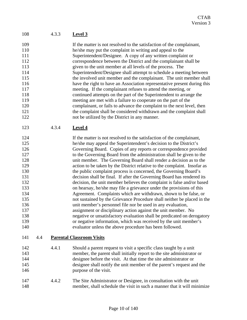# 108 4.3.3 **Level 3**

| 109 | If the matter is not resolved to the satisfaction of the complainant,    |
|-----|--------------------------------------------------------------------------|
| 110 | he/she may put the complaint in writing and appeal to the                |
| 111 | Superintendent/Designee. A copy of any written complaint or              |
| 112 | correspondence between the District and the complainant shall be         |
| 113 | given to the unit member at all levels of the process. The               |
| 114 | Superintendent/Designee shall attempt to schedule a meeting between      |
| 115 | the involved unit member and the complainant. The unit member shall      |
| 116 | have the right to have an Association representative present during this |
| 117 | meeting. If the complainant refuses to attend the meeting, or            |
| 118 | continued attempts on the part of the Superintendent to arrange the      |
| 119 | meeting are met with a failure to cooperate on the part of the           |
| 120 | complainant, or fails to advance the complaint to the next level, then   |
| 121 | the complaint shall be considered withdrawn and the complaint shall      |
| 122 | not be utilized by the District in any manner.                           |
|     |                                                                          |

123 4.3.4 **Level 4**

| 124 | If the matter is not resolved to the satisfaction of the complainant,    |
|-----|--------------------------------------------------------------------------|
| 125 | he/she may appeal the Superintendent's decision to the District's        |
| 126 | Governing Board. Copies of any reports or correspondence provided        |
| 127 | to the Governing Board from the administration shall be given to the     |
| 128 | unit member. The Governing Board shall render a decision as to the       |
| 129 | action to be taken by the District relative to the complaint. Insofar as |
| 130 | the public complaint process is concerned, the Governing Board's         |
| 131 | decision shall be final. If after the Governing Board has rendered its   |
| 132 | decision, the unit member believes the complaint is false and/or based   |
| 133 | on hearsay, he/she may file a grievance under the provisions of this     |
| 134 | Agreement. Complaints which are withdrawn, shown to be false, or         |
| 135 | not sustained by the Grievance Procedure shall neither be placed in the  |
| 136 | unit member's personnel file nor be used in any evaluation,              |
| 137 | assignment or disciplinary action against the unit member. No            |
| 138 | negative or unsatisfactory evaluation shall be predicated on derogatory  |
| 139 | or negative information, which was received by the unit member's         |
| 140 | evaluator unless the above procedure has been followed.                  |

## 141 4.4 **Parental Classroom Visits**

| 142 | 4.4.1 | Should a parent request to visit a specific class taught by a unit     |
|-----|-------|------------------------------------------------------------------------|
| 143 |       | member, the parent shall initially report to the site administrator or |
| 144 |       | designee before the visit. At that time the site administrator or      |
| 145 |       | designee shall notify the unit member of the parent's request and the  |
| 146 |       | purpose of the visit.                                                  |

147 4.4.2 The Site Administrator or Designee, in consultation with the unit 148 member, shall schedule the visit in such a manner that it will minimize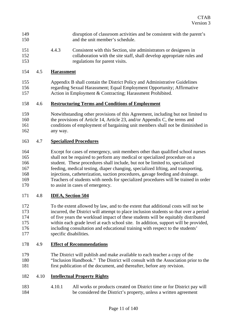- 149 disruption of classroom activities and be consistent with the parent's 150 and the unit member's schedule.
- 151 4.4.3 Consistent with this Section, site administrators or designees in 152 collaboration with the site staff, shall develop appropriate rules and 153 regulations for parent visits.

#### 154 4.5 **Harassment**

155 Appendix B shall contain the District Policy and Administrative Guidelines 156 regarding Sexual Harassment; Equal Employment Opportunity; Affirmative 157 Action in Employment & Contracting; Harassment Prohibited.

## 158 4.6 **Restructuring Terms and Conditions of Employment**

159 Notwithstanding other provisions of this Agreement, including but not limited to 160 the provisions of Article 14, Article 23, and/or Appendix C, the terms and 161 conditions of employment of bargaining unit members shall not be diminished in 162 any way.

## 163 4.7 **Specialized Procedures**

164 Except for cases of emergency, unit members other than qualified school nurses 165 shall not be required to perform any medical or specialized procedure on a 166 student. These procedures shall include, but not be limited to, specialized 167 feeding, medical testing, diaper changing, specialized lifting, and transporting, 168 injections, catheterization, suction procedures, gavage feeding and drainage. 169 Teachers of students with needs for specialized procedures will be trained in order 170 to assist in cases of emergency.

## 171 4.8 **IDEA, Section 504**

172 To the extent allowed by law, and to the extent that additional costs will not be 173 incurred, the District will attempt to place inclusion students so that over a period 174 of five years the workload impact of these students will be equitably distributed 175 within each grade level at each school site. In addition, support will be provided, 176 including consultation and educational training with respect to the students' 177 specific disabilities.

## 178 4.9 **Effect of Recommendations**

- 179 The District will publish and make available to each teacher a copy of the 180 "Inclusion Handbook." The District will consult with the Association prior to the 181 first publication of the document, and thereafter, before any revision.
- 182 4.10 **Intellectual Property Rights**
- 183 4.10.1 All works or products created on District time or for District pay will 184 be considered the District's property, unless a written agreement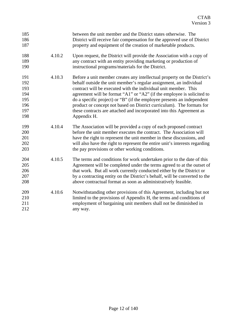| 185<br>186<br>187                                    |        | between the unit member and the District states otherwise. The<br>District will receive fair compensation for the approved use of District<br>property and equipment of the creation of marketable products.                                                                                                                                                                                                                                                                                                                          |
|------------------------------------------------------|--------|---------------------------------------------------------------------------------------------------------------------------------------------------------------------------------------------------------------------------------------------------------------------------------------------------------------------------------------------------------------------------------------------------------------------------------------------------------------------------------------------------------------------------------------|
| 188<br>189<br>190                                    | 4.10.2 | Upon request, the District will provide the Association with a copy of<br>any contract with an entity providing marketing or production of<br>instructional programs/materials for the District.                                                                                                                                                                                                                                                                                                                                      |
| 191<br>192<br>193<br>194<br>195<br>196<br>197<br>198 | 4.10.3 | Before a unit member creates any intellectual property on the District's<br>behalf outside the unit member's regular assignment, an individual<br>contract will be executed with the individual unit member. This<br>agreement will be format "A1" or "A2" (if the employee is solicited to<br>do a specific project) or "B" (if the employee presents an independent<br>product or concept not based on District curriculum). The formats for<br>these contracts are attached and incorporated into this Agreement as<br>Appendix H. |
| 199<br>200<br>201<br>202<br>203                      | 4.10.4 | The Association will be provided a copy of each proposed contract<br>before the unit member executes the contract. The Association will<br>have the right to represent the unit member in these discussions, and<br>will also have the right to represent the entire unit's interests regarding<br>the pay provisions or other working conditions.                                                                                                                                                                                    |
| 204<br>205<br>206<br>207<br>208                      | 4.10.5 | The terms and conditions for work undertaken prior to the date of this<br>Agreement will be completed under the terms agreed to at the outset of<br>that work. But all work currently conducted either by the District or<br>by a contracting entity on the District's behalf, will be converted to the<br>above contractual format as soon as administratively feasible.                                                                                                                                                             |
| 209<br>210<br>211<br>212                             | 4.10.6 | Notwithstanding other provisions of this Agreement, including but not<br>limited to the provisions of Appendix H, the terms and conditions of<br>employment of bargaining unit members shall not be diminished in<br>any way.                                                                                                                                                                                                                                                                                                         |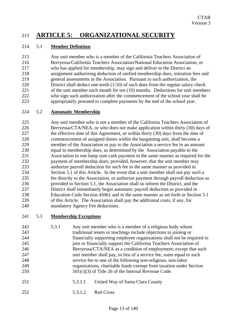# 213 **ARTICLE 5: ORGANIZATIONAL SECURITY**

# 214 5.1 **Member Definition**

215 Any unit member who is a member of the California Teachers Association of 216 Berryessa/California Teachers Association/National Education Association, or 217 who has applied for membership, may sign and deliver to the District an 218 assignment authorizing deduction of unified membership dues, initiation fees and 219 general assessments in the Association. Pursuant to such authorization, the 220 District shall deduct one-tenth (1/10) of such dues from the regular salary check 221 of the unit member each month for ten (10) months. Deductions for unit members 222 who sign such authorization after the commencement of the school year shall be 223 appropriately prorated to complete payments by the end of the school year.

## 224 5.2 **Automatic Membership**

225 Any unit member who is not a member of the California Teachers Association of 226 Berryessa/CTA/NEA, or who does not make application within thirty (30) days of 227 the effective date of this Agreement, or within thirty (30) days from the date of 228 commencement of assigned duties within the bargaining unit, shall become a 229 member of the Association or pay to the Association a service fee in an amount 230 equal to membership dues, as determined by the Association payable to the 231 Association in one lump sum cash payment in the same manner as required for the 232 payment of membership dues; provided, however, that the unit member may 233 authorize payroll deduction for such fee in the same manner as provided in 234 Section 5.1 of this Article. In the event that a unit member shall not pay such a 235 fee directly to the Association, or authorize payment through payroll deduction as 236 provided in Section 5.1, the Association shall so inform the District, and the 237 District shall immediately begin automatic payroll deduction as provided in 238 Education Code Section 45061 and in the same manner as set forth in Section 5.1 239 of this Article. The Association shall pay the additional costs, if any, for 240 mandatory Agency Fee deductions.

## 241 5.3 **Membership Exceptions**

| 242 | 5.3.1 | Any unit member who is a member of a religious body whose              |
|-----|-------|------------------------------------------------------------------------|
| 243 |       | traditional tenets or teachings include objections to joining or       |
| 244 |       | financially supporting employee organizations shall not be required to |
| 245 |       | join or financially support the California Teachers Association of     |
| 246 |       | Berryessa/CTA/NEA as a condition of employment; except that such       |
| 247 |       | unit member shall pay, in lieu of a service fee, sums equal to such    |
| 248 |       | service fee to one of the following non-religious, non-labor           |
| 249 |       | organizations, charitable funds exempt from taxation under Section     |
| 250 |       | $501(c)(3)$ of Title 26 of the Internal Revenue Code.                  |
| 251 |       | United Way of Santa Clara County<br>5.3.1.1                            |

- 252 5.3.1.2 Red Cross
	- Page 13 of 140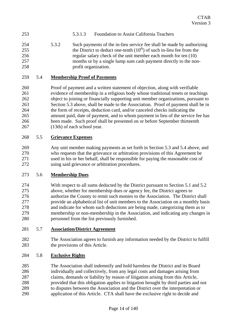# 253 5.3.1.3 Foundation to Assist California Teachers

254 5.3.2 Such payments of the in-lieu service fee shall be made by authorizing 255 the District to deduct one-tenth  $(10<sup>th</sup>)$  of such in-lieu fee from the 256 regular salary check of the unit member each month for ten (10) 257 months or by a single lump sum cash payment directly to the non-258 profit organization.

#### 259 5.4 **Membership Proof of Payments**

260 Proof of payment and a written statement of objection, along with verifiable 261 evidence of membership in a religious body whose traditional tenets or teachings 262 object to joining or financially supporting unit member organizations, pursuant to 263 Section 5.3 above, shall be made to the Association. Proof of payment shall be in 264 the form of receipts, deduction card, and/or canceled checks indicating the 265 amount paid, date of payment, and to whom payment in lieu of the service fee has 266 been made. Such proof shall be presented on or before September thirteenth 267 (13th) of each school year.

#### 268 5.5 **Grievance Expenses**

269 Any unit member making payments as set forth in Section 5.3 and 5.4 above, and 270 who requests that the grievance or arbitration provisions of this Agreement be 271 used in his or her behalf, shall be responsible for paying the reasonable cost of 272 using said grievance or arbitration procedures.

#### 273 5.6 **Membership Dues**

274 With respect to all sums deducted by the District pursuant to Section 5.1 and 5.2 275 above, whether for membership dues or agency fee, the District agrees to 276 authorize the County to remit such monies to the Association. The District shall 277 provide an alphabetical list of unit members to the Association on a monthly basis 278 and indicate for whom such deductions are being made, categorizing them as to 279 membership or non-membership in the Association, and indicating any changes in 280 personnel from the list previously furnished.

#### 281 5.7 **Association/District Agreement**

282 The Association agrees to furnish any information needed by the District to fulfill 283 the provisions of this Article.

## 284 5.8 **Exclusive Rights**

285 The Association shall indemnify and hold harmless the District and its Board 286 individually and collectively, from any legal costs and damages arising from 287 claims, demands or liability by reason of litigation arising from this Article, 288 provided that this obligation applies to litigation brought by third parties and not 289 to disputes between the Association and the District over the interpretation or 290 application of this Article. CTA shall have the exclusive right to decide and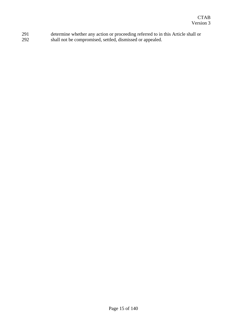291 determine whether any action or proceeding referred to in this Article shall or 292 shall not be compromised, settled, dismissed or appealed.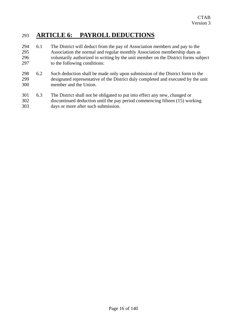# 293 **ARTICLE 6: PAYROLL DEDUCTIONS**

- 294 6.1 The District will deduct from the pay of Association members and pay to the 295 Association the normal and regular monthly Association membership dues as 296 voluntarily authorized in writing by the unit member on the District forms subject 297 to the following conditions:
- 298 6.2 Such deduction shall be made only upon submission of the District form to the 299 designated representative of the District duly completed and executed by the unit 300 member and the Union.
- 301 6.3 The District shall not be obligated to put into effect any new, changed or 302 discontinued deduction until the pay period commencing fifteen (15) working 303 days or more after such submission.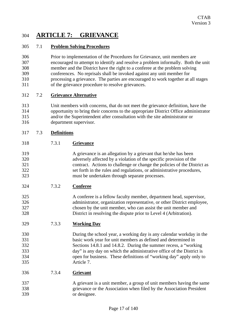# 304 **ARTICLE 7: GRIEVANCE**

# 305 7.1 **Problem Solving Procedures**

306 Prior to implementation of the Procedures for Grievance, unit members are 307 encouraged to attempt to identify and resolve a problem informally. Both the unit 308 member and the District have the right to a conferee at the problem solving 309 conferences. No reprisals shall be invoked against any unit member for 310 processing a grievance. The parties are encouraged to work together at all stages 311 of the grievance procedure to resolve grievances.

## 312 7.2 **Grievance Alternative**

313 Unit members with concerns, that do not meet the grievance definition, have the 314 opportunity to bring their concerns to the appropriate District Office administrator 315 and/or the Superintendent after consultation with the site administrator or 316 department supervisor.

# 317 7.3 **Definitions**

- 318 7.3.1 **Grievance**
- 319 A grievance is an allegation by a grievant that he/she has been 320 adversely affected by a violation of the specific provision of the 321 contract. Actions to challenge or change the policies of the District as 322 set forth in the rules and regulations, or administrative procedures, 323 must be undertaken through separate processes.
- 324 7.3.2 **Conferee**
- 325 A conferee is a fellow faculty member, department head, supervisor, 326 administrator, organization representative, or other District employee, 327 chosen by the unit member, who can assist the unit member and 328 District in resolving the dispute prior to Level 4 (Arbitration).
- 329 7.3.3 **Working Day**
- 330 During the school year, a working day is any calendar workday in the 331 basic work year for unit members as defined and determined in 332 Sections 14.8.1 and 14.8.2. During the summer recess, a "working 333 day" is any day on which the administrative office of the District is 334 open for business. These definitions of "working day" apply only to 335 Article 7.
- 336 7.3.4 **Grievant**
- 337 A grievant is a unit member, a group of unit members having the same 338 grievance or the Association when filed by the Association President 339 or designee.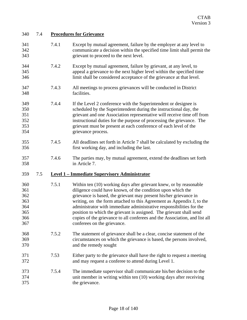| 340                                                  | 7.4 | <b>Procedures for Grievance</b> |                                                                                                                                                                                                                                                                                                                                                                                                                                                                                                                                             |  |
|------------------------------------------------------|-----|---------------------------------|---------------------------------------------------------------------------------------------------------------------------------------------------------------------------------------------------------------------------------------------------------------------------------------------------------------------------------------------------------------------------------------------------------------------------------------------------------------------------------------------------------------------------------------------|--|
| 341<br>342<br>343                                    |     | 7.4.1                           | Except by mutual agreement, failure by the employer at any level to<br>communicate a decision within the specified time limit shall permit the<br>grievant to proceed to the next level.                                                                                                                                                                                                                                                                                                                                                    |  |
| 344<br>345<br>346                                    |     | 7.4.2                           | Except by mutual agreement, failure by grievant, at any level, to<br>appeal a grievance to the next higher level within the specified time<br>limit shall be considered acceptance of the grievance at that level.                                                                                                                                                                                                                                                                                                                          |  |
| 347<br>348                                           |     | 7.4.3                           | All meetings to process grievances will be conducted in District<br>facilities.                                                                                                                                                                                                                                                                                                                                                                                                                                                             |  |
| 349<br>350<br>351<br>352<br>353<br>354               |     | 7.4.4                           | If the Level 2 conference with the Superintendent or designee is<br>scheduled by the Superintendent during the instructional day, the<br>grievant and one Association representative will receive time off from<br>instructional duties for the purpose of processing the grievance. The<br>grievant must be present at each conference of each level of the<br>grievance process.                                                                                                                                                          |  |
| 355<br>356                                           |     | 7.4.5                           | All deadlines set forth in Article 7 shall be calculated by excluding the<br>first working day, and including the last.                                                                                                                                                                                                                                                                                                                                                                                                                     |  |
| 357<br>358                                           |     | 7.4.6                           | The parties may, by mutual agreement, extend the deadlines set forth<br>in Article 7.                                                                                                                                                                                                                                                                                                                                                                                                                                                       |  |
| 359                                                  | 7.5 |                                 | <b>Level 1 - Immediate Supervisory Administrator</b>                                                                                                                                                                                                                                                                                                                                                                                                                                                                                        |  |
| 360<br>361<br>362<br>363<br>364<br>365<br>366<br>367 |     | 7.5.1                           | Within ten (10) working days after grievant knew, or by reasonable<br>diligence could have known, of the condition upon which the<br>grievance is based, the grievant may present his/her grievance in<br>writing, on the form attached to this Agreement as Appendix J, to the<br>administrator with immediate administrative responsibilities for the<br>position to which the grievant is assigned. The grievant shall send<br>copies of the grievance to all conferees and the Association, and list all<br>conferees on the grievance. |  |
| 368<br>369<br>370                                    |     | 7.5.2                           | The statement of grievance shall be a clear, concise statement of the<br>circumstances on which the grievance is based, the persons involved,<br>and the remedy sought                                                                                                                                                                                                                                                                                                                                                                      |  |
| 371<br>372                                           |     | 7.53                            | Either party to the grievance shall have the right to request a meeting<br>and may request a conferee to attend during Level 1.                                                                                                                                                                                                                                                                                                                                                                                                             |  |
| 373<br>374<br>375                                    |     | 7.5.4                           | The immediate supervisor shall communicate his/her decision to the<br>unit member in writing within ten (10) working days after receiving<br>the grievance.                                                                                                                                                                                                                                                                                                                                                                                 |  |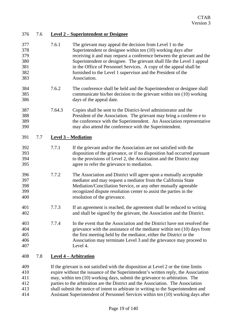| 376                                           | 7.6 |        | <b>Level 2 – Superintendent or Designee</b>                                                                                                                                                                                                                                                                                                                                                                                                                                                                              |
|-----------------------------------------------|-----|--------|--------------------------------------------------------------------------------------------------------------------------------------------------------------------------------------------------------------------------------------------------------------------------------------------------------------------------------------------------------------------------------------------------------------------------------------------------------------------------------------------------------------------------|
| 377<br>378<br>379<br>380<br>381<br>382<br>383 |     | 7.6.1  | The grievant may appeal the decision from Level 1 to the<br>Superintendent or designee within ten (10) working days after<br>receiving it and may request a conference between the grievant and the<br>Superintendent or designee. The grievant shall file the Level 1 appeal<br>in the Office of Personnel Services. A copy of the appeal shall be<br>furnished to the Level 1 supervisor and the President of the<br>Association.                                                                                      |
| 384<br>385<br>386                             |     | 7.6.2  | The conference shall be held and the Superintendent or designee shall<br>communicate his/her decision to the grievant within ten (10) working<br>days of the appeal date.                                                                                                                                                                                                                                                                                                                                                |
| 387<br>388<br>389<br>390                      |     | 7.64.3 | Copies shall be sent to the District-level administrator and the<br>President of the Association. The grievant may bring a conferee e to<br>the conference with the Superintendent. An Association representative<br>may also attend the conference with the Superintendent.                                                                                                                                                                                                                                             |
| 391                                           | 7.7 |        | <b>Level 3 – Mediation</b>                                                                                                                                                                                                                                                                                                                                                                                                                                                                                               |
| 392<br>393<br>394<br>395                      |     | 7.7.1  | If the grievant and/or the Association are not satisfied with the<br>disposition of the grievance, or if no disposition had occurred pursuant<br>to the provisions of Level 2, the Association and the District may<br>agree to refer the grievance to mediation.                                                                                                                                                                                                                                                        |
| 396<br>397<br>398<br>399<br>400               |     | 7.7.2  | The Association and District will agree upon a mutually acceptable<br>mediator and may request a mediator from the California State<br>Mediation/Conciliation Service, or any other mutually agreeable<br>recognized dispute resolution center to assist the parties in the<br>resolution of the grievance.                                                                                                                                                                                                              |
| 401<br>402                                    |     | 7.7.3  | If an agreement is reached, the agreement shall be reduced to writing<br>and shall be signed by the grievant, the Association and the District.                                                                                                                                                                                                                                                                                                                                                                          |
| 403<br>404<br>405<br>406<br>407               |     | 7.7.4  | In the event that the Association and the District have not resolved the<br>grievance with the assistance of the mediator within ten (10) days from<br>the first meeting held by the mediator, either the District or the<br>Association may terminate Level 3 and the grievance may proceed to<br>Level 4.                                                                                                                                                                                                              |
| 408                                           | 7.8 |        | <b>Level 4 - Arbitration</b>                                                                                                                                                                                                                                                                                                                                                                                                                                                                                             |
| 409<br>410<br>411<br>412<br>413<br>414        |     |        | If the grievant is not satisfied with the disposition at Level 2 or the time limits<br>expire without the issuance of the Superintendent's written reply, the Association<br>may, within ten (10) working days, submit the grievance to arbitration. The<br>parties to the arbitration are the District and the Association. The Association<br>shall submit the notice of intent to arbitrate in writing to the Superintendent and<br>Assistant Superintendent of Personnel Services within ten (10) working days after |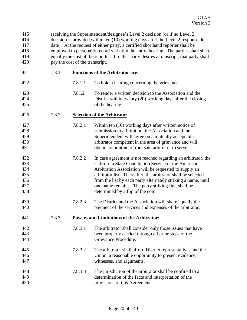| 415<br>416<br>417<br>418<br>419<br>420        |       | receiving the Superintendent/designee's Level 2 decision (or if no Level 2<br>decision is provided within ten (10) working days after the Level 2 response due<br>date). At the request of either party, a certified shorthand reporter shall be<br>employed to personally record verbatim the entire hearing. The parties shall share<br>equally the cost of the reporter. If either party desires a transcript, that party shall<br>pay the cost of the transcript. |                                                                                                                                                                                                                                                                                                                                                                                                                 |  |
|-----------------------------------------------|-------|-----------------------------------------------------------------------------------------------------------------------------------------------------------------------------------------------------------------------------------------------------------------------------------------------------------------------------------------------------------------------------------------------------------------------------------------------------------------------|-----------------------------------------------------------------------------------------------------------------------------------------------------------------------------------------------------------------------------------------------------------------------------------------------------------------------------------------------------------------------------------------------------------------|--|
| 421                                           | 7.8.1 |                                                                                                                                                                                                                                                                                                                                                                                                                                                                       | <b>Functions of the Arbitrator are:</b>                                                                                                                                                                                                                                                                                                                                                                         |  |
| 422                                           |       | 7.8.1.1                                                                                                                                                                                                                                                                                                                                                                                                                                                               | To hold a hearing concerning the grievance.                                                                                                                                                                                                                                                                                                                                                                     |  |
| 423<br>424<br>425                             |       | 7.81.2                                                                                                                                                                                                                                                                                                                                                                                                                                                                | To render a written decision to the Association and the<br>District within twenty (20) working days after the closing<br>of the hearing.                                                                                                                                                                                                                                                                        |  |
| 426                                           | 7.8.2 |                                                                                                                                                                                                                                                                                                                                                                                                                                                                       | <b>Selection of the Arbitrator</b>                                                                                                                                                                                                                                                                                                                                                                              |  |
| 427<br>428<br>429<br>430<br>431               |       | 7.8.2.1                                                                                                                                                                                                                                                                                                                                                                                                                                                               | Within ten (10) working days after written notice of<br>submission to arbitration, the Association and the<br>Superintendent will agree on a mutually acceptable<br>arbitrator competent in the area of grievance and will<br>obtain commitment from said arbitrator to serve.                                                                                                                                  |  |
| 432<br>433<br>434<br>435<br>436<br>437<br>438 |       | 7.8.2.2                                                                                                                                                                                                                                                                                                                                                                                                                                                               | In case agreement is not reached regarding an arbitrator, the<br>California State Conciliation Service or the American<br>Arbitration Association will be requested to supply an<br>arbitrator list. Thereafter, the arbitrator shall be selected<br>from the list by each party alternately striking a name, until<br>one name remains. The party striking first shall be<br>determined by a flip of the coin. |  |
| 439<br>440                                    |       | 7.8.2.3                                                                                                                                                                                                                                                                                                                                                                                                                                                               | The District and the Association will share equally the<br>payment of the services and expenses of the arbitrator.                                                                                                                                                                                                                                                                                              |  |
| 441                                           | 7.8.3 |                                                                                                                                                                                                                                                                                                                                                                                                                                                                       | <b>Powers and Limitations of the Arbitrator:</b>                                                                                                                                                                                                                                                                                                                                                                |  |
| 442<br>443<br>444                             |       | 7.8.3.1                                                                                                                                                                                                                                                                                                                                                                                                                                                               | The arbitrator shall consider only those issues that have<br>been properly carried through all prior steps of the<br>Grievance Procedure.                                                                                                                                                                                                                                                                       |  |
| 445<br>446<br>447                             |       | 7.8.3.2                                                                                                                                                                                                                                                                                                                                                                                                                                                               | The arbitrator shall afford District representatives and the<br>Union, a reasonable opportunity to present evidence,<br>witnesses, and arguments.                                                                                                                                                                                                                                                               |  |
| 448<br>449<br>450                             |       | 7.8.3.3                                                                                                                                                                                                                                                                                                                                                                                                                                                               | The jurisdiction of the arbitrator shall be confined to a<br>determination of the facts and interpretation of the<br>provisions of this Agreement.                                                                                                                                                                                                                                                              |  |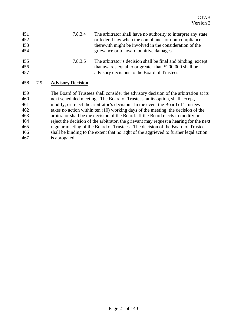| 451<br>452<br>453<br>454 |     | 7.8.3.4                  | The arbitrator shall have no authority to interpret any state<br>or federal law when the compliance or non-compliance<br>there with might be involved in the consideration of the<br>grievance or to award punitive damages. |
|--------------------------|-----|--------------------------|------------------------------------------------------------------------------------------------------------------------------------------------------------------------------------------------------------------------------|
| 455<br>456<br>457        |     | 7.8.3.5                  | The arbitrator's decision shall be final and binding, except<br>that awards equal to or greater than \$200,000 shall be<br>advisory decisions to the Board of Trustees.                                                      |
| 458                      | 7.9 | <b>Advisory Decision</b> |                                                                                                                                                                                                                              |
| 459<br>460               |     |                          | The Board of Trustees shall consider the advisory decision of the arbitration at its<br>next scheduled meeting. The Board of Trustees, at its option, shall accept,                                                          |
| 461                      |     |                          | modify, or reject the arbitrator's decision. In the event the Board of Trustees                                                                                                                                              |
| 462                      |     |                          | takes no action within ten (10) working days of the meeting, the decision of the                                                                                                                                             |
| 463                      |     |                          | arbitrator shall be the decision of the Board. If the Board elects to modify or                                                                                                                                              |
| 464                      |     |                          | reject the decision of the arbitrator, the grievant may request a hearing for the next                                                                                                                                       |
| 465                      |     |                          | regular meeting of the Board of Trustees. The decision of the Board of Trustees                                                                                                                                              |

466 shall be binding to the extent that no right of the aggrieved to further legal action 467 is abrogated.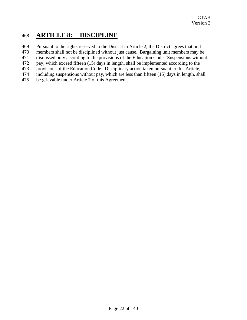# 468 **ARTICLE 8: DISCIPLINE**

- 469 Pursuant to the rights reserved to the District in Article 2, the District agrees that unit
- 470 members shall not be disciplined without just cause. Bargaining unit members may be
- 471 dismissed only according to the provisions of the Education Code. Suspensions without
- 472 pay, which exceed fifteen (15) days in length, shall be implemented according to the
- 473 provisions of the Education Code. Disciplinary action taken pursuant to this Article,
- 474 including suspensions without pay, which are less than fifteen (15) days in length, shall
- 475 be grievable under Article 7 of this Agreement.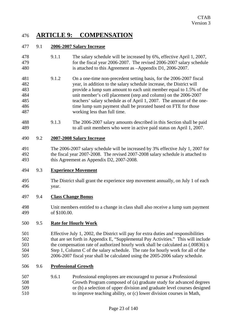# 476 **ARTICLE 9: COMPENSATION**

# 477 9.1 **2006-2007 Salary Increase**

- 478 9.1.1 The salary schedule will be increased by 6%, effective April 1, 2007, 479 for the fiscal year 2006-2007. The revised 2006-2007 salary schedule 480 is attached to this Agreement as –Appendix D1, 2006-2007.
- 481 9.1.2 On a one-time non-precedent setting basis, for the 2006-2007 fiscal 482 year, in addition to the salary schedule increase, the District will 483 provide a lump sum amount to each unit member equal to 1.5% of the 484 unit member's cell placement (step and column) on the 2006-2007 485 teachers' salary schedule as of April 1, 2007. The amount of the one-486 time lump sum payment shall be prorated based on FTE for those 487 working less than full time.
- 488 9.1.3 The 2006-2007 salary amounts described in this Section shall be paid 489 to all unit members who were in active paid status on April 1, 2007.

## 490 9.2 **2007-2008 Salary Increase**

491 The 2006-2007 salary schedule will be increased by 3% effective July 1, 2007 for 492 the fiscal year 2007-2008. The revised 2007-2008 salary schedule is attached to 493 this Agreement as Appendix D2, 2007-2008.

## 494 9.3 **Experience Movement**

- 495 The District shall grant the experience step movement annually, on July 1 of each 496 year.
- 497 9.4 **Class Change Bonus**
- 498 Unit members entitled to a change in class shall also receive a lump sum payment 499 of \$100.00.

# 500 9.5 **Rate for Hourly Work**

- 501 Effective July 1, 2002, the District will pay for extra duties and responsibilities 502 that are set forth in Appendix E, "Supplemental Pay Activities." This will include 503 the compensation rate of authorized hourly work shall be calculated as (.00836) x 504 Step 1, Column C of the salary schedule. The rate for hourly work for all of the 505 2006-2007 fiscal year shall be calculated using the 2005-2006 salary schedule.
- 506 9.6 **Professional Growth**
- 507 9.6.1 Professional employees are encouraged to pursue a Professional 508 Growth Program composed of (a) graduate study for advanced degrees 509 or (b) a selection of upper division and graduate level courses designed 510 to improve teaching ability, or (c) lower division courses in Math,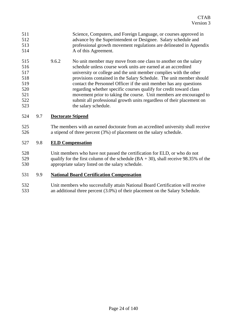- 511 Science, Computers, and Foreign Language, or courses approved in 512 advance by the Superintendent or Designee. Salary schedule and 513 professional growth movement regulations are delineated in Appendix 514 A of this Agreement.
- 515 9.6.2 No unit member may move from one class to another on the salary 516 schedule unless course work units are earned at an accredited 517 university or college and the unit member complies with the other 518 provisions contained in the Salary Schedule. The unit member should 519 contact the Personnel Officer if the unit member has any questions 520 regarding whether specific courses qualify for credit toward class 521 movement prior to taking the course. Unit members are encouraged to 522 submit all professional growth units regardless of their placement on 523 the salary schedule.

## 524 9.7 **Doctorate Stipend**

525 The members with an earned doctorate from an accredited university shall receive 526 a stipend of three percent (3%) of placement on the salary schedule.

# 527 9.8 **ELD Compensation**

528 Unit members who have not passed the certification for ELD, or who do not 529 qualify for the first column of the schedule  $(BA + 30)$ , shall receive 98.35% of the 530 appropriate salary listed on the salary schedule.

## 531 9.9 **National Board Certification Compensation**

532 Unit members who successfully attain National Board Certification will receive 533 an additional three percent (3.0%) of their placement on the Salary Schedule.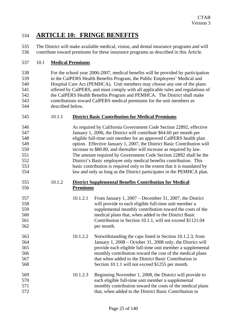# 534 **ARTICLE 10: FRINGE BENEFITS**

535 The District will make available medical, vision, and dental insurance programs and will 536 contribute toward premiums for these insurance programs as described in this Article.

# 537 10.1 **Medical Premiums**

538 For the school year 2006-2007, medical benefits will be provided by participation 539 in the CalPERS Health Benefits Program, the Public Employees' Medical and 540 Hospital Care Act (PEMHCA). Unit members may choose any one of the plans 541 offered by CalPERS, and must comply with all applicable rules and regulations of 542 the CalPERS Health Benefits Program and PEMHCA. The District shall make 543 contributions toward CalPERS medical premiums for the unit members as 544 described below.

| 545<br><b>District Basic Contribution for Medical Premiums</b> |
|----------------------------------------------------------------|
|----------------------------------------------------------------|

546 As required by California Government Code Section 22892, effective 547 January 1, 2006, the District will contribute \$64.60 per month per 548 eligible full-time unit member for an approved CalPERS health plan 549 option. Effective January 1, 2007, the District Basic Contribution will 550 increase to \$80.80, and thereafter will increase as required by law. 551 The amount required by Government Code Section 22892 shall be the 552 District's Basic employee only medical benefits contribution. This 553 basic contribution is required only to the extent that it is mandated by 554 law and only as long as the District participates in the PEMHCA plan.

## 555 10.1.2 **District Supplemental Benefits Contribution for Medical**  556 **Premiums**

- 557 10.1.2.1 From January 1, 2007 December 31, 2007, the District 558 will provide to each eligible full-time unit member a 559 supplemental monthly contribution toward the costs of the 560 medical plans that, when added to the District Basic 561 Contribution in Section 10.1.1, will not exceed \$1121.04 562 per month.
- 563 10.1.2.2 Notwithstanding the caps listed in Section 10.1.2.3, from 564 January 1, 2008 – October 31, 2008 only, the District will 565 provide each eligible full-time unit member a supplemental 566 monthly contribution toward the cost of the medical plans 567 that when added to the District Basic Contribution in 568 Section 10.1.1 will not exceed \$1255 per month.
- 569 10.1.2.3 Beginning November 1, 2008, the District will provide to 570 each eligible full-time unit member a supplemental 571 monthly contribution toward the costs of the medical plans 572 that, when added to the District Basic Contribution in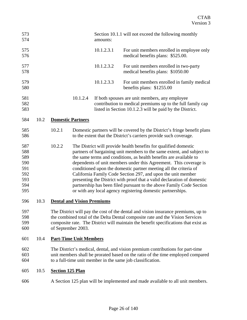| 573<br>574                                                  |      |                                                                                                                                                                                                                                                                                 |          | amounts:   | Section 10.1.1 will not exceed the following monthly                                                                                                                                                                                                                                                                                                                                                                                                                                                                                                                                                                                         |
|-------------------------------------------------------------|------|---------------------------------------------------------------------------------------------------------------------------------------------------------------------------------------------------------------------------------------------------------------------------------|----------|------------|----------------------------------------------------------------------------------------------------------------------------------------------------------------------------------------------------------------------------------------------------------------------------------------------------------------------------------------------------------------------------------------------------------------------------------------------------------------------------------------------------------------------------------------------------------------------------------------------------------------------------------------------|
| 575<br>576                                                  |      |                                                                                                                                                                                                                                                                                 |          | 10.1.2.3.1 | For unit members enrolled in employee only<br>medical benefits plans: \$525.00.                                                                                                                                                                                                                                                                                                                                                                                                                                                                                                                                                              |
| 577<br>578                                                  |      |                                                                                                                                                                                                                                                                                 |          | 10.1.2.3.2 | For unit members enrolled in two-party<br>medical benefits plans: \$1050.00                                                                                                                                                                                                                                                                                                                                                                                                                                                                                                                                                                  |
| 579<br>580                                                  |      |                                                                                                                                                                                                                                                                                 |          | 10.1.2.3.3 | For unit members enrolled in family medical<br>benefits plans: \$1255.00                                                                                                                                                                                                                                                                                                                                                                                                                                                                                                                                                                     |
| 581<br>582<br>583                                           |      |                                                                                                                                                                                                                                                                                 | 10.1.2.4 |            | If both spouses are unit members, any employee<br>contribution to medical premiums up to the full family cap<br>listed in Section 10.1.2.3 will be paid by the District.                                                                                                                                                                                                                                                                                                                                                                                                                                                                     |
| 584                                                         | 10.2 | <b>Domestic Partners</b>                                                                                                                                                                                                                                                        |          |            |                                                                                                                                                                                                                                                                                                                                                                                                                                                                                                                                                                                                                                              |
| 585<br>586                                                  |      | 10.2.1                                                                                                                                                                                                                                                                          |          |            | Domestic partners will be covered by the District's fringe benefit plans<br>to the extent that the District's carriers provide such coverage.                                                                                                                                                                                                                                                                                                                                                                                                                                                                                                |
| 587<br>588<br>589<br>590<br>591<br>592<br>593<br>594<br>595 |      | 10.2.2                                                                                                                                                                                                                                                                          |          |            | The District will provide health benefits for qualified domestic<br>partners of bargaining unit members to the same extent, and subject to<br>the same terms and conditions, as health benefits are available to<br>dependents of unit members under this Agreement. This coverage is<br>conditioned upon the domestic partner meeting all the criteria of<br>California Family Code Section 297, and upon the unit member<br>presenting the District with proof that a valid declaration of domestic<br>partnership has been filed pursuant to the above Family Code Section<br>or with any local agency registering domestic partnerships. |
| 596                                                         | 10.3 | <b>Dental and Vision Premiums</b>                                                                                                                                                                                                                                               |          |            |                                                                                                                                                                                                                                                                                                                                                                                                                                                                                                                                                                                                                                              |
| 597<br>598<br>599<br>600                                    |      | The District will pay the cost of the dental and vision insurance premiums, up to<br>the combined total of the Delta Dental composite rate and the Vision Services<br>composite rate. The District will maintain the benefit specifications that exist as<br>of September 2003. |          |            |                                                                                                                                                                                                                                                                                                                                                                                                                                                                                                                                                                                                                                              |
| 601                                                         | 10.4 | <b>Part-Time Unit Members</b>                                                                                                                                                                                                                                                   |          |            |                                                                                                                                                                                                                                                                                                                                                                                                                                                                                                                                                                                                                                              |
| 602<br>603<br>604                                           |      |                                                                                                                                                                                                                                                                                 |          |            | The District's medical, dental, and vision premium contributions for part-time<br>unit members shall be prorated based on the ratio of the time employed compared<br>to a full-time unit member in the same job classification.                                                                                                                                                                                                                                                                                                                                                                                                              |
| 605                                                         | 10.5 | <b>Section 125 Plan</b>                                                                                                                                                                                                                                                         |          |            |                                                                                                                                                                                                                                                                                                                                                                                                                                                                                                                                                                                                                                              |

606 A Section 125 plan will be implemented and made available to all unit members.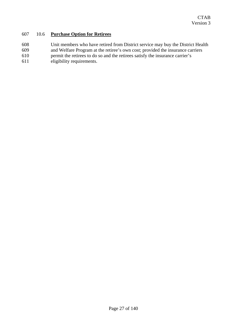# 607 10.6 **Purchase Option for Retirees**

- 608 Unit members who have retired from District service may buy the District Health
- 609 and Welfare Program at the retiree's own cost; provided the insurance carriers
- 610 permit the retirees to do so and the retirees satisfy the insurance carrier's
- 611 eligibility requirements.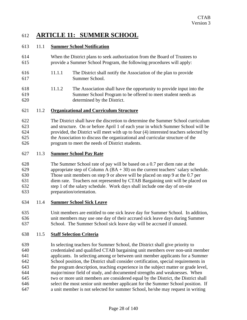# 612 **ARTICLE 11: SUMMER SCHOOL**

# 613 11.1 **Summer School Notification**

- 614 When the District plans to seek authorization from the Board of Trustees to 615 provide a Summer School Program, the following procedures will apply:
- 616 11.1.1 The District shall notify the Association of the plan to provide 617 Summer School.
- 618 11.1.2 The Association shall have the opportunity to provide input into the 619 Summer School Program to be offered to meet student needs as 620 determined by the District.

## 621 11.2 **Organizational and Curriculum Structure**

622 The District shall have the discretion to determine the Summer School curriculum 623 and structure. On or before April 1 of each year in which Summer School will be 624 provided, the District will meet with up to four (4) interested teachers selected by 625 the Association to discuss the organizational and curricular structure of the 626 program to meet the needs of District students.

# 627 11.3 **Summer School Pay Rate**

- 628 The Summer School rate of pay will be based on a 0.7 per diem rate at the 629 appropriate step of Column A  $(BA + 30)$  on the current teachers' salary schedule. 630 Those unit members on step 9 or above will be placed on step 9 at the 0.7 per 631 diem rate. Teachers not represented by CTAB Bargaining unit will be placed on 632 step 1 of the salary schedule. Work days shall include one day of on-site 633 preparation/orientation.
- 634 11.4 **Summer School Sick Leave**
- 635 Unit members are entitled to one sick leave day for Summer School. In addition, 636 unit members may use one day of their accrued sick leave days during Summer 637 School. The Summer School sick leave day will be accrued if unused.

# 638 11.5 **Staff Selection Criteria**

639 In selecting teachers for Summer School, the District shall give priority to 640 credentialed and qualified CTAB bargaining unit members over non-unit member 641 applicants. In selecting among or between unit member applicants for a Summer 642 School position, the District shall consider certification, special requirements in 643 the program description, teaching experience in the subject matter or grade level, 644 major/minor field of study, and documented strengths and weaknesses. When 645 two or more unit members are considered equal by the District, the District shall 646 select the most senior unit member applicant for the Summer School position. If 647 a unit member is not selected for summer School, he/she may request in writing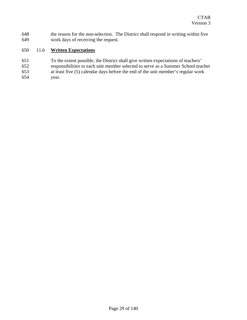648 the reason for the non-selection. The District shall respond in writing within five 649 work days of receiving the request.

# 650 11.6 **Written Expectations**

651 To the extent possible, the District shall give written expectations of teachers' 652 responsibilities to each unit member selected to serve as a Summer School teacher 653 at least five (5) calendar days before the end of the unit member's regular work 654 year.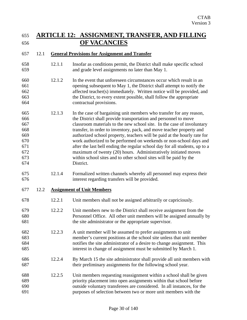# 655 **ARTICLE 12: ASSIGNMENT, TRANSFER, AND FILLING**  656 **OF VACANCIES**

## 657 12.1 **General Provisions for Assignment and Transfer**

- 658 12.1.1 Insofar as conditions permit, the District shall make specific school 659 and grade level assignments no later than May 1.
- 660 12.1.2 In the event that unforeseen circumstances occur which result in an 661 opening subsequent to May 1, the District shall attempt to notify the 662 affected teacher(s) immediately. Written notice will be provided, and 663 the District, to every extent possible, shall follow the appropriate 664 contractual provisions.
- 665 12.1.3 In the case of bargaining unit members who transfer for any reason, 666 the District shall provide transportation and personnel to move 667 classroom materials to the new school site. In the case of involuntary 668 transfer, in order to inventory, pack, and move teacher property and 669 authorized school property, teachers will be paid at the hourly rate for 670 work authorized to be performed on weekends or non-school days and 671 after the last bell ending the regular school day for all students, up to a 672 maximum of twenty (20) hours. Administratively initiated moves 673 within school sites and to other school sites will be paid by the 674 District.
- 675 12.1.4 Formalized written channels whereby all personnel may express their 676 interest regarding transfers will be provided.
- 677 12.2 **Assignment of Unit Members**
- 678 12.2.1 Unit members shall not be assigned arbitrarily or capriciously.
- 679 12.2.2 Unit members new to the District shall receive assignment from the 680 Personnel Office. All other unit members will be assigned annually by 681 the site administrator or the appropriate supervisor.
- 682 12.2.3 A unit member will be assumed to prefer assignments to unit 683 member's current positions at the school site unless that unit member 684 notifies the site administrator of a desire to change assignment. This 685 interest in change of assignment must be submitted by March 1.
- 686 12.2.4 By March 15 the site administrator shall provide all unit members with 687 their preliminary assignments for the following school year.
- 688 12.2.5 Unit members requesting reassignment within a school shall be given 689 priority placement into open assignments within that school before 690 outside voluntary transferees are considered. In all instances, for the 691 purposes of selection between two or more unit members with the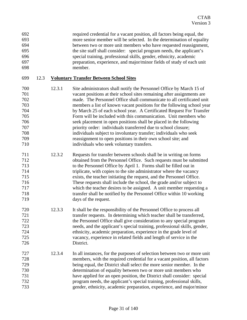| 692 | required credential for a vacant position, all factors being equal, the |
|-----|-------------------------------------------------------------------------|
| 693 | more senior member will be selected. In the determination of equality   |
| 694 | between two or more unit members who have requested reassignment,       |
| 695 | the site staff shall consider: special program needs, the applicant's   |
| 696 | special training, professional skills, gender, ethnicity, academic      |
| 697 | preparation, experience, and major/minor fields of study of each unit   |
| 698 | member.                                                                 |

#### 699 12.3 **Voluntary Transfer Between School Sites**

- 700 12.3.1 Site administrators shall notify the Personnel Office by March 15 of 701 vacant positions at their school sites remaining after assignments are 702 made. The Personnel Office shall communicate to all certificated unit 703 members a list of known vacant positions for the following school year 704 by March 25 of each school year. A Certificated Request For Transfer 705 Form will be included with this communication. Unit members who 706 seek placement in open positions shall be placed in the following 707 priority order: individuals transferred due to school closure; 708 individuals subject to involuntary transfer; individuals who seek 709 reassignment to open positions in their own school site; and 710 individuals who seek voluntary transfers.
- 711 12.3.2 Requests for transfer between schools shall be in writing on forms 712 obtained from the Personnel Office. Such requests must be submitted 713 to the Personnel Office by April 1. Forms shall be filled out in 714 triplicate, with copies to the site administrator where the vacancy 715 exists, the teacher initiating the request, and the Personnel Office. 716 These requests shall include the school, the grade and/or subject to 717 which the teacher desires to be assigned. A unit member requesting a 718 transfer shall be notified by the Personnel Office within 10 working 719 days of the request.
- 720 12.3.3 It shall be the responsibility of the Personnel Office to process all 721 transfer requests. In determining which teacher shall be transferred, 722 the Personnel Office shall give consideration to any special program 723 needs, and the applicant's special training, professional skills, gender, 724 ethnicity, academic preparation, experience in the grade level of 725 vacancy, experience in related fields and length of service in the 726 District.
- 727 12.3.4 In all instances, for the purposes of selection between two or more unit 728 members, with the required credential for a vacant position, all factors 729 being equal, the District shall select the more senior member. In the 730 determination of equality between two or more unit members who 731 have applied for an open position, the District shall consider: special 732 program needs, the applicant's special training, professional skills, 733 gender, ethnicity, academic preparation, experience, and major/minor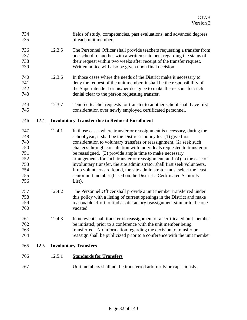| 734<br>735                                                         |      |        | fields of study, competencies, past evaluations, and advanced degrees<br>of each unit member.                                                                                                                                                                                                                                                                                                                                                                                                                                                                                                                                                                              |
|--------------------------------------------------------------------|------|--------|----------------------------------------------------------------------------------------------------------------------------------------------------------------------------------------------------------------------------------------------------------------------------------------------------------------------------------------------------------------------------------------------------------------------------------------------------------------------------------------------------------------------------------------------------------------------------------------------------------------------------------------------------------------------------|
| 736<br>737<br>738<br>739                                           |      | 12.3.5 | The Personnel Officer shall provide teachers requesting a transfer from<br>one school to another with a written statement regarding the status of<br>their request within two weeks after receipt of the transfer request.<br>Written notice will also be given upon final decision.                                                                                                                                                                                                                                                                                                                                                                                       |
| 740<br>741<br>742<br>743                                           |      | 12.3.6 | In those cases where the needs of the District make it necessary to<br>deny the request of the unit member, it shall be the responsibility of<br>the Superintendent or his/her designee to make the reasons for such<br>denial clear to the person requesting transfer.                                                                                                                                                                                                                                                                                                                                                                                                    |
| 744<br>745                                                         |      | 12.3.7 | Tenured teacher requests for transfer to another school shall have first<br>consideration over newly employed certificated personnel.                                                                                                                                                                                                                                                                                                                                                                                                                                                                                                                                      |
| 746                                                                | 12.4 |        | <b>Involuntary Transfer due to Reduced Enrollment</b>                                                                                                                                                                                                                                                                                                                                                                                                                                                                                                                                                                                                                      |
| 747<br>748<br>749<br>750<br>751<br>752<br>753<br>754<br>755<br>756 |      | 12.4.1 | In those cases where transfer or reassignment is necessary, during the<br>school year, it shall be the District's policy to: (1) give first<br>consideration to voluntary transfers or reassignment, (2) seek such<br>changes through consultation with individuals requested to transfer or<br>be reassigned, (3) provide ample time to make necessary<br>arrangements for such transfer or reassignment, and (4) in the case of<br>involuntary transfer, the site administrator shall first seek volunteers.<br>If no volunteers are found, the site administrator must select the least<br>senior unit member (based on the District's Certificated Seniority<br>List). |
| 757<br>758<br>759<br>760                                           |      | 12.4.2 | The Personnel Officer shall provide a unit member transferred under<br>this policy with a listing of current openings in the District and make<br>reasonable effort to find a satisfactory reassignment similar to the one<br>vacated.                                                                                                                                                                                                                                                                                                                                                                                                                                     |
| 761<br>762<br>763<br>764                                           |      | 12.4.3 | In no event shall transfer or reassignment of a certificated unit member<br>be initiated, prior to a conference with the unit member being<br>transferred. No information regarding the decision to transfer or<br>reassign shall be publicized prior to a conference with the unit member                                                                                                                                                                                                                                                                                                                                                                                 |
| 765                                                                | 12.5 |        | <b>Involuntary Transfers</b>                                                                                                                                                                                                                                                                                                                                                                                                                                                                                                                                                                                                                                               |
| 766                                                                |      | 12.5.1 | <b>Standards for Transfers</b>                                                                                                                                                                                                                                                                                                                                                                                                                                                                                                                                                                                                                                             |
| 767                                                                |      |        | Unit members shall not be transferred arbitrarily or capriciously.                                                                                                                                                                                                                                                                                                                                                                                                                                                                                                                                                                                                         |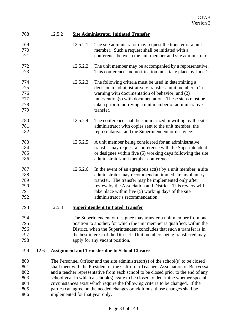| 768 | 12.5.2 | <b>Site Administrator Initiated Transfer</b> |  |
|-----|--------|----------------------------------------------|--|
|     |        |                                              |  |

| 769<br>770 |      |                                                                                | 12.5.2.1                                                               | The site administrator may request the transfer of a unit<br>member. Such a request shall be initiated with a          |  |
|------------|------|--------------------------------------------------------------------------------|------------------------------------------------------------------------|------------------------------------------------------------------------------------------------------------------------|--|
| 771        |      |                                                                                |                                                                        | conference between the unit member and site administrator.                                                             |  |
| 772<br>773 |      |                                                                                | 12.5.2.2                                                               | The unit member may be accompanied by a representative.<br>This conference and notification must take place by June 1. |  |
| 774        |      |                                                                                | 12.5.2.3                                                               | The following criteria must be used in determining a                                                                   |  |
| 775        |      |                                                                                |                                                                        | decision to administratively transfer a unit member: (1)                                                               |  |
| 776        |      |                                                                                |                                                                        | warning with documentation of behavior; and (2)                                                                        |  |
| 777        |      |                                                                                |                                                                        | intervention(s) with documentation. These steps must be                                                                |  |
| 778        |      |                                                                                |                                                                        | taken prior to notifying a unit member of administrative                                                               |  |
| 779        |      |                                                                                |                                                                        | transfer.                                                                                                              |  |
| 780        |      |                                                                                | 12.5.2.4                                                               | The conference shall be summarized in writing by the site                                                              |  |
| 781        |      |                                                                                |                                                                        | administrator with copies sent to the unit member, the                                                                 |  |
| 782        |      |                                                                                |                                                                        | representative, and the Superintendent or designee.                                                                    |  |
| 783        |      |                                                                                | 12.5.2.5                                                               | A unit member being considered for an administrative                                                                   |  |
| 784        |      |                                                                                |                                                                        | transfer may request a conference with the Superintendent                                                              |  |
| 785        |      |                                                                                |                                                                        | or designee within five (5) working days following the site                                                            |  |
| 786        |      |                                                                                |                                                                        | administrator/unit member conference.                                                                                  |  |
| 787        |      |                                                                                | 12.5.2.6                                                               | In the event of an egregious $act(s)$ by a unit member, a site                                                         |  |
| 788        |      |                                                                                |                                                                        | administrator may recommend an immediate involuntary                                                                   |  |
| 789        |      |                                                                                |                                                                        | transfer. The transfer may be implemented only after                                                                   |  |
| 790<br>791 |      |                                                                                |                                                                        | review by the Association and District. This review will<br>take place within five (5) working days of the site        |  |
| 792        |      |                                                                                |                                                                        | administrator's recommendation.                                                                                        |  |
| 793        |      | 12.5.3                                                                         |                                                                        | <b>Superintendent Initiated Transfer</b>                                                                               |  |
| 794        |      |                                                                                |                                                                        | The Superintendent or designee may transfer a unit member from one                                                     |  |
| 795        |      |                                                                                |                                                                        | position to another, for which the unit member is qualified, within the                                                |  |
| 796        |      |                                                                                | District, when the Superintendent concludes that such a transfer is in |                                                                                                                        |  |
| 797        |      |                                                                                | the best interest of the District. Unit members being transferred may  |                                                                                                                        |  |
| 798        |      |                                                                                |                                                                        | apply for any vacant position.                                                                                         |  |
| 799        | 12.6 | <b>Assignment and Transfer due to School Closure</b>                           |                                                                        |                                                                                                                        |  |
| 800        |      |                                                                                |                                                                        | The Personnel Officer and the site administrator(s) of the school(s) to be closed                                      |  |
| 801        |      |                                                                                |                                                                        | shall meet with the President of the California Teachers Association of Berryessa                                      |  |
| 802        |      |                                                                                |                                                                        | and a teacher representative from each school to be closed prior to the end of any                                     |  |
| 803        |      |                                                                                |                                                                        | school year in which a school(s) is/are to be closed to determine whether special                                      |  |
| 804        |      | circumstances exist which require the following criteria to be changed. If the |                                                                        |                                                                                                                        |  |
| 805        |      |                                                                                |                                                                        | parties can agree on the needed changes or additions, those changes shall be                                           |  |
| 806        |      | implemented for that year only.                                                |                                                                        |                                                                                                                        |  |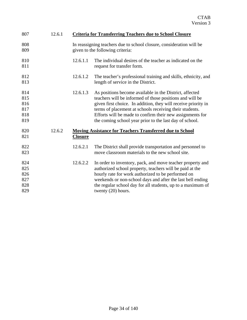| 807                                    | 12.6.1 |                | <b>Criteria for Transferring Teachers due to School Closure</b>                                                                                                                                                                                                                                                                                                          |
|----------------------------------------|--------|----------------|--------------------------------------------------------------------------------------------------------------------------------------------------------------------------------------------------------------------------------------------------------------------------------------------------------------------------------------------------------------------------|
| 808<br>809                             |        |                | In reassigning teachers due to school closure, consideration will be<br>given to the following criteria:                                                                                                                                                                                                                                                                 |
| 810<br>811                             |        | 12.6.1.1       | The individual desires of the teacher as indicated on the<br>request for transfer form.                                                                                                                                                                                                                                                                                  |
| 812<br>813                             |        | 12.6.1.2       | The teacher's professional training and skills, ethnicity, and<br>length of service in the District.                                                                                                                                                                                                                                                                     |
| 814<br>815<br>816<br>817<br>818<br>819 |        | 12.6.1.3       | As positions become available in the District, affected<br>teachers will be informed of those positions and will be<br>given first choice. In addition, they will receive priority in<br>terms of placement at schools receiving their students.<br>Efforts will be made to confirm their new assignments for<br>the coming school year prior to the last day of school. |
| 820<br>821                             | 12.6.2 | <b>Closure</b> | <b>Moving Assistance for Teachers Transferred due to School</b>                                                                                                                                                                                                                                                                                                          |
| 822<br>823                             |        | 12.6.2.1       | The District shall provide transportation and personnel to<br>move classroom materials to the new school site.                                                                                                                                                                                                                                                           |
| 824<br>825<br>826<br>827<br>828<br>829 |        | 12.6.2.2       | In order to inventory, pack, and move teacher property and<br>authorized school property, teachers will be paid at the<br>hourly rate for work authorized to be performed on<br>weekends or non-school days and after the last bell ending<br>the regular school day for all students, up to a maximum of<br>twenty $(20)$ hours.                                        |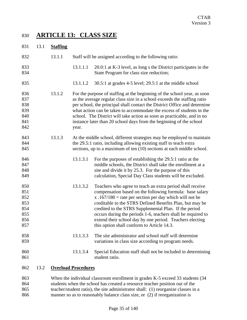# 830 **ARTICLE 13: CLASS SIZE**

| 831                                                  | 13.1 | <b>Staffing</b> |                            |                                                                                                                                                                                                                                                                                                                                                                                                                                                                                 |
|------------------------------------------------------|------|-----------------|----------------------------|---------------------------------------------------------------------------------------------------------------------------------------------------------------------------------------------------------------------------------------------------------------------------------------------------------------------------------------------------------------------------------------------------------------------------------------------------------------------------------|
| 832                                                  |      | 13.1.1          |                            | Staff will be assigned according to the following ratio:                                                                                                                                                                                                                                                                                                                                                                                                                        |
| 833<br>834                                           |      |                 | 13.1.1.1                   | 20.0:1 at K-3 level, as long s the District participates in the<br>State Program for class size reduction;                                                                                                                                                                                                                                                                                                                                                                      |
| 835                                                  |      |                 | 13.1.1.2                   | $30.5:1$ at grades 4-5 level; 29.5:1 at the middle school                                                                                                                                                                                                                                                                                                                                                                                                                       |
| 836<br>837<br>838<br>839<br>840<br>841<br>842        |      | 13.1.2          | year.                      | For the purpose of staffing at the beginning of the school year, as soon<br>as the average regular class size in a school exceeds the staffing ratio<br>per school, the principal shall contact the District Office and determine<br>what action can be taken to accommodate the excess of students in the<br>school. The District will take action as soon as practicable, and in no<br>instance later than 20 school days from the beginning of the school                    |
| 843<br>844<br>845                                    |      | 13.1.3          |                            | At the middle school, different strategies may be employed to maintain<br>the 29.5:1 ratio, including allowing existing staff to teach extra<br>sections, up to a maximum of ten (10) sections at each middle school.                                                                                                                                                                                                                                                           |
| 846<br>847<br>848<br>849                             |      |                 | 13.1.3.1                   | For the purposes of establishing the 29.5:1 ratio at the<br>middle schools, the District shall take the enrollment at a<br>site and divide it by 25.3. For the purpose of this<br>calculation, Special Day Class students will be excluded.                                                                                                                                                                                                                                     |
| 850<br>851<br>852<br>853<br>854<br>855<br>856<br>857 |      |                 | 13.1.3.2                   | Teachers who agree to teach an extra period shall receive<br>compensation based on the following formula: base salary<br>x .167/180 = rate per section per day which will not be<br>creditable to the STRS Defined Benefits Plan, but may be<br>credited to the STRS Supplemental Plan. If the period<br>occurs during the periods 1-6, teachers shall be required to<br>extend their school day by one period. Teachers electing<br>this option shall conform to Article 14.3. |
| 858<br>859                                           |      |                 | 13.1.3.3                   | The site administrator and school staff will determine<br>variations in class size according to program needs.                                                                                                                                                                                                                                                                                                                                                                  |
| 860<br>861                                           |      |                 | 13.1.3.4                   | Special Education staff shall not be included in determining<br>student ratio.                                                                                                                                                                                                                                                                                                                                                                                                  |
| 862                                                  | 13.2 |                 | <b>Overload Procedures</b> |                                                                                                                                                                                                                                                                                                                                                                                                                                                                                 |
| 863                                                  |      |                 |                            | When the individual classroom enrollment in grades K-5 exceed 33 students (34                                                                                                                                                                                                                                                                                                                                                                                                   |

864 students when the school has created a resource teacher position out of the 865 teacher/student ratio), the site administrator shall: (1) reorganize classes in a 866 manner so as to reasonably balance class size, or (2) if reorganization is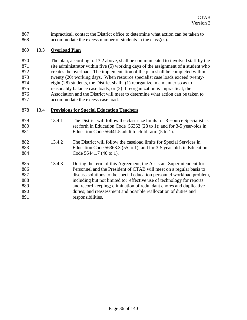867 impractical, contact the District office to determine what action can be taken to 868 accommodate the excess number of students in the class(es).

#### 869 13.3 **Overload Plan**

870 The plan, according to 13.2 above, shall be communicated to involved staff by the 871 site administrator within five (5) working days of the assignment of a student who 872 creates the overload. The implementation of the plan shall be completed within 873 twenty (20) working days. When resource specialist case loads exceed twenty-874 eight (28) students, the District shall: (1) reorganize in a manner so as to 875 reasonably balance case loads; or (2) if reorganization is impractical, the 876 Association and the District will meet to determine what action can be taken to 877 accommodate the excess case load.

#### 878 13.4 **Provisions for Special Education Teachers**

| 879<br>880<br>881                      | 13.4.1 | The District will follow the class size limits for Resource Specialist as<br>set forth in Education Code 56362 (28 to 1); and for 3-5 year-olds in<br>Education Code 56441.5 adult to child ratio (5 to 1).                                                                                                                                                                                                                              |
|----------------------------------------|--------|------------------------------------------------------------------------------------------------------------------------------------------------------------------------------------------------------------------------------------------------------------------------------------------------------------------------------------------------------------------------------------------------------------------------------------------|
| 882<br>883<br>884                      | 13.4.2 | The District will follow the caseload limits for Special Services in<br>Education Code 56363.3 (55 to 1), and for 3-5 year-olds in Education<br>Code 56441.7 (40 to 1).                                                                                                                                                                                                                                                                  |
| 885<br>886<br>887<br>888<br>889<br>890 | 13.4.3 | During the term of this Agreement, the Assistant Superintendent for<br>Personnel and the President of CTAB will meet on a regular basis to<br>discuss solutions to the special education personnel workload problem,<br>including but not limited to: effective use of technology for reports<br>and record keeping; elimination of redundant chores and duplicative<br>duties; and reassessment and possible reallocation of duties and |
| 891                                    |        | responsibilities.                                                                                                                                                                                                                                                                                                                                                                                                                        |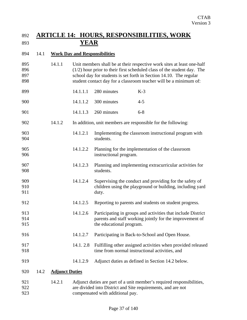### 892 **ARTICLE 14: HOURS, RESPONSIBILITIES, WORK**  893 **YEAR**

#### 894 14.1 **Work Day and Responsibilities**

- 895 14.1.1 Unit members shall be at their respective work sites at least one-half 896 (1/2) hour prior to their first scheduled class of the student day. The 897 school day for students is set forth in Section 14.10. The regular 898 student contact day for a classroom teacher will be a minimum of:
- 899 14.1.1.1 280 minutes K-3 900 14.1.1.2 300 minutes 4-5
- 901 14.1.1.3 260 minutes 6-8
- 902 14.1.2 In addition, unit members are responsible for the following:
- 903 14.1.2.1 Implementing the classroom instructional program with 904 students.
- 905 14.1.2.2 Planning for the implementation of the classroom 906 instructional program.
- 907 14.1.2.3 Planning and implementing extracurricular activities for 908 students.
- 909 14.1.2.4 Supervising the conduct and providing for the safety of 910 children using the playground or building, including yard 911 duty.
- 912 14.1.2.5 Reporting to parents and students on student progress.
- 913 14.1.2.6 Participating in groups and activities that include District 914 parents and staff working jointly for the improvement of 915 the educational program.
- 916 14.1.2.7 Participating in Back-to-School and Open House.
- 917 14.1. 2.8 Fulfilling other assigned activities when provided released 918 time from normal instructional activities, and
- 919 14.1.2.9 Adjunct duties as defined in Section 14.2 below.

### 920 14.2 **Adjunct Duties**

921 14.2.1 Adjunct duties are part of a unit member's required responsibilities, 922 are divided into District and Site requirements, and are not 923 compensated with additional pay.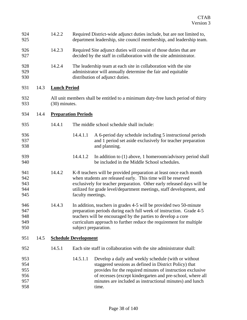| 924<br>925                             |      | 14.2.2              |                                                                                                                                          | Required District-wide adjunct duties include, but are not limited to,<br>department leadership, site council membership, and leadership team.                                                                                                                                                                  |  |
|----------------------------------------|------|---------------------|------------------------------------------------------------------------------------------------------------------------------------------|-----------------------------------------------------------------------------------------------------------------------------------------------------------------------------------------------------------------------------------------------------------------------------------------------------------------|--|
| 926<br>927                             |      | 14.2.3              | Required Site adjunct duties will consist of those duties that are<br>decided by the staff in collaboration with the site administrator. |                                                                                                                                                                                                                                                                                                                 |  |
| 928<br>929<br>930                      |      | 14.2.4              |                                                                                                                                          | The leadership team at each site in collaboration with the site<br>administrator will annually determine the fair and equitable<br>distribution of adjunct duties.                                                                                                                                              |  |
| 931                                    | 14.3 | <b>Lunch Period</b> |                                                                                                                                          |                                                                                                                                                                                                                                                                                                                 |  |
| 932<br>933                             |      | (30) minutes.       |                                                                                                                                          | All unit members shall be entitled to a minimum duty-free lunch period of thirty                                                                                                                                                                                                                                |  |
| 934                                    | 14.4 |                     | <b>Preparation Periods</b>                                                                                                               |                                                                                                                                                                                                                                                                                                                 |  |
| 935                                    |      | 14.4.1              |                                                                                                                                          | The middle school schedule shall include:                                                                                                                                                                                                                                                                       |  |
| 936<br>937<br>938                      |      |                     | 14.4.1.1                                                                                                                                 | A 6-period day schedule including 5 instructional periods<br>and 1 period set aside exclusively for teacher preparation<br>and planning.                                                                                                                                                                        |  |
| 939<br>940                             |      |                     | 14.4.1.2                                                                                                                                 | In addition to $(1)$ above, 1 homeroom/advisory period shall<br>be included in the Middle School schedules.                                                                                                                                                                                                     |  |
| 941<br>942<br>943<br>944<br>945        |      | 14.4.2              | faculty meetings.                                                                                                                        | K-8 teachers will be provided preparation at least once each month<br>when students are released early. This time will be reserved<br>exclusively for teacher preparation. Other early released days will be<br>utilized for grade level/department meetings, staff development, and                            |  |
| 946<br>947<br>948<br>949<br>950        |      | 14.4.3              |                                                                                                                                          | In addition, teachers in grades 4-5 will be provided two 50-minute<br>preparation periods during each full week of instruction. Grade 4-5<br>teachers will be encouraged by the parties to develop a core<br>curriculum approach to further reduce the requirement for multiple<br>subject preparation.         |  |
| 951                                    | 14.5 |                     | <b>Schedule Development</b>                                                                                                              |                                                                                                                                                                                                                                                                                                                 |  |
| 952                                    |      | 14.5.1              |                                                                                                                                          | Each site staff in collaboration with the site administrator shall:                                                                                                                                                                                                                                             |  |
| 953<br>954<br>955<br>956<br>957<br>958 |      |                     | 14.5.1.1                                                                                                                                 | Develop a daily and weekly schedule (with or without<br>staggered sessions as defined in District Policy) that<br>provides for the required minutes of instruction exclusive<br>of recesses (except kindergarten and pre-school, where all<br>minutes are included as instructional minutes) and lunch<br>time. |  |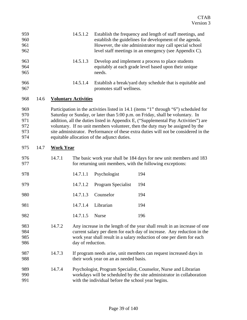| 959<br>960<br>961<br>962               |      |                  | 14.5.1.2                    |                                                    | Establish the frequency and length of staff meetings, and<br>establish the guidelines for development of the agenda.<br>However, the site administrator may call special school<br>level staff meetings in an emergency (see Appendix C).                                                                                                                                                                                           |  |  |
|----------------------------------------|------|------------------|-----------------------------|----------------------------------------------------|-------------------------------------------------------------------------------------------------------------------------------------------------------------------------------------------------------------------------------------------------------------------------------------------------------------------------------------------------------------------------------------------------------------------------------------|--|--|
| 963<br>964<br>965                      |      |                  | 14.5.1.3                    | needs.                                             | Develop and implement a process to place students<br>equitably at each grade level based upon their unique                                                                                                                                                                                                                                                                                                                          |  |  |
| 966<br>967                             |      |                  | 14.5.1.4                    | promotes staff wellness.                           | Establish a break/yard duty schedule that is equitable and                                                                                                                                                                                                                                                                                                                                                                          |  |  |
| 968                                    | 14.6 |                  | <b>Voluntary Activities</b> |                                                    |                                                                                                                                                                                                                                                                                                                                                                                                                                     |  |  |
| 969<br>970<br>971<br>972<br>973<br>974 |      |                  |                             | equitable allocation of the adjunct duties.        | Participation in the activities listed in 14.1 (items "1" through "6") scheduled for<br>Saturday or Sunday, or later than 5:00 p.m. on Friday, shall be voluntary. In<br>addition, all the duties listed in Appendix E, ("Supplemental Pay Activities") are<br>voluntary. If no unit members volunteer, then the duty may be assigned by the<br>site administrator. Performance of these extra duties will not be considered in the |  |  |
| 975                                    | 14.7 | <b>Work Year</b> |                             |                                                    |                                                                                                                                                                                                                                                                                                                                                                                                                                     |  |  |
| 976<br>977                             |      | 14.7.1           |                             |                                                    | The basic work year shall be 184 days for new unit members and 183<br>for returning unit members, with the following exceptions:                                                                                                                                                                                                                                                                                                    |  |  |
| 978                                    |      |                  | 14.7.1.1                    | Psychologist                                       | 194                                                                                                                                                                                                                                                                                                                                                                                                                                 |  |  |
| 979                                    |      |                  | 14.7.1.2                    | Program Specialist                                 | 194                                                                                                                                                                                                                                                                                                                                                                                                                                 |  |  |
| 980                                    |      |                  | 14.7.1.3                    | Counselor                                          | 194                                                                                                                                                                                                                                                                                                                                                                                                                                 |  |  |
| 981                                    |      |                  | 14.7.1.4                    | Librarian                                          | 194                                                                                                                                                                                                                                                                                                                                                                                                                                 |  |  |
| 982                                    |      |                  | 14.7.1.5                    | <b>Nurse</b>                                       | 196                                                                                                                                                                                                                                                                                                                                                                                                                                 |  |  |
| 983<br>984<br>985<br>986               |      | 14.7.2           | day of reduction.           |                                                    | Any increase in the length of the year shall result in an increase of one<br>current salary per diem for each day of increase. Any reduction in the<br>work year shall result in a salary reduction of one per diem for each                                                                                                                                                                                                        |  |  |
| 987<br>988                             |      | 14.7.3           |                             | their work year on an as needed basis.             | If program needs arise, unit members can request increased days in                                                                                                                                                                                                                                                                                                                                                                  |  |  |
| 989<br>990<br>991                      |      | 14.7.4           |                             | with the individual before the school year begins. | Psychologist, Program Specialist, Counselor, Nurse and Librarian<br>workdays will be scheduled by the site administrator in collaboration                                                                                                                                                                                                                                                                                           |  |  |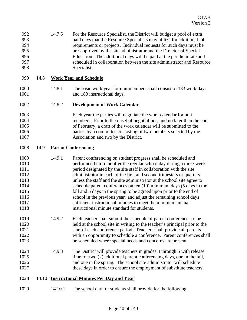| 992 | 14.7.5 | For the Resource Specialist, the District will budget a pool of extra  |
|-----|--------|------------------------------------------------------------------------|
| 993 |        | paid days that the Resource Specialists may utilize for additional job |
| 994 |        | requirements or projects. Individual requests for such days must be    |
| 995 |        | pre-approved by the site administrator and the Director of Special     |
| 996 |        | Education. The additional days will be paid at the per diem rate and   |
| 997 |        | scheduled in collaboration between the site administrator and Resource |
| 998 |        | Specialist.                                                            |

### 999 14.8 **Work Year and Schedule**

1000 14.8.1 The basic work year for unit members shall consist of 183 work days 1001 and 180 instructional days.

### 1002 14.8.2 **Development of Work Calendar**

1003 Each year the parties will negotiate the work calendar for unit 1004 members. Prior to the onset of negotiations, and no later than the end 1005 of February, a draft of the work calendar will be submitted to the 1006 parties by a committee consisting of two members selected by the 1007 Association and two by the District.

### 1008 14.9 **Parent Conferencing**

- 1009 14.9.1 Parent conferencing on student progress shall be scheduled and 1010 performed before or after the regular school day during a three-week 1011 period designated by the site staff in collaboration with the site 1012 administrator in each of the first and second trimesters or quarters 1013 unless the staff and the site administrator at the school site agree to 1014 schedule parent conferences on ten (10) minimum days (5 days in the 1015 fall and 5 days in the spring to be agreed upon prior to the end of 1016 school in the previous year) and adjust the remaining school days 1017 sufficient instructional minutes to meet the minimum annual 1018 instructional minute standard for students.
- 1019 14.9.2 Each teacher shall submit the schedule of parent conferences to be 1020 held at the school site in writing to the teacher's principal prior to the 1021 start of each conference period. Teachers shall provide all parents 1022 with an opportunity to schedule a conference. Parent conferences shall 1023 be scheduled where special needs and concerns are present.
- 1024 14.9.3 The District will provide teachers in grades 4 through 5 with release 1025 time for two (2) additional parent conferencing days, one in the fall, 1026 and one in the spring. The school site administrator will schedule 1027 these days in order to ensure the employment of substitute teachers.

### 1028 14.10 **Instructional Minutes Per Day and Year**

1029 14.10.1 The school day for students shall provide for the following: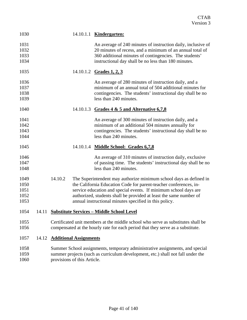| 1030                                 |       |         |                               | 14.10.1.1 <b>Kindergarten:</b>                                                                                                                                                                                                                                                                                                              |
|--------------------------------------|-------|---------|-------------------------------|---------------------------------------------------------------------------------------------------------------------------------------------------------------------------------------------------------------------------------------------------------------------------------------------------------------------------------------------|
| 1031<br>1032<br>1033<br>1034         |       |         |                               | An average of 240 minutes of instruction daily, inclusive of<br>20 minutes of recess, and a minimum of an annual total of<br>360 additional minutes of contingencies. The students'<br>instructional day shall be no less than 180 minutes.                                                                                                 |
| 1035                                 |       |         |                               | 14.10.1.2 Grades 1, 2, 3                                                                                                                                                                                                                                                                                                                    |
| 1036<br>1037<br>1038<br>1039         |       |         |                               | An average of 280 minutes of instruction daily, and a<br>minimum of an annual total of 504 additional minutes for<br>contingencies. The students' instructional day shall be no<br>less than 240 minutes.                                                                                                                                   |
| 1040                                 |       |         |                               | 14.10.1.3 Grades 4 & 5 and Alternative 6,7,8                                                                                                                                                                                                                                                                                                |
| 1041<br>1042<br>1043<br>1044         |       |         |                               | An average of 300 minutes of instruction daily, and a<br>minimum of an additional 504 minutes annually for<br>contingencies. The students' instructional day shall be no<br>less than 240 minutes.                                                                                                                                          |
| 1045                                 |       |         |                               | 14.10.1.4 Middle School: Grades 6,7,8                                                                                                                                                                                                                                                                                                       |
| 1046<br>1047<br>1048                 |       |         |                               | An average of 310 minutes of instruction daily, exclusive<br>of passing time. The students' instructional day shall be no<br>less than 240 minutes.                                                                                                                                                                                         |
| 1049<br>1050<br>1051<br>1052<br>1053 |       | 14.10.2 |                               | The Superintendent may authorize minimum school days as defined in<br>the California Education Code for parent-teacher conferences, in-<br>service education and special events. If minimum school days are<br>authorized, students shall be provided at least the same number of<br>annual instructional minutes specified in this policy. |
| 1054                                 |       |         |                               | 14.11 Substitute Services - Middle School Level                                                                                                                                                                                                                                                                                             |
| 1055<br>1056                         |       |         |                               | Certificated unit members at the middle school who serve as substitutes shall be<br>compensated at the hourly rate for each period that they serve as a substitute.                                                                                                                                                                         |
| 1057                                 | 14.12 |         | <b>Additional Assignments</b> |                                                                                                                                                                                                                                                                                                                                             |
| 1058<br>1059<br>1060                 |       |         | provisions of this Article.   | Summer School assignments, temporary administrative assignments, and special<br>summer projects (such as curriculum development, etc.) shall not fall under the                                                                                                                                                                             |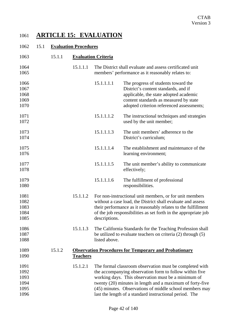## 1061 **ARTICLE 15: EVALUATION**

### 1062 15.1 **Evaluation Procedures**

| 1063                                         | 15.1.1 | <b>Evaluation Criteria</b> |               |                                                                                                                                                                                                                                                                                                                                                              |
|----------------------------------------------|--------|----------------------------|---------------|--------------------------------------------------------------------------------------------------------------------------------------------------------------------------------------------------------------------------------------------------------------------------------------------------------------------------------------------------------------|
| 1064<br>1065                                 |        | 15.1.1.1                   |               | The District shall evaluate and assess certificated unit<br>members' performance as it reasonably relates to:                                                                                                                                                                                                                                                |
| 1066<br>1067<br>1068<br>1069<br>1070         |        |                            | 15.1.1.1.1    | The progress of students toward the<br>District's content standards, and if<br>applicable, the state adopted academic<br>content standards as measured by state<br>adopted criterion referenced assessments;                                                                                                                                                 |
| 1071<br>1072                                 |        |                            | 15.1.1.1.2    | The instructional techniques and strategies<br>used by the unit member;                                                                                                                                                                                                                                                                                      |
| 1073<br>1074                                 |        |                            | 15.1.1.1.3    | The unit members' adherence to the<br>District's curriculum;                                                                                                                                                                                                                                                                                                 |
| 1075<br>1076                                 |        |                            | 15.1.1.1.4    | The establishment and maintenance of the<br>learning environment;                                                                                                                                                                                                                                                                                            |
| 1077<br>1078                                 |        |                            | 15.1.1.1.5    | The unit member's ability to communicate<br>effectively;                                                                                                                                                                                                                                                                                                     |
| 1079<br>1080                                 |        |                            | 15.1.1.1.6    | The fulfillment of professional<br>responsibilities.                                                                                                                                                                                                                                                                                                         |
| 1081<br>1082<br>1083<br>1084<br>1085         |        | 15.1.1.2                   | descriptions. | For non-instructional unit members, or for unit members<br>without a case load, the District shall evaluate and assess<br>their performance as it reasonably relates to the fulfillment<br>of the job responsibilities as set forth in the appropriate job                                                                                                   |
| 1086<br>1087<br>1088                         |        | 15.1.1.3                   | listed above. | The California Standards for the Teaching Profession shall<br>be utilized to evaluate teachers on criteria $(2)$ through $(5)$                                                                                                                                                                                                                               |
| 1089<br>1090                                 | 15.1.2 | <b>Teachers</b>            |               | <b>Observation Procedures for Temporary and Probationary</b>                                                                                                                                                                                                                                                                                                 |
| 1091<br>1092<br>1093<br>1094<br>1095<br>1096 |        | 15.1.2.1                   |               | The formal classroom observation must be completed with<br>the accompanying observation form to follow within five<br>working days. This observation must be a minimum of<br>twenty (20) minutes in length and a maximum of forty-five<br>(45) minutes. Observations of middle school members may<br>last the length of a standard instructional period. The |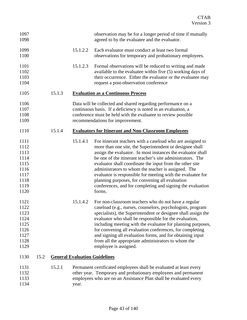| 1097<br>1098                                                                 |      |        |          | observation may be for a longer period of time if mutually<br>agreed to by the evaluatee and the evaluator.                                                                                                                                                                                                                                                                                                                                                                                                                                                      |
|------------------------------------------------------------------------------|------|--------|----------|------------------------------------------------------------------------------------------------------------------------------------------------------------------------------------------------------------------------------------------------------------------------------------------------------------------------------------------------------------------------------------------------------------------------------------------------------------------------------------------------------------------------------------------------------------------|
| 1099<br>1100                                                                 |      |        | 15.1.2.2 | Each evaluator must conduct at least two formal<br>observations for temporary and probationary employees.                                                                                                                                                                                                                                                                                                                                                                                                                                                        |
| 1101<br>1102<br>1103<br>1104                                                 |      |        | 15.1.2.3 | Formal observations will be reduced to writing and made<br>available to the evaluatee within five (5) working days of<br>their occurrence. Either the evaluator or the evaluatee may<br>request a post-observation conference                                                                                                                                                                                                                                                                                                                                    |
| 1105                                                                         |      | 15.1.3 |          | <b>Evaluation as a Continuous Process</b>                                                                                                                                                                                                                                                                                                                                                                                                                                                                                                                        |
| 1106<br>1107<br>1108<br>1109                                                 |      |        |          | Data will be collected and shared regarding performance on a<br>continuous basis. If a deficiency is noted in an evaluation, a<br>conference must be held with the evaluatee to review possible<br>recommendations for improvement.                                                                                                                                                                                                                                                                                                                              |
| 1110                                                                         |      | 15.1.4 |          | <b>Evaluators for Itinerant and Non-Classroom Employees</b>                                                                                                                                                                                                                                                                                                                                                                                                                                                                                                      |
| 1111<br>1112<br>1113<br>1114<br>1115<br>1116<br>1117<br>1118<br>1119<br>1120 |      |        | 15.1.4.1 | For itinerant teachers with a caseload who are assigned to<br>more than one site, the Superintendent or designee shall<br>assign the evaluator. In most instances the evaluator shall<br>be one of the itinerant teacher's site administrators. The<br>evaluator shall coordinate the input from the other site<br>administrators to whom the teacher is assigned. The<br>evaluator is responsible for meeting with the evaluatee for<br>planning purposes, for convening all evaluation<br>conferences, and for completing and signing the evaluation<br>forms. |
| 1121<br>1122<br>1123<br>1124<br>1125<br>1126<br>1127<br>1128<br>1129         |      |        | 15.1.4.2 | For non-classroom teachers who do not have a regular<br>caseload (e.g., nurses, counselors, psychologists, program<br>specialists), the Superintendent or designee shall assign the<br>evaluator who shall be responsible for the evaluation,<br>including meeting with the evaluatee for planning purposes,<br>for convening all evaluation conferences, for completing<br>and signing all evaluation forms, and for obtaining input<br>from all the appropriate administrators to whom the<br>employee is assigned.                                            |
| 1130                                                                         | 15.2 |        |          | <b>General Evaluation Guidelines</b>                                                                                                                                                                                                                                                                                                                                                                                                                                                                                                                             |
| 1131<br>1132<br>1133<br>1134                                                 |      | 15.2.1 | year.    | Permanent certificated employees shall be evaluated at least every<br>other year. Temporary and probationary employees and permanent<br>employees who are on an Assistance Plan shall be evaluated every                                                                                                                                                                                                                                                                                                                                                         |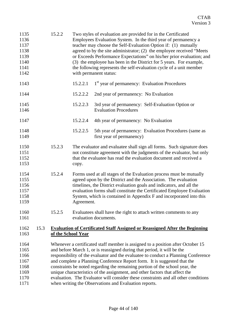| 1135<br>1136<br>1137<br>1138<br>1139<br>1140<br>1141<br>1142 |      | 15.2.2                                                                                                                                                                                                                                                                                                                                                                                                                                                                                                                                                                                                                                     | Two styles of evaluation are provided for in the Certificated<br>Employees Evaluation System. In the third year of permanency a<br>teacher may choose the Self-Evaluation Option if: (1) mutually<br>agreed to by the site administrator; (2) the employee received "Meets<br>or Exceeds Performance Expectations" on his/her prior evaluation; and<br>(3) the employee has been in the District for 5 years. For example,<br>the following represents the self-evaluation cycle of a unit member<br>with permanent status: |                                                                                                                                                                                                                                                                                                                                                                 |  |
|--------------------------------------------------------------|------|--------------------------------------------------------------------------------------------------------------------------------------------------------------------------------------------------------------------------------------------------------------------------------------------------------------------------------------------------------------------------------------------------------------------------------------------------------------------------------------------------------------------------------------------------------------------------------------------------------------------------------------------|-----------------------------------------------------------------------------------------------------------------------------------------------------------------------------------------------------------------------------------------------------------------------------------------------------------------------------------------------------------------------------------------------------------------------------------------------------------------------------------------------------------------------------|-----------------------------------------------------------------------------------------------------------------------------------------------------------------------------------------------------------------------------------------------------------------------------------------------------------------------------------------------------------------|--|
| 1143                                                         |      |                                                                                                                                                                                                                                                                                                                                                                                                                                                                                                                                                                                                                                            | 15.2.2.1                                                                                                                                                                                                                                                                                                                                                                                                                                                                                                                    | 1 <sup>st</sup> year of permanency: Evaluation Procedures                                                                                                                                                                                                                                                                                                       |  |
| 1144                                                         |      |                                                                                                                                                                                                                                                                                                                                                                                                                                                                                                                                                                                                                                            | 15.2.2.2                                                                                                                                                                                                                                                                                                                                                                                                                                                                                                                    | 2nd year of permanency: No Evaluation                                                                                                                                                                                                                                                                                                                           |  |
| 1145<br>1146                                                 |      |                                                                                                                                                                                                                                                                                                                                                                                                                                                                                                                                                                                                                                            | 15.2.2.3                                                                                                                                                                                                                                                                                                                                                                                                                                                                                                                    | 3rd year of permanency: Self-Evaluation Option or<br><b>Evaluation Procedures</b>                                                                                                                                                                                                                                                                               |  |
| 1147                                                         |      |                                                                                                                                                                                                                                                                                                                                                                                                                                                                                                                                                                                                                                            | 15.2.2.4                                                                                                                                                                                                                                                                                                                                                                                                                                                                                                                    | 4th year of permanency: No Evaluation                                                                                                                                                                                                                                                                                                                           |  |
| 1148<br>1149                                                 |      |                                                                                                                                                                                                                                                                                                                                                                                                                                                                                                                                                                                                                                            | 15.2.2.5                                                                                                                                                                                                                                                                                                                                                                                                                                                                                                                    | 5th year of permanency: Evaluation Procedures (same as<br>first year of permanency)                                                                                                                                                                                                                                                                             |  |
| 1150<br>1151<br>1152<br>1153                                 |      | 15.2.3                                                                                                                                                                                                                                                                                                                                                                                                                                                                                                                                                                                                                                     | copy.                                                                                                                                                                                                                                                                                                                                                                                                                                                                                                                       | The evaluator and evaluatee shall sign all forms. Such signature does<br>not constitute agreement with the judgments of the evaluator, but only<br>that the evaluatee has read the evaluation document and received a                                                                                                                                           |  |
| 1154<br>1155<br>1156<br>1157<br>1158<br>1159                 |      | 15.2.4                                                                                                                                                                                                                                                                                                                                                                                                                                                                                                                                                                                                                                     | Agreement.                                                                                                                                                                                                                                                                                                                                                                                                                                                                                                                  | Forms used at all stages of the Evaluation process must be mutually<br>agreed upon by the District and the Association. The evaluation<br>timelines, the District evaluation goals and indicators, and all the<br>evaluation forms shall constitute the Certificated Employee Evaluation<br>System, which is contained in Appendix F and incorporated into this |  |
| 1160<br>1161                                                 |      | 15.2.5                                                                                                                                                                                                                                                                                                                                                                                                                                                                                                                                                                                                                                     |                                                                                                                                                                                                                                                                                                                                                                                                                                                                                                                             | Evaluatees shall have the right to attach written comments to any<br>evaluation documents.                                                                                                                                                                                                                                                                      |  |
| 1162<br>1163                                                 | 15.3 |                                                                                                                                                                                                                                                                                                                                                                                                                                                                                                                                                                                                                                            | of the School Year                                                                                                                                                                                                                                                                                                                                                                                                                                                                                                          | <b>Evaluation of Certificated Staff Assigned or Reassigned After the Beginning</b>                                                                                                                                                                                                                                                                              |  |
| 1164<br>1165<br>1166<br>1167<br>1168<br>1169<br>1170<br>1171 |      | Whenever a certificated staff member is assigned to a position after October 15<br>and before March 1, or is reassigned during that period, it will be the<br>responsibility of the evaluator and the evaluatee to conduct a Planning Conference<br>and complete a Planning Conference Report form. It is suggested that the<br>constraints be noted regarding the remaining portion of the school year, the<br>unique characteristics of the assignment, and other factors that affect the<br>evaluation. The Evaluator will consider these constraints and all other conditions<br>when writing the Observations and Evaluation reports. |                                                                                                                                                                                                                                                                                                                                                                                                                                                                                                                             |                                                                                                                                                                                                                                                                                                                                                                 |  |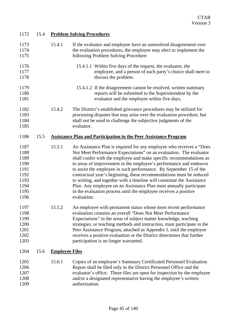| 1172                                                                         | 15.4 |                       | <b>Problem Solving Procedures</b>                                                                                                                                                                                                                                                                                                                                                                                                                                                                                                                                                                                                                                         |
|------------------------------------------------------------------------------|------|-----------------------|---------------------------------------------------------------------------------------------------------------------------------------------------------------------------------------------------------------------------------------------------------------------------------------------------------------------------------------------------------------------------------------------------------------------------------------------------------------------------------------------------------------------------------------------------------------------------------------------------------------------------------------------------------------------------|
| 1173<br>1174<br>1175                                                         |      | 15.4.1                | If the evaluator and employee have an unresolved disagreement over<br>the evaluation procedures, the employee may elect to implement the<br>following Problem Solving Procedure:                                                                                                                                                                                                                                                                                                                                                                                                                                                                                          |
| 1176<br>1177<br>1178                                                         |      |                       | 15.4.1.1 Within five days of the request, the evaluator, the<br>employee, and a person of each party's choice shall meet to<br>discuss the problem.                                                                                                                                                                                                                                                                                                                                                                                                                                                                                                                       |
| 1179<br>1180<br>1181                                                         |      |                       | 15.4.1.2 If the disagreement cannot be resolved, written summary<br>reports will be submitted to the Superintendent by the<br>evaluator and the employee within five days.                                                                                                                                                                                                                                                                                                                                                                                                                                                                                                |
| 1182<br>1183<br>1184<br>1185                                                 |      | 15.4.2                | The District's established grievance procedures may be utilized for<br>processing disputes that may arise over the evaluation procedure, but<br>shall not be used to challenge the subjective judgments of the<br>evaluator.                                                                                                                                                                                                                                                                                                                                                                                                                                              |
| 1186                                                                         | 15.5 |                       | <b>Assistance Plan and Participation in the Peer Assistance Program</b>                                                                                                                                                                                                                                                                                                                                                                                                                                                                                                                                                                                                   |
| 1187<br>1188<br>1189<br>1190<br>1191<br>1192<br>1193<br>1194<br>1195<br>1196 |      | 15.5.1                | An Assistance Plan is required for any employee who receives a "Does"<br>Not Meet Performance Expectations" on an evaluation. The evaluator<br>shall confer with the employee and make specific recommendations as<br>to areas of improvement in the employee's performance and endeavor<br>to assist the employee in such performance. By September 15 of the<br>contractual year's beginning, these recommendations must be reduced<br>to writing, and together with a timeline will constitute the Assistance<br>Plan. Any employee on an Assistance Plan must annually participate<br>in the evaluation process until the employee receives a positive<br>evaluation. |
| 1197<br>1198<br>1199<br>1200<br>1201<br>1202<br>1203                         |      | 15.5.2                | An employee with permanent status whose most recent performance<br>evaluation contains an overall "Does Not Meet Performance<br>Expectations" in the areas of subject matter knowledge, teaching<br>strategies, or teaching methods and instruction, must participate in the<br>Peer Assistance Program, attached as Appendix I, until the employee<br>receives a positive evaluation or the District determines that further<br>participation is no longer warranted.                                                                                                                                                                                                    |
| 1204                                                                         | 15.6 | <b>Employee Files</b> |                                                                                                                                                                                                                                                                                                                                                                                                                                                                                                                                                                                                                                                                           |
| 1205<br>1206<br>1207<br>1208<br>1209                                         |      | 15.6.1                | Copies of an employee's Summary Certificated Personnel Evaluation<br>Report shall be filed only in the District Personnel Office and the<br>evaluator's office. These files are open for inspection by the employee<br>and/or a designated representative having the employee's written<br>authorization.                                                                                                                                                                                                                                                                                                                                                                 |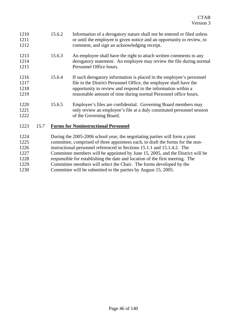| 1210<br>1211<br>1212         |      | 15.6.2 | Information of a derogatory nature shall not be entered or filed unless<br>or until the employee is given notice and an opportunity to review, to<br>comment, and sign an acknowledging receipt.                                                                                                                           |
|------------------------------|------|--------|----------------------------------------------------------------------------------------------------------------------------------------------------------------------------------------------------------------------------------------------------------------------------------------------------------------------------|
| 1213<br>1214<br>1215         |      | 15.6.3 | An employee shall have the right to attach written comments to any<br>derogatory statement. An employee may review the file during normal<br>Personnel Office hours.                                                                                                                                                       |
| 1216<br>1217<br>1218<br>1219 |      | 15.6.4 | If such derogatory information is placed in the employee's personnel<br>file in the District Personnel Office, the employee shall have the<br>opportunity to review and respond to the information within a<br>reasonable amount of time during normal Personnel office hours.                                             |
| 1220<br>1221<br>1222         |      | 15.6.5 | Employee's files are confidential. Governing Board members may<br>only review an employee's file at a duly constituted personnel session<br>of the Governing Board.                                                                                                                                                        |
| 1223                         | 15.7 |        | <b>Forms for Noninstructional Personnel</b>                                                                                                                                                                                                                                                                                |
| 1224<br>1225<br>1226<br>1227 |      |        | During the 2005-2006 school year, the negotiating parties will form a joint<br>committee, comprised of three appointees each, to draft the forms for the non-<br>instructional personnel referenced in Sections 15.1.1 and 15.1.4.2. The<br>Committee members will be appointed by June 15, 2005, and the District will be |
|                              |      |        |                                                                                                                                                                                                                                                                                                                            |

- 1228 responsible for establishing the date and location of the first meeting. The
- 1229 Committee members will select the Chair. The forms developed by the
- 1230 Committee will be submitted to the parties by August 15, 2005.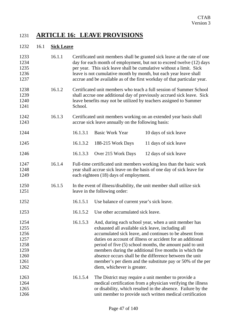## 1231 **ARTICLE 16: LEAVE PROVISIONS**

### 1232 16.1 **Sick Leave**

| 1233<br>1234<br>1235<br>1236<br>1237                                 | 16.1.1 | Certificated unit members shall be granted sick leave at the rate of one<br>day for each month of employment, but not to exceed twelve (12) days<br>per year. This sick leave shall be cumulative without a limit. Sick<br>leave is not cumulative month by month, but each year leave shall<br>accrue and be available as of the first workday of that particular year. |                                                                                  |                                                                                                                                                                                                                                                                                                                                                                                                                               |
|----------------------------------------------------------------------|--------|--------------------------------------------------------------------------------------------------------------------------------------------------------------------------------------------------------------------------------------------------------------------------------------------------------------------------------------------------------------------------|----------------------------------------------------------------------------------|-------------------------------------------------------------------------------------------------------------------------------------------------------------------------------------------------------------------------------------------------------------------------------------------------------------------------------------------------------------------------------------------------------------------------------|
| 1238<br>1239<br>1240<br>1241                                         | 16.1.2 | Certificated unit members who teach a full session of Summer School<br>shall accrue one additional day of previously accrued sick leave. Sick<br>leave benefits may not be utilized by teachers assigned to Summer<br>School.                                                                                                                                            |                                                                                  |                                                                                                                                                                                                                                                                                                                                                                                                                               |
| 1242<br>1243                                                         | 16.1.3 |                                                                                                                                                                                                                                                                                                                                                                          | accrue sick leave annually on the following basis:                               | Certificated unit members working on an extended year basis shall                                                                                                                                                                                                                                                                                                                                                             |
| 1244                                                                 |        | 16.1.3.1                                                                                                                                                                                                                                                                                                                                                                 | <b>Basic Work Year</b>                                                           | 10 days of sick leave                                                                                                                                                                                                                                                                                                                                                                                                         |
| 1245                                                                 |        | 16.1.3.2                                                                                                                                                                                                                                                                                                                                                                 | 188-215 Work Days                                                                | 11 days of sick leave                                                                                                                                                                                                                                                                                                                                                                                                         |
| 1246                                                                 |        | 16.1.3.3                                                                                                                                                                                                                                                                                                                                                                 | Over 215 Work Days                                                               | 12 days of sick leave                                                                                                                                                                                                                                                                                                                                                                                                         |
| 1247<br>1248<br>1249                                                 | 16.1.4 |                                                                                                                                                                                                                                                                                                                                                                          | each eighteen (18) days of employment.                                           | Full-time certificated unit members working less than the basic work<br>year shall accrue sick leave on the basis of one day of sick leave for                                                                                                                                                                                                                                                                                |
| 1250<br>1251                                                         | 16.1.5 |                                                                                                                                                                                                                                                                                                                                                                          | leave in the following order:                                                    | In the event of illness/disability, the unit member shall utilize sick                                                                                                                                                                                                                                                                                                                                                        |
| 1252                                                                 |        | 16.1.5.1                                                                                                                                                                                                                                                                                                                                                                 | Use balance of current year's sick leave.                                        |                                                                                                                                                                                                                                                                                                                                                                                                                               |
| 1253                                                                 |        | 16.1.5.2                                                                                                                                                                                                                                                                                                                                                                 | Use other accumulated sick leave.                                                |                                                                                                                                                                                                                                                                                                                                                                                                                               |
| 1254<br>1255<br>1256<br>1257<br>1258<br>1259<br>1260<br>1261<br>1262 |        | 16.1.5.3                                                                                                                                                                                                                                                                                                                                                                 | exhausted all available sick leave, including all<br>diem, whichever is greater. | And, during each school year, when a unit member has<br>accumulated sick leave, and continues to be absent from<br>duties on account of illness or accident for an additional<br>period of five (5) school months, the amount paid to unit<br>members during the additional five months in which the<br>absence occurs shall be the difference between the unit<br>member's per diem and the substitute pay or 50% of the per |
| 1263<br>1264<br>1265<br>1266                                         |        | 16.1.5.4                                                                                                                                                                                                                                                                                                                                                                 |                                                                                  | The District may require a unit member to provide a<br>medical certification from a physician verifying the illness<br>or disability, which resulted in the absence. Failure by the<br>unit member to provide such written medical certification                                                                                                                                                                              |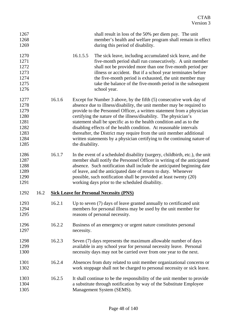| 1267<br>1268<br>1269                                                 |      |        |                 | shall result in loss of the 50% per diem pay. The unit<br>member's health and welfare program shall remain in effect<br>during this period of disability.                                                                                                                                                                                                                                                                                                                                                                                                                                    |
|----------------------------------------------------------------------|------|--------|-----------------|----------------------------------------------------------------------------------------------------------------------------------------------------------------------------------------------------------------------------------------------------------------------------------------------------------------------------------------------------------------------------------------------------------------------------------------------------------------------------------------------------------------------------------------------------------------------------------------------|
| 1270<br>1271<br>1272<br>1273<br>1274<br>1275<br>1276                 |      |        | 16.1.5.5        | The sick leave, including accumulated sick leave, and the<br>five-month period shall run consecutively. A unit member<br>shall not be provided more than one five-month period per<br>illness or accident. But if a school year terminates before<br>the five-month period is exhausted, the unit member may<br>take the balance of the five-month period in the subsequent<br>school year.                                                                                                                                                                                                  |
| 1277<br>1278<br>1279<br>1280<br>1281<br>1282<br>1283<br>1284<br>1285 |      | 16.1.6 | the disability. | Except for Number 3 above, by the fifth (5) consecutive work day of<br>absence due to illness/disability, the unit member may be required to<br>provide to the Personnel Officer, a written statement from a physician<br>certifying the nature of the illness/disability. The physician's<br>statement shall be specific as to the health condition and as to the<br>disabling effects of the health condition. At reasonable intervals<br>thereafter, the District may require from the unit member additional<br>written statements by a physician certifying to the continuing nature of |
| 1286<br>1287<br>1288<br>1289<br>1290<br>1291                         |      | 16.1.7 |                 | In the event of a scheduled disability (surgery, childbirth, etc.), the unit<br>member shall notify the Personnel Officer in writing of the anticipated<br>absence. Such notification shall include the anticipated beginning date<br>of leave, and the anticipated date of return to duty. Whenever<br>possible, such notification shall be provided at least twenty (20)<br>working days prior to the scheduled disability.                                                                                                                                                                |
| 1292                                                                 | 16.2 |        |                 | <b>Sick Leave for Personal Necessity (PNS)</b>                                                                                                                                                                                                                                                                                                                                                                                                                                                                                                                                               |
| 1293<br>1294<br>1295                                                 |      | 16.2.1 |                 | Up to seven (7) days of leave granted annually to certificated unit<br>members for personal illness may be used by the unit member for<br>reasons of personal necessity.                                                                                                                                                                                                                                                                                                                                                                                                                     |
| 1296<br>1297                                                         |      | 16.2.2 | necessity.      | Business of an emergency or urgent nature constitutes personal                                                                                                                                                                                                                                                                                                                                                                                                                                                                                                                               |
| 1298<br>1299<br>1300                                                 |      | 16.2.3 |                 | Seven (7) days represents the maximum allowable number of days<br>available in any school year for personal necessity leave. Personal<br>necessity days may not be carried over from one year to the next.                                                                                                                                                                                                                                                                                                                                                                                   |
| 1301<br>1302                                                         |      | 16.2.4 |                 | Absences from duty related to unit member organizational concerns or<br>work stoppage shall not be charged to personal necessity or sick leave.                                                                                                                                                                                                                                                                                                                                                                                                                                              |
| 1303<br>1304<br>1305                                                 |      | 16.2.5 |                 | It shall continue to be the responsibility of the unit member to provide<br>a substitute through notification by way of the Substitute Employee<br>Management System (SEMS).                                                                                                                                                                                                                                                                                                                                                                                                                 |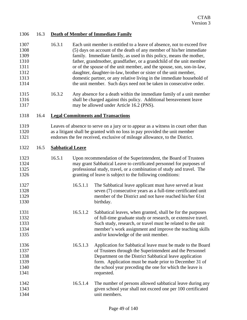| 1307 | 16.3.1 | Each unit member is entitled to a leave of absence, not to exceed five |
|------|--------|------------------------------------------------------------------------|
| 1308 |        | (5) days on account of the death of any member of his/her immediate    |
| 1309 |        | family. Immediate family, as used in this policy, means the mother,    |
| 1310 |        | father, grandmother, grandfather, or a grandchild of the unit member   |
| 1311 |        | or of the spouse of the unit member, and the spouse, son, son-in-law,  |
| 1312 |        | daughter, daughter-in-law, brother or sister of the unit member,       |
| 1313 |        | domestic partner, or any relative living in the immediate household of |
| 1314 |        | the unit member. Such days need not be taken in consecutive order.     |
|      |        |                                                                        |

1315 16.3.2 Any absence for a death within the immediate family of a unit member 1316 shall be charged against this policy. Additional bereavement leave 1317 may be allowed under Article 16.2 (PNS).

### 1318 16.4 **Legal Commitments and Transactions**

1319 Leaves of absence to serve on a jury or to appear as a witness in court other than 1320 as a litigant shall be granted with no loss in pay provided the unit member 1321 endorses the fee received, exclusive of mileage allowance, to the District.

### 1322 16.5 **Sabbatical Leave**

### 1323 16.5.1 Upon recommendation of the Superintendent, the Board of Trustees 1324 may grant Sabbatical Leave to certificated personnel for purposes of 1325 professional study, travel, or a combination of study and travel. The 1326 granting of leave is subject to the following conditions:

| 1327 | 16.5.1.1 | The Sabbatical leave applicant must have served at least     |
|------|----------|--------------------------------------------------------------|
| 1328 |          | seven (7) consecutive years as a full-time certificated unit |
| 1329 |          | member of the District and not have reached his/her 61st     |
| 1330 |          | birthday.                                                    |

- 1331 16.5.1.2 Sabbatical leaves, when granted, shall be for the purposes 1332 of full-time graduate study or research, or extensive travel. 1333 Such study, research, or travel must be related to the unit 1334 member's work assignment and improve the teaching skills 1335 and/or knowledge of the unit member.
- 1336 16.5.1.3 Application for Sabbatical leave must be made to the Board 1337 of Trustees through the Superintendent and the Personnel 1338 Department on the District Sabbatical leave application 1339 form. Application must be made prior to December 31 of 1340 the school year preceding the one for which the leave is 1341 requested.
- 1342 16.5.1.4 The number of persons allowed sabbatical leave during any 1343 given school year shall not exceed one per 100 certificated 1344 unit members.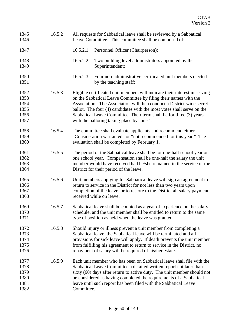| 1345<br>1346                                 | 16.5.2 |            | All requests for Sabbatical leave shall be reviewed by a Sabbatical<br>Leave Committee. This committee shall be composed of:                                                                                                                                                                                                                                                                                           |
|----------------------------------------------|--------|------------|------------------------------------------------------------------------------------------------------------------------------------------------------------------------------------------------------------------------------------------------------------------------------------------------------------------------------------------------------------------------------------------------------------------------|
| 1347                                         |        | 16.5.2.1   | Personnel Officer (Chairperson);                                                                                                                                                                                                                                                                                                                                                                                       |
| 1348<br>1349                                 |        | 16.5.2.2   | Two building level administrators appointed by the<br>Superintendent;                                                                                                                                                                                                                                                                                                                                                  |
| 1350<br>1351                                 |        | 16.5.2.3   | Four non-administrative certificated unit members elected<br>by the teaching staff;                                                                                                                                                                                                                                                                                                                                    |
| 1352<br>1353<br>1354<br>1355<br>1356<br>1357 | 16.5.3 |            | Eligible certificated unit members will indicate their interest in serving<br>on the Sabbatical Leave Committee by filing their names with the<br>Association. The Association will then conduct a District-wide secret<br>ballot. The four (4) candidates with the most votes shall serve on the<br>Sabbatical Leave Committee. Their term shall be for three (3) years<br>with the balloting taking place by June 1. |
| 1358<br>1359<br>1360                         | 16.5.4 |            | The committee shall evaluate applicants and recommend either<br>"Consideration warranted" or "not recommended for this year." The<br>evaluation shall be completed by February 1.                                                                                                                                                                                                                                      |
| 1361<br>1362<br>1363<br>1364                 | 16.5.5 |            | The period of the Sabbatical leave shall be for one-half school year or<br>one school year. Compensation shall be one-half the salary the unit<br>member would have received had he/she remained in the service of the<br>District for their period of the leave.                                                                                                                                                      |
| 1365<br>1366<br>1367<br>1368                 | 16.5.6 |            | Unit members applying for Sabbatical leave will sign an agreement to<br>return to service in the District for not less than two years upon<br>completion of the leave, or to restore to the District all salary payment<br>received while on leave.                                                                                                                                                                    |
| 1369<br>1370<br>1371                         | 16.5.7 |            | Sabbatical leave shall be counted as a year of experience on the salary<br>schedule, and the unit member shall be entitled to return to the same<br>type of position as held when the leave was granted.                                                                                                                                                                                                               |
| 1372<br>1373<br>1374<br>1375<br>1376         | 16.5.8 |            | Should injury or illness prevent a unit member from completing a<br>Sabbatical leave, the Sabbatical leave will be terminated and all<br>provisions for sick leave will apply. If death prevents the unit member<br>from fulfilling his agreement to return to service in the District, no<br>repayment of salary will be required of his/her estate.                                                                  |
| 1377<br>1378<br>1379<br>1380<br>1381<br>1382 | 16.5.9 | Committee. | Each unit member who has been on Sabbatical leave shall file with the<br>Sabbatical Leave Committee a detailed written report not later than<br>sixty (60) days after return to active duty. The unit member should not<br>be considered as having completed the requirements of a Sabbatical<br>leave until such report has been filed with the Sabbatical Leave                                                      |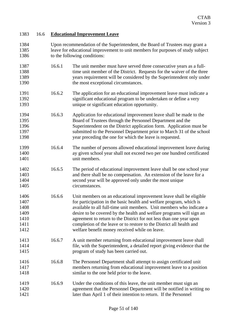### 1383 16.6 **Educational Improvement Leave**

- 1384 Upon recommendation of the Superintendent, the Board of Trustees may grant a 1385 leave for educational improvement to unit members for purposes of study subject 1386 to the following conditions: 1387 16.6.1 The unit member must have served three consecutive years as a full-
- 1388 time unit member of the District. Requests for the waiver of the three 1389 years requirement will be considered by the Superintendent only under 1390 the most exceptional circumstances.
- 1391 16.6.2 The application for an educational improvement leave must indicate a 1392 significant educational program to be undertaken or define a very 1393 unique or significant education opportunity.
- 1394 16.6.3 Application for educational improvement leave shall be made to the 1395 Board of Trustees through the Personnel Department and the 1396 Superintendent on the District application form. Application must be 1397 submitted to the Personnel Department prior to March 31 of the school 1398 year preceding the one for which the leave is requested.
- 1399 16.6.4 The number of persons allowed educational improvement leave during 1400 ay given school year shall not exceed two per one hundred certificated 1401 unit members.
- 1402 16.6.5 The period of educational improvement leave shall be one school year 1403 and there shall be no compensation. An extension of the leave for a 1404 second year will be approved only under the most unique 1405 circumstances.
- 1406 16.6.6 Unit members on an educational improvement leave shall be eligible 1407 for participation in the basic health and welfare program, which is 1408 available to all full-time unit members. Unit members who indicate a 1409 desire to be covered by the health and welfare programs will sign an 1410 agreement to return to the District for not less than one year upon 1411 completion of the leave or to restore to the District all health and 1412 welfare benefit money received while on leave.
- 1413 16.6.7 A unit member returning from educational improvement leave shall 1414 file, with the Superintendent, a detailed report giving evidence that the 1415 program of study has been carried out.
- 1416 16.6.8 The Personnel Department shall attempt to assign certificated unit 1417 members returning from educational improvement leave to a position 1418 similar to the one held prior to the leave.
- 1419 16.6.9 Under the conditions of this leave, the unit member must sign an 1420 agreement that the Personnel Department will be notified in writing no 1421 later than April 1 of their intention to return. If the Personnel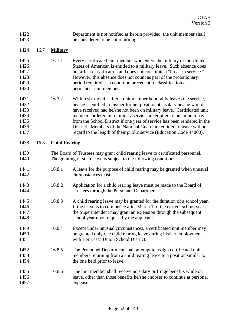| 1422 | Department is not notified as herein provided, the unit member shall |
|------|----------------------------------------------------------------------|
| 1423 | be considered to be not returning.                                   |

### 1424 16.7 **Military**

- 1425 16.7.1 Every certificated unit member who enters the military of the United 1426 States of American is entitled to a military leave. Such absence does 1427 not affect classification and does not constitute a "break in service." 1428 However, this absence does not count as part of the probationary 1429 period required as a condition precedent to classification as a 1430 permanent unit member.
- 1431 16.7.2 Within six months after a unit member honorably leaves the service, 1432 he/she is entitled to his/her former position at a salary he/she would 1433 have received had he/she not been on military leave. Certificated unit 1434 members ordered into military service are entitled to one month pay 1435 from the School District if one year of service has been rendered in the 1436 District. Members of the National Guard are entitled to leave without 1437 regard to the length of their public service (Education Code 44800).

### 1438 16.8 **Child Rearing**

- 1439 The Board of Trustees may grant child rearing leave to certificated personnel. 1440 The granting of such leave is subject to the following conditions:
- 1441 16.8.1 A leave for the purpose of child rearing may be granted when unusual 1442 circumstances exist.
- 1443 16.8.2 Application for a child rearing leave must be made to the Board of 1444 Trustees through the Personnel Department.
- 1445 16.8.3 A child rearing leave may be granted for the duration of a school year. 1446 If the leave is to commence after March 1 of the current school year, 1447 the Superintendent may grant an extension through the subsequent 1448 school year upon request by the applicant.
- 1449 16.8.4 Except under unusual circumstances, a certificated unit member may 1450 be granted only one child rearing leave during his/her employment 1451 with Berryessa Union School District.
- 1452 16.8.5 The Personnel Department shall attempt to assign certificated unit 1453 members returning from a child rearing leave to a position similar to 1454 the one held prior to leave.
- 1455 16.8.6 The unit member shall receive no salary or fringe benefits while on 1456 leave, other than those benefits he/she chooses to continue at personal 1457 expense.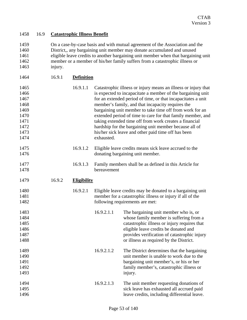### 1458 16.9 **Catastrophic Illness Benefit**

1459 On a case-by-case basis and with mutual agreement of the Association and the 1460 District,, any bargaining unit member may donate accumulated and unused 1461 eligible leave credits to another bargaining unit member when that bargaining unit 1462 member or a member of his/her family suffers from a catastrophic illness or 1463 injury.

| 1464 | 16.9.1 | <b>Definition</b> |
|------|--------|-------------------|
|      |        |                   |

| 1465<br>1466<br>1467<br>1468<br>1469<br>1470<br>1471<br>1472<br>1473<br>1474 |        | 16.9.1.1           | exhausted.  | Catastrophic illness or injury means an illness or injury that<br>is expected to incapacitate a member of the bargaining unit<br>for an extended period of time, or that incapacitates a unit<br>member's family, and that incapacity requires the<br>bargaining unit member to take time off from work for an<br>extended period of time to care for that family member, and<br>taking extended time off from work creates a financial<br>hardship for the bargaining unit member because all of<br>his/her sick leave and other paid time off has been |
|------------------------------------------------------------------------------|--------|--------------------|-------------|----------------------------------------------------------------------------------------------------------------------------------------------------------------------------------------------------------------------------------------------------------------------------------------------------------------------------------------------------------------------------------------------------------------------------------------------------------------------------------------------------------------------------------------------------------|
| 1475<br>1476                                                                 |        | 16.9.1.2           |             | Eligible leave credits means sick leave accrued to the<br>donating bargaining unit member.                                                                                                                                                                                                                                                                                                                                                                                                                                                               |
| 1477<br>1478                                                                 |        | 16.9.1.3           | bereavement | Family members shall be as defined in this Article for                                                                                                                                                                                                                                                                                                                                                                                                                                                                                                   |
| 1479                                                                         | 16.9.2 | <b>Eligibility</b> |             |                                                                                                                                                                                                                                                                                                                                                                                                                                                                                                                                                          |
| 1480<br>1481<br>1482                                                         |        | 16.9.2.1           |             | Eligible leave credits may be donated to a bargaining unit<br>member for a catastrophic illness or injury if all of the<br>following requirements are met:                                                                                                                                                                                                                                                                                                                                                                                               |
| 1483<br>1484<br>1485<br>1486<br>1487<br>1488                                 |        |                    | 16.9.2.1.1  | The bargaining unit member who is, or<br>whose family member is suffering from a<br>catastrophic illness or injury requires that<br>eligible leave credits be donated and<br>provides verification of catastrophic injury<br>or illness as required by the District.                                                                                                                                                                                                                                                                                     |
| 1489<br>1490<br>1491<br>1492<br>1493                                         |        |                    | 16.9.2.1.2  | The District determines that the bargaining<br>unit member is unable to work due to the<br>bargaining unit member's, or his or her<br>family member's, catastrophic illness or<br>injury.                                                                                                                                                                                                                                                                                                                                                                |
| 1494<br>1495<br>1496                                                         |        |                    | 16.9.2.1.3  | The unit member requesting donations of<br>sick leave has exhausted all accrued paid<br>leave credits, including differential leave.                                                                                                                                                                                                                                                                                                                                                                                                                     |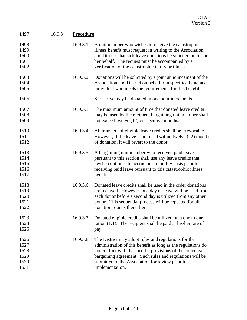| 1497                                         | 16.9.3 | <b>Procedure</b> |                                                                                                                                                                                                                                                                                                                        |
|----------------------------------------------|--------|------------------|------------------------------------------------------------------------------------------------------------------------------------------------------------------------------------------------------------------------------------------------------------------------------------------------------------------------|
| 1498<br>1499<br>1500<br>1501<br>1502         |        | 16.9.3.1         | A unit member who wishes to receive the catastrophic<br>illness benefit must request in writing to the Association<br>and District that sick leave donations be solicited on his or<br>her behalf. The request must be accompanied by a<br>verification of the catastrophic injury or illness.                         |
| 1503<br>1504<br>1505                         |        | 16.9.3.2         | Donations will be solicited by a joint announcement of the<br>Association and District on behalf of a specifically named<br>individual who meets the requirements for this benefit.                                                                                                                                    |
| 1506                                         |        |                  | Sick leave may be donated in one hour increments.                                                                                                                                                                                                                                                                      |
| 1507<br>1508<br>1509                         |        | 16.9.3.3         | The maximum amount of time that donated leave credits<br>may be used by the recipient bargaining unit member shall<br>not exceed twelve (12) consecutive months.                                                                                                                                                       |
| 1510<br>1511<br>1512                         |        | 16.9.3.4         | All transfers of eligible leave credits shall be irrevocable.<br>However, if the leave is not used within twelve (12) months<br>of donation, it will revert to the donor.                                                                                                                                              |
| 1513<br>1514<br>1515<br>1516<br>1517         |        | 16.9.3.5         | A bargaining unit member who received paid leave<br>pursuant to this section shall use any leave credits that<br>he/she continues to accrue on a monthly basis prior to<br>receiving paid leave pursuant to this catastrophic illness<br>benefit.                                                                      |
| 1518<br>1519<br>1520<br>1521<br>1522         |        | 16.9.3.6         | Donated leave credits shall be used in the order donations<br>are received. However, one day of leave will be used from<br>each donor before a second day is utilized from any other<br>donor. This sequential process will be repeated for all<br>donation rounds thereafter.                                         |
| 1523<br>1524<br>1525                         |        | 16.9.3.7         | Donated eligible credits shall be utilized on a one to one<br>ration $(1:1)$ . The recipient shall be paid at his/her rate of<br>pay.                                                                                                                                                                                  |
| 1526<br>1527<br>1528<br>1529<br>1530<br>1531 |        | 16.9.3.8         | The District may adopt rules and regulations for the<br>administration of this benefit as long as the regulations do<br>not conflict with the specific provisions of the collective<br>bargaining agreement. Such rules and regulations will be<br>submitted to the Association for review prior to<br>implementation. |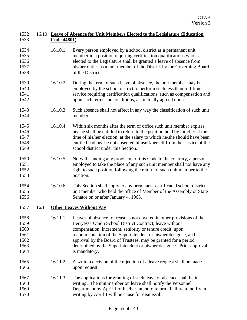### 1532 16.10 **Leave of Absence for Unit Members Elected to the Legislature (Education**  1533 **Code 44801)**

- 1534 16.10.1 Every person employed by a school district as a permanent unit 1535 member in a position requiring certification qualifications who is 1536 elected to the Legislature shall be granted a leave of absence from 1537 his/her duties as a unit member of the District by the Governing Board 1538 of the District.
- 1539 16.10.2 During the term of such leave of absence, the unit member may be 1540 employed by the school district to perform such less than full-time 1541 service requiring certification qualifications, such as compensation and 1542 upon such terms and conditions, as mutually agreed upon.
- 1543 16.10.3 Such absence shall not affect in any way the classification of such unit 1544 member.
- 1545 16.10.4 Within six months after the term of office such unit member expires, 1546 he/she shall be entitled to return to the position held by him/her at the 1547 time of his/her election, at the salary to which he/she should have been 1548 entitled had he/she not absented himself/herself from the service of the 1549 school district under this Section.
- 1550 16.10.5 Notwithstanding any provision of this Code to the contrary, a person 1551 employed to take the place of any such unit member shall not have any 1552 right to such position following the return of such unit member to the 1553 position.
- 1554 16.10.6 This Section shall apply to any permanent certificated school district 1555 unit member who held the office of Member of the Assembly or State 1556 Senator on or after January 4, 1965.
- 1557 16.11 **Other Leaves Without Pay**
- 1558 16.11.1 Leaves of absence for reasons not covered in other provisions of the 1559 Berryessa Union School District Contract, leave without 1560 compensation, increment, seniority or tenure credit, upon 1561 recommendation of the Superintendent or his/her designee, and 1562 approval by the Board of Trustees, may be granted for a period 1563 determined by the Superintendent or his/her designee. Prior approval 1564 is mandatory.
- 1565 16.11.2 A written decision of the rejection of a leave request shall be made 1566 upon request.
- 1567 16.11.3 The applications for granting of such leave of absence shall be in 1568 writing. The unit member on leave shall notify the Personnel 1569 Department by April 1 of his/her intent to return. Failure to notify in 1570 writing by April 1 will be cause for dismissal.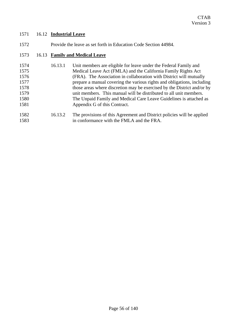### 1571 16.12 **Industrial Leave**

| 1572 | Provide the leave as set forth in Education Code Section 44984. |  |
|------|-----------------------------------------------------------------|--|
|      |                                                                 |  |

## 1573 16.13 **Family and Medical Leave**

| 1574 | 16.13.1 | Unit members are eligible for leave under the Federal Family and        |
|------|---------|-------------------------------------------------------------------------|
| 1575 |         | Medical Leave Act (FMLA) and the California Family Rights Act           |
| 1576 |         | (FRA). The Association in collaboration with District will mutually     |
| 1577 |         | prepare a manual covering the various rights and obligations, including |
| 1578 |         | those areas where discretion may be exercised by the District and/or by |
| 1579 |         | unit members. This manual will be distributed to all unit members.      |
| 1580 |         | The Unpaid Family and Medical Care Leave Guidelines is attached as      |
| 1581 |         | Appendix G of this Contract.                                            |
| 1582 | 16132   | The provisions of this Agreement and District policies will be applied  |

1582 16.13.2 The provisions of this Agreement and District policies will be applied<br>1583 in conformance with the FMLA and the FRA. in conformance with the FMLA and the FRA.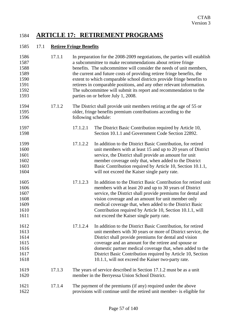## 1584 **ARTICLE 17: RETIREMENT PROGRAMS**

### 1585 17.1 **Retiree Fringe Benefits**

| 1586<br>1587<br>1588<br>1589<br>1590<br>1591<br>1592<br>1593 | 17.1.1 |          | In preparation for the 2008-2009 negotiations, the parties will establish<br>a subcommittee to make recommendations about retiree fringe<br>benefits. The subcommittee will consider the needs of unit members,<br>the current and future costs of providing retiree fringe benefits, the<br>extent to which comparable school districts provide fringe benefits to<br>retirees in comparable positions, and any other relevant information.<br>The subcommittee will submit its report and recommendation to the<br>parties on or before July 1, 2008. |
|--------------------------------------------------------------|--------|----------|---------------------------------------------------------------------------------------------------------------------------------------------------------------------------------------------------------------------------------------------------------------------------------------------------------------------------------------------------------------------------------------------------------------------------------------------------------------------------------------------------------------------------------------------------------|
| 1594<br>1595<br>1596                                         | 17.1.2 |          | The District shall provide unit members retiring at the age of 55 or<br>older, fringe benefits premium contributions according to the<br>following schedule:                                                                                                                                                                                                                                                                                                                                                                                            |
| 1597<br>1598                                                 |        | 17.1.2.1 | The District Basic Contribution required by Article 10,<br>Section 10.1.1 and Government Code Section 22892.                                                                                                                                                                                                                                                                                                                                                                                                                                            |
| 1599<br>1600<br>1601<br>1602<br>1603<br>1604                 |        | 17.1.2.2 | In addition to the District Basic Contribution, for retired<br>unit members with at least 15 and up to 20 years of District<br>service, the District shall provide an amount for unit<br>member coverage only that, when added to the District<br>Basic Contribution required by Article 10, Section 10.1.1,<br>will not exceed the Kaiser single party rate.                                                                                                                                                                                           |
| 1605<br>1606<br>1607<br>1608<br>1609<br>1610<br>1611         |        | 17.1.2.3 | In addition to the District Basic Contribution for retired unit<br>members with at least 20 and up to 30 years of District<br>service, the District shall provide premiums for dental and<br>vision coverage and an amount for unit member only<br>medical coverage that, when added to the District Basic<br>Contribution required by Article 10, Section 10.1.1, will<br>not exceed the Kaiser single party rate.                                                                                                                                     |
| 1612<br>1613<br>1614<br>1615<br>1616<br>1617<br>1618         |        | 17.1.2.4 | In addition to the District Basic Contribution, for retired<br>unit members with 30 years or more of District service, the<br>District shall provide premiums for dental and vision<br>coverage and an amount for the retiree and spouse or<br>domestic partner medical coverage that, when added to the<br>District Basic Contribution required by Article 10, Section<br>10.1.1, will not exceed the Kaiser two-party rate.                                                                                                                           |
| 1619<br>1620                                                 | 17.1.3 |          | The years of service described in Section 17.1.2 must be as a unit<br>member in the Berryessa Union School District.                                                                                                                                                                                                                                                                                                                                                                                                                                    |
| 1621<br>1622                                                 | 17.1.4 |          | The payment of the premiums (if any) required under the above<br>provisions will continue until the retired unit member- is eligible for                                                                                                                                                                                                                                                                                                                                                                                                                |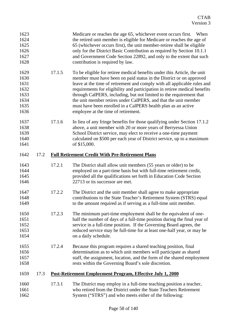| 1623<br>1624<br>1625<br>1626<br>1627<br>1628                 |      |        | Medicare or reaches the age 65, whichever event occurs first.<br>When<br>the retired unit member is eligible for Medicare or reaches the age of<br>65 (whichever occurs first), the unit member-retiree shall be eligible<br>only for the District Basic Contribution as required by Section 10.1.1<br>and Government Code Section 22892, and only to the extent that such<br>contribution is required by law.                                                                                                                                              |
|--------------------------------------------------------------|------|--------|-------------------------------------------------------------------------------------------------------------------------------------------------------------------------------------------------------------------------------------------------------------------------------------------------------------------------------------------------------------------------------------------------------------------------------------------------------------------------------------------------------------------------------------------------------------|
| 1629<br>1630<br>1631<br>1632<br>1633<br>1634<br>1635<br>1636 |      | 17.1.5 | To be eligible for retiree medical benefits under this Article, the unit<br>member must have been on paid status in the District or on approved<br>leave at the time of retirement and comply with all applicable rules and<br>requirements for eligibility and participation in retiree medical benefits<br>through CalPERS, including, but not limited to the requirement that<br>the unit member retires under CalPERS, and that the unit member<br>must have been enrolled in a CalPERS health plan as an active<br>employee at the time of retirement. |
| 1637<br>1638<br>1639<br>1640<br>1641                         |      | 17.1.6 | In lieu of any fringe benefits for those qualifying under Section 17.1.2<br>above, a unit member with 20 or more years of Berryessa Union<br>School District service, may elect to receive a one-time payment<br>calculated on \$500 per each year of District service, up to a maximum<br>of \$15,000.                                                                                                                                                                                                                                                     |
| 1642                                                         | 17.2 |        | <b>Full Retirement Credit With Pre-Retirement Plans</b>                                                                                                                                                                                                                                                                                                                                                                                                                                                                                                     |
| 1643<br>1644<br>1645<br>1646                                 |      | 17.2.1 | The District shall allow unit members (55 years or older) to be<br>employed on a part-time basis but with full-time retirement credit,<br>provided all the qualifications set forth in Education Code Section<br>22713 or its successor are met.                                                                                                                                                                                                                                                                                                            |
| 1647<br>1648<br>1649                                         |      | 17.2.2 | The District and the unit member shall agree to make appropriate<br>contributions to the State Teacher's Retirement System (STRS) equal<br>to the amount required as if serving as a full-time unit member.                                                                                                                                                                                                                                                                                                                                                 |
| 1650<br>1651<br>1652<br>1653<br>1654                         |      | 17.2.3 | The minimum part-time employment shall be the equivalent of one-<br>half the number of days of a full-time position during the final year of<br>service in a full-time position. If the Governing Board agrees, the<br>reduced service may be full-time for at least one-half year, or may be<br>on a daily schedule.                                                                                                                                                                                                                                       |
| 1655<br>1656<br>1657<br>1658                                 |      | 17.2.4 | Because this program requires a shared teaching position, final<br>determination as to which unit members will participate as shared<br>staff, the assignment, location, and the form of the shared employment<br>rests within the Governing Board's sole discretion.                                                                                                                                                                                                                                                                                       |
| 1659                                                         | 17.3 |        | Post-Retirement Employment Program, Effective July 1, 2000                                                                                                                                                                                                                                                                                                                                                                                                                                                                                                  |
| 1660<br>1661<br>1662                                         |      | 17.3.1 | The District may employ in a full-time teaching position a teacher,<br>who retired from the District under the State Teachers Retirement<br>System ("STRS") and who meets either of the following:                                                                                                                                                                                                                                                                                                                                                          |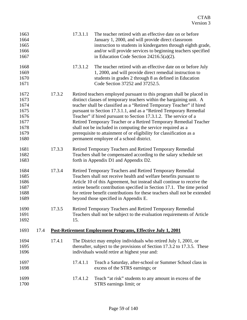| 1663<br>1664<br>1665<br>1666<br>1667                                 |      |        | 17.3.1.1 | The teacher retired with an effective date on or before<br>January 1, 2000, and will provide direct classroom<br>instruction to students in kindergarten through eighth grade,<br>and/or will provide services to beginning teachers specified<br>in Education Code Section $24216.5(a)(2)$ .                                                                                                                                                                                                                                                                                                                             |
|----------------------------------------------------------------------|------|--------|----------|---------------------------------------------------------------------------------------------------------------------------------------------------------------------------------------------------------------------------------------------------------------------------------------------------------------------------------------------------------------------------------------------------------------------------------------------------------------------------------------------------------------------------------------------------------------------------------------------------------------------------|
| 1668<br>1669<br>1670<br>1671                                         |      |        | 17.3.1.2 | The teacher retired with an effective date on or before July<br>1, 2000, and will provide direct remedial instruction to<br>students in grades 2 through 8 as defined in Education<br>Code Section 37252 and 37252.5.                                                                                                                                                                                                                                                                                                                                                                                                     |
| 1672<br>1673<br>1674<br>1675<br>1676<br>1677<br>1678<br>1679<br>1680 |      | 17.3.2 |          | Retired teachers employed pursuant to this program shall be placed in<br>distinct classes of temporary teachers within the bargaining unit. A<br>teacher shall be classified as a "Retired Temporary Teacher" if hired<br>pursuant to Section 17.3.1.1, and as a "Retired Temporary Remedial<br>Teacher" if hired pursuant to Section 17.3.1.2. The service of a<br>Retired Temporary Teacher or a Retired Temporary Remedial Teacher<br>shall not be included in computing the service required as a<br>prerequisite to attainment of or eligibility for classification as a<br>permanent employee of a school district. |
| 1681<br>1682<br>1683                                                 |      | 17.3.3 |          | Retired Temporary Teachers and Retired Temporary Remedial<br>Teachers shall be compensated according to the salary schedule set<br>forth in Appendix D1 and Appendix D2.                                                                                                                                                                                                                                                                                                                                                                                                                                                  |
| 1684<br>1685<br>1686<br>1687<br>1688<br>1689                         |      | 17.3.4 |          | Retired Temporary Teachers and Retired Temporary Remedial<br>Teachers shall not receive health and welfare benefits pursuant to<br>Article 10 of this Agreement, but instead shall continue to receive the<br>retiree benefit contribution specified in Section 17.1. The time period<br>for retiree benefit contributions for these teachers shall not be extended<br>beyond those specified in Appendix E.                                                                                                                                                                                                              |
| 1690<br>1691<br>1692                                                 |      | 17.3.5 | 15.      | Retired Temporary Teachers and Retired Temporary Remedial<br>Teachers shall not be subject to the evaluation requirements of Article                                                                                                                                                                                                                                                                                                                                                                                                                                                                                      |
| 1693                                                                 | 17.4 |        |          | <u>Post-Retirement Employment Programs, Effective July 1, 2001</u>                                                                                                                                                                                                                                                                                                                                                                                                                                                                                                                                                        |
| 1694<br>1695<br>1696                                                 |      | 17.4.1 |          | The District may employ individuals who retired July 1, 2001, or<br>thereafter, subject to the provisions of Section 17.3.2 to 17.3.5. These<br>individuals would retire at highest year and:                                                                                                                                                                                                                                                                                                                                                                                                                             |
| 1697<br>1698                                                         |      |        | 17.4.1.1 | Teach a Saturday, after-school or Summer School class in<br>excess of the STRS earnings; or                                                                                                                                                                                                                                                                                                                                                                                                                                                                                                                               |
| 1699<br>1700                                                         |      |        | 17.4.1.2 | Teach "at risk" students to any amount in excess of the<br>STRS earnings limit; or                                                                                                                                                                                                                                                                                                                                                                                                                                                                                                                                        |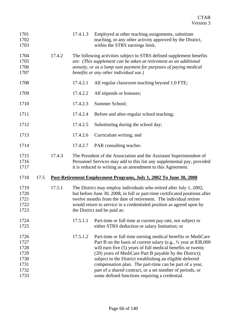| 1701<br>1702<br>1703                                 |      |        | 17.4.1.3 | Employed at other teaching assignments, substitute<br>teaching, or any other activity approved by the District,<br>within the STRS earnings limit.                                                                                                                                                                                                                                                                                              |
|------------------------------------------------------|------|--------|----------|-------------------------------------------------------------------------------------------------------------------------------------------------------------------------------------------------------------------------------------------------------------------------------------------------------------------------------------------------------------------------------------------------------------------------------------------------|
| 1704<br>1705<br>1706<br>1707                         |      | 17.4.2 |          | The following activities subject to STRS defined supplement benefits<br>are: (This supplement can be taken at retirement as an additional<br>annuity, or as a lump sum payment for purposes of paying medical<br>benefits or any other individual use.)                                                                                                                                                                                         |
| 1708                                                 |      |        | 17.4.2.1 | All regular classroom teaching beyond 1.0 FTE;                                                                                                                                                                                                                                                                                                                                                                                                  |
| 1709                                                 |      |        | 17.4.2.2 | All stipends or bonuses;                                                                                                                                                                                                                                                                                                                                                                                                                        |
| 1710                                                 |      |        | 17.4.2.3 | Summer School;                                                                                                                                                                                                                                                                                                                                                                                                                                  |
| 1711                                                 |      |        | 17.4.2.4 | Before and after-regular school teaching;                                                                                                                                                                                                                                                                                                                                                                                                       |
| 1712                                                 |      |        | 17.4.2.5 | Substituting during the school day;                                                                                                                                                                                                                                                                                                                                                                                                             |
| 1713                                                 |      |        | 17.4.2.6 | Curriculum writing; and                                                                                                                                                                                                                                                                                                                                                                                                                         |
| 1714                                                 |      |        | 17.4.2.7 | PAR consulting teacher.                                                                                                                                                                                                                                                                                                                                                                                                                         |
| 1715<br>1716<br>1717                                 |      | 17.4.3 |          | The President of the Association and the Assistant Superintendent of<br>Personnel Services may add to this list any supplemental pay, provided<br>it is reduced to writing as an amendment to this Agreement.                                                                                                                                                                                                                                   |
| 1718                                                 | 17.5 |        |          | Post-Retirement Employment Programs, July 1, 2002 To June 30, 2008                                                                                                                                                                                                                                                                                                                                                                              |
| 1719<br>1720<br>1721<br>1722<br>1723                 |      | 17.5.1 |          | The District may employ individuals who retired after July 1, 2002,<br>but before June 30, 2008, in full or part-time certificated positions after<br>twelve months from the date of retirement. The individual retiree<br>would return to service in a credentialed position as agreed upon by<br>the District and be paid as:                                                                                                                 |
| 1724<br>1725                                         |      |        | 17.5.1.1 | Part-time or full time at current pay rate, not subject to<br>either STRS deduction or salary limitation; or                                                                                                                                                                                                                                                                                                                                    |
| 1726<br>1727<br>1728<br>1729<br>1730<br>1731<br>1732 |      |        | 17.5.1.2 | Part-time or full time earning medical benefits or MediCare<br>Part B on the basis of current salary (e.g., 1/2 year at \$38,000<br>will earn five (5) years of full medical benefits or twenty<br>(20) years of MediCare Part B payable by the District);<br>subject to the District establishing an eligible deferred<br>compensation plan. The part-time can be part of a year,<br>part of a shared contract, or a set number of periods, or |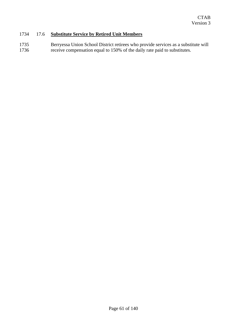### 1734 17.6 **Substitute Service by Retired Unit Members**

1735 Berryessa Union School District retirees who provide services as a substitute will<br>1736 erecive compensation equal to 150% of the daily rate paid to substitutes. receive compensation equal to 150% of the daily rate paid to substitutes.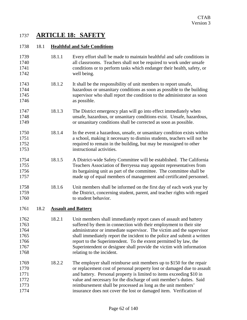## 1737 **ARTICLE 18: SAFETY**

### 1738 18.1 **Healthful and Safe Conditions**

| 1739<br>1740<br>1741<br>1742                         |      | 18.1.1 | Every effort shall be made to maintain healthful and safe conditions in<br>all classrooms. Teachers shall not be required to work under unsafe<br>conditions or to perform tasks which endanger their health, safety, or<br>well being.                                                                                                                                                                                                                                |  |  |
|------------------------------------------------------|------|--------|------------------------------------------------------------------------------------------------------------------------------------------------------------------------------------------------------------------------------------------------------------------------------------------------------------------------------------------------------------------------------------------------------------------------------------------------------------------------|--|--|
| 1743<br>1744<br>1745<br>1746                         |      | 18.1.2 | It shall be the responsibility of unit members to report unsafe,<br>hazardous or unsanitary conditions as soon as possible to the building<br>supervisor who shall report the condition to the administrator as soon<br>as possible.                                                                                                                                                                                                                                   |  |  |
| 1747<br>1748<br>1749                                 |      | 18.1.3 | The District emergency plan will go into effect immediately when<br>unsafe, hazardous, or unsanitary conditions exist. Unsafe, hazardous,<br>or unsanitary conditions shall be corrected as soon as possible.                                                                                                                                                                                                                                                          |  |  |
| 1750<br>1751<br>1752<br>1753                         |      | 18.1.4 | In the event a hazardous, unsafe, or unsanitary condition exists within<br>a school, making it necessary to dismiss students, teachers will not be<br>required to remain in the building, but may be reassigned to other<br>instructional activities.                                                                                                                                                                                                                  |  |  |
| 1754<br>1755<br>1756<br>1757                         |      | 18.1.5 | A District-wide Safety Committee will be established. The California<br>Teachers Association of Berryessa may appoint representatives from<br>its bargaining unit as part of the committee. The committee shall be<br>made up of equal members of management and certificated personnel.                                                                                                                                                                               |  |  |
| 1758<br>1759<br>1760                                 |      | 18.1.6 | Unit members shall be informed on the first day of each work year by<br>the District, concerning student, parent, and teacher rights with regard<br>to student behavior.                                                                                                                                                                                                                                                                                               |  |  |
| 1761                                                 | 18.2 |        | <b>Assault and Battery</b>                                                                                                                                                                                                                                                                                                                                                                                                                                             |  |  |
| 1762<br>1763<br>1764<br>1765<br>1766<br>1767<br>1768 |      | 18.2.1 | Unit members shall immediately report cases of assault and battery<br>suffered by them in connection with their employment to their site<br>administrator or immediate supervisor. The victim and the supervisor<br>shall immediately report the incident to the police and submit a written<br>report to the Superintendent. To the extent permitted by law, the<br>Superintendent or designee shall provide the victim with information<br>relating to the incident. |  |  |
| 1769<br>1770<br>1771<br>1772<br>1773<br>1774         |      | 18.2.2 | The employer shall reimburse unit members up to \$150 for the repair<br>or replacement cost of personal property lost or damaged due to assault<br>and battery. Personal property is limited to items exceeding \$10 in<br>value and necessary for the discharge of unit member's duties. Said<br>reimbursement shall be processed as long as the unit members'<br>insurance does not cover the lost or damaged item. Verification of                                  |  |  |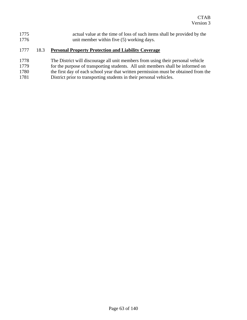| 1775 | actual value at the time of loss of such items shall be provided by the |
|------|-------------------------------------------------------------------------|
| 1776 | unit member within five (5) working days.                               |

### 1777 18.3 **Personal Property Protection and Liability Coverage**

- 
- 1778 The District will discourage all unit members from using their personal vehicle<br>1779 for the purpose of transporting students. All unit members shall be informed on for the purpose of transporting students. All unit members shall be informed on
- 1780 the first day of each school year that written permission must be obtained from the
- 1781 District prior to transporting students in their personal vehicles.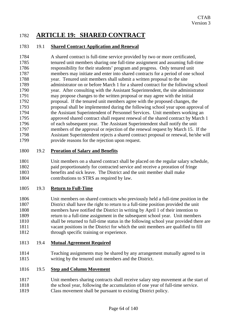## 1782 **ARTICLE 19: SHARED CONTRACT**

### 1783 19.1 **Shared Contract Application and Renewal**

1784 A shared contract is full-time service provided by two or more certificated, 1785 tenured unit members sharing one full-time assignment and assuming full-time 1786 responsibility for their students' program and progress. Only tenured unit 1787 members may initiate and enter into shared contracts for a period of one school 1788 year. Tenured unit members shall submit a written proposal to the site 1789 administrator on or before March 1 for a shared contract for the following school 1790 year. After consulting with the Assistant Superintendent, the site administrator 1791 may propose changes to the written proposal or may agree with the initial 1792 proposal. If the tenured unit members agree with the proposed changes, the 1793 proposal shall be implemented during the following school year upon approval of 1794 the Assistant Superintendent of Personnel Services. Unit members working an 1795 approved shared contract shall request renewal of the shared contract by March 1 1796 of each subsequent year. The Assistant Superintendent shall notify the unit 1797 members of the approval or rejection of the renewal request by March 15. If the 1798 Assistant Superintendent rejects a shared contract proposal or renewal, he/she will 1799 provide reasons for the rejection upon request.

### 1800 19.2 **Proration of Salary and Benefits**

1801 Unit members on a shared contract shall be placed on the regular salary schedule, 1802 paid proportionately for contracted service and receive a proration of fringe 1803 benefits and sick leave. The District and the unit member shall make 1804 contributions to STRS as required by law.

### 1805 19.3 **Return to Full-Time**

1806 Unit members on shared contracts who previously held a full-time position in the 1807 District shall have the right to return to a full-time position provided the unit 1808 members have notified the District in writing by April 1 of their intention to 1809 return to a full-time assignment in the subsequent school year. Unit members 1810 shall be returned to full-time status in the following school year provided there are 1811 vacant positions in the District for which the unit members are qualified to fill 1812 through specific training or experience.

### 1813 19.4 **Mutual Agreement Required**

1814 Teaching assignments may be shared by any arrangement mutually agreed to in 1815 writing by the tenured unit members and the District.

### 1816 19.5 **Step and Column Movement**

- 1817 Unit members sharing contracts shall receive salary step movement at the start of 1818 the school year, following the accumulation of one year of full-time service.
- 1819 Class movement shall be pursuant to existing District policy.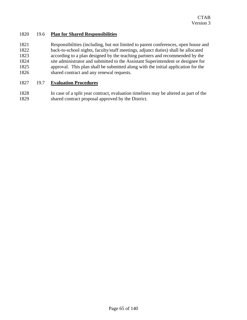### 1820 19.6 **Plan for Shared Responsibilities**

1821 Responsibilities (including, but not limited to parent conferences, open house and 1822 back-to-school nights, faculty/staff meetings, adjunct duties) shall be allocated 1823 according to a plan designed by the teaching partners and recommended by the 1824 site administrator and submitted to the Assistant Superintendent or designee for 1825 approval. This plan shall be submitted along with the initial application for the 1826 shared contract and any renewal requests.

### 1827 19.7 **Evaluation Procedures**

1828 In case of a split year contract, evaluation timelines may be altered as part of the 1829 shared contract proposal approved by the District.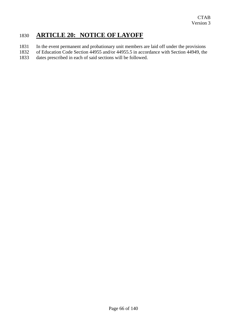## 1830 **ARTICLE 20: NOTICE OF LAYOFF**

- 1831 In the event permanent and probationary unit members are laid off under the provisions
- 1832 of Education Code Section 44955 and/or 44955.5 in accordance with Section 44949, the
- 1833 dates prescribed in each of said sections will be followed.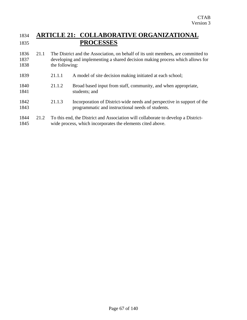## 1834 **ARTICLE 21: COLLABORATIVE ORGANIZATIONAL**  1835 **PROCESSES**

- 1836 21.1 The District and the Association, on behalf of its unit members, are committed to 1837 developing and implementing a shared decision making process which allows for 1838 the following:
- 1839 21.1.1 A model of site decision making initiated at each school; 1840 21.1.2 Broad based input from staff, community, and when appropriate, 1841 students; and 1842 21.1.3 Incorporation of District-wide needs and perspective in support of the 1843 programmatic and instructional needs of students.
- 1844 21.2 To this end, the District and Association will collaborate to develop a District-1845 wide process, which incorporates the elements cited above.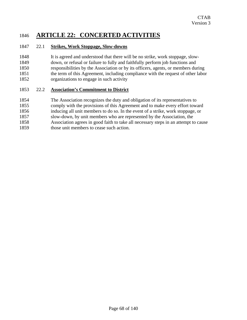## 1846 **ARTICLE 22: CONCERTED ACTIVITIES**

### 1847 22.1 **Strikes, Work Stoppage, Slow-downs**

1848 It is agreed and understood that there will be no strike, work stoppage, slow-1849 down, or refusal or failure to fully and faithfully perform job functions and 1850 responsibilities by the Association or by its officers, agents, or members during 1851 the term of this Agreement, including compliance with the request of other labor 1852 organizations to engage in such activity

### 1853 22.2 **Association's Commitment to District**

- 1854 The Association recognizes the duty and obligation of its representatives to
- 1855 comply with the provisions of this Agreement and to make every effort toward
- 1856 inducing all unit members to do so. In the event of a strike, work stoppage, or
- 1857 slow-down, by unit members who are represented by the Association, the
- 1858 Association agrees in good faith to take all necessary steps in an attempt to cause
- 1859 those unit members to cease such action.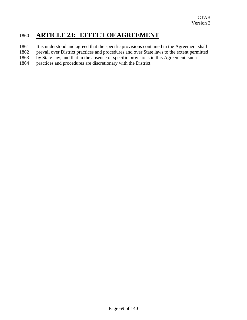## 1860 **ARTICLE 23: EFFECT OF AGREEMENT**

- 1861 It is understood and agreed that the specific provisions contained in the Agreement shall
- 1862 prevail over District practices and procedures and over State laws to the extent permitted
- 1863 by State law, and that in the absence of specific provisions in this Agreement, such
- 1864 practices and procedures are discretionary with the District.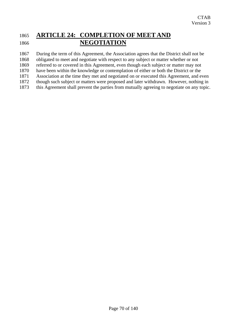## 1865 **ARTICLE 24: COMPLETION OF MEET AND**  1866 **NEGOTIATION**

1867 During the term of this Agreement, the Association agrees that the District shall not be

1868 obligated to meet and negotiate with respect to any subject or matter whether or not

1869 referred to or covered in this Agreement, even though each subject or matter may not

1870 have been within the knowledge or contemplation of either or both the District or the

1871 Association at the time they met and negotiated on or executed this Agreement, and even

1872 though such subject or matters were proposed and later withdrawn. However, nothing in 1873 this Agreement shall prevent the parties from mutually agreeing to negotiate on any topic.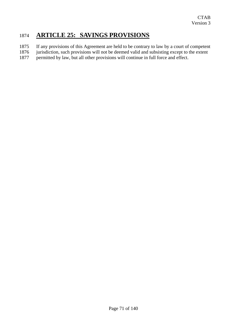### 1874 **ARTICLE 25: SAVINGS PROVISIONS**

- 1875 If any provisions of this Agreement are held to be contrary to law by a court of competent
- 1876 jurisdiction, such provisions will not be deemed valid and subsisting except to the extent 1877 permitted by law, but all other provisions will continue in full force and effect.
- permitted by law, but all other provisions will continue in full force and effect.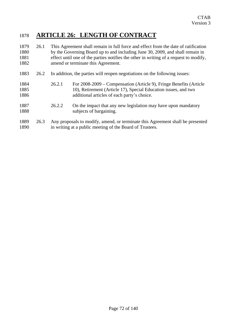# 1878 **ARTICLE 26: LENGTH OF CONTRACT**

| 1879<br>1880<br>1881<br>1882 | 26.1 | This Agreement shall remain in full force and effect from the date of ratification<br>by the Governing Board up to and including June 30, 2009, and shall remain in<br>effect until one of the parties notifies the other in writing of a request to modify,<br>amend or terminate this Agreement. |                                                                                                                                                                                      |  |
|------------------------------|------|----------------------------------------------------------------------------------------------------------------------------------------------------------------------------------------------------------------------------------------------------------------------------------------------------|--------------------------------------------------------------------------------------------------------------------------------------------------------------------------------------|--|
| 1883                         | 26.2 | In addition, the parties will reopen negotiations on the following issues:                                                                                                                                                                                                                         |                                                                                                                                                                                      |  |
| 1884<br>1885<br>1886         |      | 26.2.1                                                                                                                                                                                                                                                                                             | For 2008-2009 – Compensation (Article 9), Fringe Benefits (Article<br>10), Retirement (Article 17), Special Education issues, and two<br>additional articles of each party's choice. |  |
| 1887<br>1888                 |      | 26.2.2                                                                                                                                                                                                                                                                                             | On the impact that any new legislation may have upon mandatory<br>subjects of bargaining.                                                                                            |  |
| 1889<br>1890                 | 26.3 | Any proposals to modify, amend, or terminate this Agreement shall be presented<br>in writing at a public meeting of the Board of Trustees.                                                                                                                                                         |                                                                                                                                                                                      |  |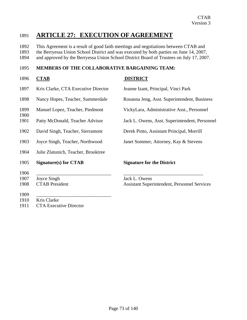# 1891 **ARTICLE 27: EXECUTION OF AGREEMENT**

1892 This Agreement is a result of good faith meetings and negotiations between CTAB and

1893 the Berryessa Union School District and was executed by both parties on June 14, 2007,

1894 and approved by the Berryessa Union School District Board of Trustees on July 17, 2007.

### 1895 **MEMBERS OF THE COLLABORATIVE BARGAINING TEAM:**

- 1896 CTAB DISTRICT
- 
- 
- 
- 
- 
- 1902 David Singh, Teacher, Sierramont Derek Pinto, Assistant Principal, Morrill
- 1903 Joyce Singh, Teacher, Northwood Janet Sommer, Attorney, Kay & Stevens
- 1904 Julie Zlatunich, Teacher, Brooktree
- 1905 **Signature(s) for CTAB Signature for the District**
- 1906 \_\_\_\_\_\_\_\_\_\_\_\_\_\_\_\_\_\_\_\_\_\_\_\_\_\_\_\_\_\_\_ \_\_\_\_\_\_\_\_\_\_\_\_\_\_\_\_\_\_\_\_\_\_\_\_\_\_\_\_\_\_\_\_\_

1900

- 1907 Joyce Singh Jack L. Owens
- 
- 1909 \_\_\_\_\_\_\_\_\_\_\_\_\_\_\_\_\_\_\_\_\_\_\_\_\_\_\_\_\_\_\_
- 1910 Kris Clarke
- 1911 CTA Executive Director

1897 Kris Clarke, CTA Executive Director Jeanne Izant, Principal, Vinci Park

1898 Nancy Hopes, Teacher, Summerdale Rosanna Jeng, Asst. Superintendent, Business

1899 Manuel Lopez, Teacher, Piedmont VickyLara, Administrative Asst., Personnel

1901 Patty McDonald, Teacher Advisor Jack L. Owens, Asst. Superintendent, Personnel

1908 CTAB President Assistant Superintendent, Personnel Services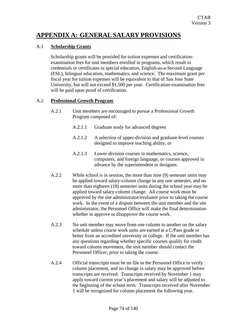# **APPENDIX A: GENERAL SALARY PROVISIONS**

### A.1 **Scholarship Grants**

Scholarship grants will be provided for tuition expenses and certificationexamination fees for unit members enrolled in programs, which result in credentials or certificates in special education, English-as-a-Second-Language (ESL), bilingual education, mathematics, and science. The maximum grant per fiscal year for tuition expenses will be equivalent to that of San Jose State University, but will not exceed \$1,500 per year. Certification-examination fees will be paid upon proof of certification.

### A.2 **Professional Growth Program**

- A.2.1 Unit members are encouraged to pursue a Professional Growth Program composed of:
	- A.2.1.1 Graduate study for advanced degrees
	- A.2.1.2 A selection of upper-division and graduate-level courses designed to improve teaching ability, or
	- A.2.1.3 Lower-division courses in mathematics, science, computers, and foreign language, or courses approved in advance by the superintendent or designee.
- A.2.2 While school is in session, the more than nine (9) semester units may be applied toward salary-column change in any one semester, and no more than eighteen (18) semester units during the school year may be applied toward salary-column change. All course work must be approved by the site administrator/evaluator prior to taking the course work. In the event of a dispute between the unit member and the site administrator, the Personnel Office will make the final determination whether to approve or disapprove the course work.
- A.2.3 No unit member may move from one column to another on the salary schedule unless course work units are earned at a C/Pass grade or better from an accredited university or college. If the unit member has any questions regarding whether specific courses qualify for credit toward column movement, the unit member should contact the Personnel Officer, prior to taking the course.
- A.2.4 Official transcripts must be on file in the Personnel Office to verify column placement, and no change in salary may be approved before transcripts are received. Transcripts received by November 1 may apply toward current year's placement and salary will be adjusted to the beginning of the school term. Transcripts received after November 1 will be recognized for column placement the following year.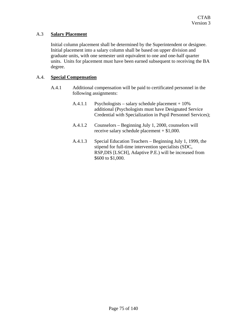### A.3 **Salary Placement**

Initial column placement shall be determined by the Superintendent or designee. Initial placement into a salary column shall be based on upper division and graduate units, with one semester unit equivalent to one and one-half quarter units. Units for placement must have been earned subsequent to receiving the BA degree.

### A.4. **Special Compensation**

- A.4.1 Additional compensation will be paid to certificated personnel in the following assignments:
	- A.4.1.1 Psychologists salary schedule placement + 10% additional (Psychologists must have Designated Service Credential with Specialization in Pupil Personnel Services);
	- A.4.1.2 Counselors Beginning July 1, 2000, counselors will receive salary schedule placement + \$1,000.
	- A.4.1.3 Special Education Teachers Beginning July 1, 1999, the stipend for full-time intervention specialists (SDC, RSP,DIS [LSCH], Adaptive P.E.) will be increased from \$600 to \$1,000.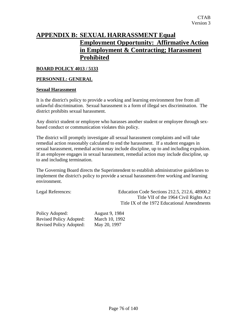# **APPENDIX B: SEXUAL HARRASSMENT Equal Employment Opportunity: Affirmative Action in Employment & Contracting; Harassment Prohibited**

### **BOARD POLICY 4013 / 5133**

### **PERSONNEL: GENERAL**

### **Sexual Harassment**

It is the district's policy to provide a working and learning environment free from all unlawful discrimination. Sexual harassment is a form of illegal sex discrimination. The district prohibits sexual harassment.

Any district student or employee who harasses another student or employee through sexbased conduct or communication violates this policy.

The district will promptly investigate all sexual harassment complaints and will take remedial action reasonably calculated to end the harassment. If a student engages in sexual harassment, remedial action may include discipline, up to and including expulsion. If an employee engages in sexual harassment, remedial action may include discipline, up to and including termination.

The Governing Board directs the Superintendent to establish administrative guidelines to implement the district's policy to provide a sexual harassment-free working and learning environment.

Legal References: Education Code Sections 212.5, 212.6, 48900.2 Title VII of the 1964 Civil Rights Act Title IX of the 1972 Educational Amendments

Policy Adopted: August 9, 1984 Revised Policy Adopted: March 10, 1992 Revised Policy Adopted: May 20, 1997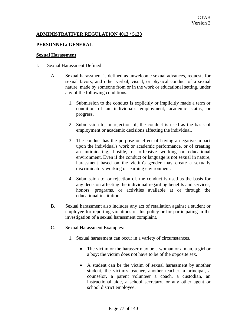### **ADMINISTRATIVER REGULATION 4013 / 5133**

### **PERSONNEL: GENERAL**

#### **Sexual Harassment**

#### I. Sexual Harassment Defined

- A. Sexual harassment is defined as unwelcome sexual advances, requests for sexual favors, and other verbal, visual, or physical conduct of a sexual nature, made by someone from or in the work or educational setting, under any of the following conditions:
	- 1. Submission to the conduct is explicitly or implicitly made a term or condition of an individual's employment, academic status, or progress.
	- 2. Submission to, or rejection of, the conduct is used as the basis of employment or academic decisions affecting the individual.
	- 3. The conduct has the purpose or effect of having a negative impact upon the individual's work or academic performance, or of creating an intimidating, hostile, or offensive working or educational environment. Even if the conduct or language is not sexual in nature, harassment based on the victim's gender may create a sexually discriminatory working or learning environment.
	- 4. Submission to, or rejection of, the conduct is used as the basis for any decision affecting the individual regarding benefits and services, honors, programs, or activities available at or through the educational institution.
- B. Sexual harassment also includes any act of retaliation against a student or employee for reporting violations of this policy or for participating in the investigation of a sexual harassment complaint.
- C. Sexual Harassment Examples:
	- 1. Sexual harassment can occur in a variety of circumstances.
		- The victim or the harasser may be a woman or a man, a girl or a boy; the victim does not have to be of the opposite sex.
		- A student can be the victim of sexual harassment by another student, the victim's teacher, another teacher, a principal, a counselor, a parent volunteer a coach, a custodian, an instructional aide, a school secretary, or any other agent or school district employee.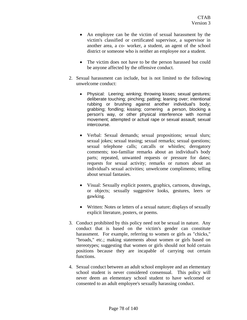- An employee can be the victim of sexual harassment by the victim's classified or certificated supervisor, a supervisor in another area, a co- worker, a student, an agent of the school district or someone who is neither an employee nor a student.
- The victim does not have to be the person harassed but could be anyone affected by the offensive conduct.
- 2. Sexual harassment can include, but is not limited to the following unwelcome conduct:
	- Physical: Leering; winking; throwing kisses; sexual gestures; deliberate touching; pinching; patting; leaning over; intentional rubbing or brushing against another individual's body; grabbing; fondling; kissing; cornering a person, blocking a person's way, or other physical interference with normal movement; attempted or actual rape or sexual assault; sexual intercourse.
	- Verbal: Sexual demands; sexual propositions; sexual slurs; sexual jokes; sexual teasing; sexual remarks; sexual questions; sexual telephone calls; catcalls or whistles; derogatory comments; too-familiar remarks about an individual's body parts; repeated, unwanted requests or pressure for dates; requests for sexual activity; remarks or rumors about an individual's sexual activities; unwelcome compliments; telling about sexual fantasies.
	- Visual: Sexually explicit posters, graphics, cartoons, drawings, or objects; sexually suggestive looks, gestures, leers or gawking.
	- Written: Notes or letters of a sexual nature; displays of sexually explicit literature, posters, or poems.
- 3. Conduct prohibited by this policy need not be sexual in nature. Any conduct that is based on the victim's gender can constitute harassment. For example, referring to women or girls as "chicks," "broads," etc.; making statements about women or girls based on stereotypes; suggesting that women or girls should not hold certain positions because they are incapable of carrying out certain functions.
- 4. Sexual conduct between an adult school employee and an elementary school student is never considered consensual. This policy will never deem an elementary school student to have welcomed or consented to an adult employee's sexually harassing conduct.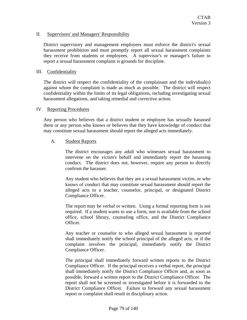### II. Supervisors' and Managers' Responsibility

District supervisory and management employees must enforce the district's sexual harassment prohibition and must promptly report all sexual harassment complaints they receive from students or employees. A supervisor's or manager's failure to report a sexual harassment complaint is grounds for discipline.

### III. Confidentiality

The district will respect the confidentiality of the complainant and the individual(s) against whom the complaint is made as much as possible. The district will respect confidentiality within the limits of its legal obligations, including investigating sexual harassment allegations, and taking remedial and corrective action.

### IV. Reporting Procedures

Any person who believes that a district student or employee has sexually harassed them or any person who knows or believes that they have knowledge of conduct that may constitute sexual harassment should report the alleged acts immediately.

### A. Student Reports

The district encourages any adult who witnesses sexual harassment to intervene on the victim's behalf and immediately report the harassing conduct. The district does not, however, require any person to directly confront the harasser.

Any student who believes that they are a sexual harassment victim, or who knows of conduct that may constitute sexual harassment should report the alleged acts to a teacher, counselor, principal, or designated District Compliance Officer.

The report may be verbal or written. Using a formal reporting form is not required. If a student wants to use a form, one is available from the school office, school library, counseling office, and the District Compliance Officer.

Any teacher or counselor to who alleged sexual harassment is reported shall immediately notify the school principal of the alleged acts, or if the complaint involves the principal, immediately notify the District Compliance Officer.

The principal shall immediately forward written reports to the District Compliance Officer. If the principal receives a verbal report, the principal shall immediately notify the District Compliance Officer and, as soon as possible, forward a written report to the District Compliance Officer. The report shall not be screened or investigated before it is forwarded to the District Compliance Officer. Failure to forward any sexual harassment report or complaint shall result in disciplinary action.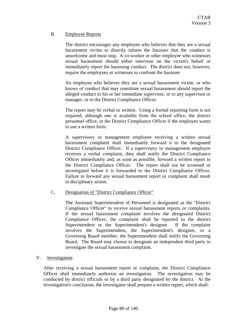### B. Employee Reports

The district encourages any employee who believes that they are a sexual harassment victim to directly inform the harasser that the conduct is unwelcome and must stop. A co-worker or other employee who witnesses sexual harassment should either intervene on the victim's behalf or immediately report the harassing conduct. The district does not, however, require the employees or witnesses to confront the harasser.

An employee who believes they are a sexual harassment victim, or who knows of conduct that may constitute sexual harassment should report the alleged conduct to his or her immediate supervisor, or to any supervisor or manager, or to the District Compliance Officer.

The report may be verbal or written. Using a formal reporting form is not required, although one is available from the school office, the district personnel office, or the District Compliance Officer if the employee wants to use a written form.

A supervisory or management employee receiving a written sexual harassment complaint shall immediately forward it to the designated District Compliance Officer. If a supervisory or management employee receives a verbal complaint, they shall notify the District Compliance Officer immediately and, as soon as possible, forward a written report to the District Compliance Officer. The report shall not be screened or investigated before it is forwarded to the District Compliance Officer. Failure to forward any sexual harassment report or complaint shall result in disciplinary action.

### C. Designation of "District Compliance Officer"

The Assistant Superintendent of Personnel is designated as the "District Compliance Officer" to receive sexual harassment reports or complaints. If the sexual harassment complaint involves the designated District Compliance Officer, the complaint shall be reported to the district Superintendent or the Superintendent's designee. If the complaint involves the Superintendent, the Superintendent's designee, or a Governing Board member, the Superintendent shall notify the Governing Board. The Board may choose to designate an independent third party to investigate the sexual harassment complaint.

### V. Investigation

After receiving a sexual harassment report or complaint, the District Compliance Officer shall immediately authorize an investigation. The investigation may be conducted by district officials or by a third party designated by the district. At the investigation's conclusion, the investigator shall prepare a written report, which shall: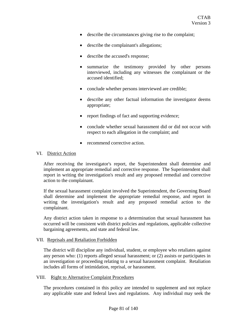- describe the circumstances giving rise to the complaint;
- describe the complainant's allegations;
- describe the accused's response;
- summarize the testimony provided by other persons interviewed, including any witnesses the complainant or the accused identified;
- conclude whether persons interviewed are credible;
- describe any other factual information the investigator deems appropriate;
- report findings of fact and supporting evidence;
- conclude whether sexual harassment did or did not occur with respect to each allegation in the complaint; and
- recommend corrective action.

### VI. District Action

After receiving the investigator's report, the Superintendent shall determine and implement an appropriate remedial and corrective response. The Superintendent shall report in writing the investigation's result and any proposed remedial and corrective action to the complainant.

If the sexual harassment complaint involved the Superintendent, the Governing Board shall determine and implement the appropriate remedial response, and report in writing the investigation's result and any proposed remedial action to the complainant.

Any district action taken in response to a determination that sexual harassment has occurred will be consistent with district policies and regulations, applicable collective bargaining agreements, and state and federal law.

### VII. Reprisals and Retaliation Forbidden

The district will discipline any individual, student, or employee who retaliates against any person who: (1) reports alleged sexual harassment; or (2) assists or participates in an investigation or proceeding relating to a sexual harassment complaint. Retaliation includes all forms of intimidation, reprisal, or harassment.

### VIII. Right to Alternative Complaint Procedures

The procedures contained in this policy are intended to supplement and not replace any applicable state and federal laws and regulations. Any individual may seek the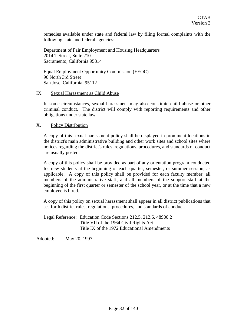remedies available under state and federal law by filing formal complaints with the following state and federal agencies:

Department of Fair Employment and Housing Headquarters 2014 T Street, Suite 210 Sacramento, California 95814

Equal Employment Opportunity Commission (EEOC) 96 North 3rd Street San Jose, California 95112

#### IX. Sexual Harassment as Child Abuse

In some circumstances, sexual harassment may also constitute child abuse or other criminal conduct. The district will comply with reporting requirements and other obligations under state law.

X. Policy Distribution

A copy of this sexual harassment policy shall be displayed in prominent locations in the district's main administrative building and other work sites and school sites where notices regarding the district's rules, regulations, procedures, and standards of conduct are usually posted.

A copy of this policy shall be provided as part of any orientation program conducted for new students at the beginning of each quarter, semester, or summer session, as applicable. A copy of this policy shall be provided for each faculty member, all members of the administrative staff, and all members of the support staff at the beginning of the first quarter or semester of the school year, or at the time that a new employee is hired.

A copy of this policy on sexual harassment shall appear in all district publications that set forth district rules, regulations, procedures, and standards of conduct.

Legal Reference: Education Code Sections 212.5, 212.6, 48900.2 Title VII of the 1964 Civil Rights Act Title IX of the 1972 Educational Amendments

Adopted: May 20, 1997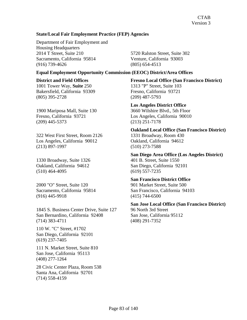### **State/Local Fair Employment Practice (FEP) Agencies**

Department of Fair Employment and Housing Headquarters 2014 T Street, Suite 210 5720 Ralston Street, Suite 302 Sacramento, California 95814 Venture, California 93003 (916) 739-4626 (805) 654-4513

### **Equal Employment Opportunity Commission (EEOC) District/Area Offices**

1001 Tower Way, **Suite** 250 1313 "P" Street, Suite 103 Bakersfield, California 93309 Fresno, California 93721 (805) 395-2728 (209) 487-5793

(209) 445-5373 (213) 251-7178

322 West First Street, Room 2126 1331 Broadway, Room 430 Los Angeles, California 90012 Oakland, California 94612 (213) 897-1997 (510) 273-7588

1330 Broadway, Suite 1326 401 B. Street, Suite 1550 (510) 464-4095 (619) 557-7235

2000 "O" Street, Suite 120 901 Market Street, Suite 500 (916) 445-9918 (415) 744-6500

1845 S. Business Center Drive, Suite 127 96 North 3rd Street San Bernardino, California 92408 San Jose, California 95112 (714) 383-4711 (408) 291-7352

110 W. "C" Street, #1702 San Diego, California 92101 (619) 237-7405

111 N. Market Street, Suite 810 San Jose, California 95113 (408) 277-1264

28 Civic Center Plaza, Room 538 Santa Ana, California 92701 (714) 558-4159

**District and Field Offices Fresno Local Office (San Francisco District)**

# **Los Angeles District Office**

1900 Mariposa Mall, Suite 130 3660 Wilshire Blvd., 5th Floor Fresno, California 93721 Los Angeles, California 90010

 **Oakland Local Office (San Francisco District)** 

**San Diego Area Office (Los Angeles District)** Oakland, California 94612 San Diego, California 92101

**San Francisco District Office**

Sacramento, California 95814 San Francisco, California 94103

**San Jose Local Office (San Francisco District)**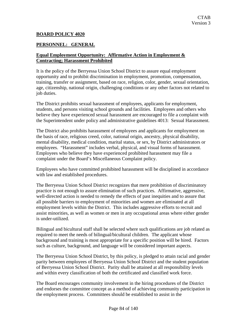### **BOARD POLICY 4020**

### **PERSONNEL: GENERAL**

### **Equal Employment Opportunity: Affirmative Action in Employment & Contracting; Harassment Prohibited**

It is the policy of the Berryessa Union School District to assure equal employment opportunity and to prohibit discrimination in employment, promotion, compensation, training, transfer or assignment, based on race, religion, color, gender, sexual orientation, age, citizenship, national origin, challenging conditions or any other factors not related to job duties.

The District prohibits sexual harassment of employees, applicants for employment, students, and persons visiting school grounds and facilities. Employees and others who believe they have experienced sexual harassment are encouraged to file a complaint with the Superintendent under policy and administrative guidelines 4013: Sexual Harassment.

The District also prohibits harassment of employees and applicants for employment on the basis of race, religious creed, color, national origin, ancestry, physical disability, mental disability, medical condition, marital status, or sex, by District administrators or employees. "Harassment" includes verbal, physical, and visual forms of harassment. Employees who believe they have experienced prohibited harassment may file a complaint under the Board's Miscellaneous Complaint policy.

Employees who have committed prohibited harassment will be disciplined in accordance with law and established procedures.

The Berryessa Union School District recognizes that mere prohibition of discriminatory practice is not enough to assure elimination of such practices. Affirmative, aggressive, well-directed action is needed to remedy the effects of past inequities and to assure that all possible barriers to employment of minorities and women are eliminated at all employment levels within the District. This includes aggressive efforts to recruit and assist minorities, as well as women or men in any occupational areas where either gender is under-utilized.

Bilingual and bicultural staff shall be selected where such qualifications are job related as required to meet the needs of bilingual/bicultural children. The applicant whose background and training is most appropriate for a specific position will be hired. Factors such as culture, background, and language will be considered important aspects.

The Berryessa Union School District, by this policy, is pledged to attain racial and gender parity between employees of Berryessa Union School District and the student population of Berryessa Union School District. Parity shall be attained at all responsibility levels and within every classification of both the certificated and classified work force.

The Board encourages community involvement in the hiring procedures of the District and endorses the committee concept as a method of achieving community participation in the employment process. Committees should be established to assist in the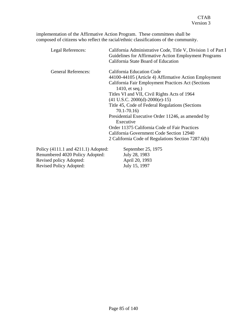implementation of the Affirmative Action Program. These committees shall be composed of citizens who reflect the racial/ethnic classifications of the community.

| Legal References:                   | California Administrative Code, Title V, Division 1 of Part I<br>Guidelines for Affirmative Action Employment Programs<br>California State Board of Education |
|-------------------------------------|---------------------------------------------------------------------------------------------------------------------------------------------------------------|
| <b>General References:</b>          | California Education Code                                                                                                                                     |
|                                     | 44100-44105 (Article 4) Affirmative Action Employment                                                                                                         |
|                                     | California Fair Employment Practices Act (Sections                                                                                                            |
|                                     | 1410, et seq.)                                                                                                                                                |
|                                     | Titles VI and VII, Civil Rights Acts of 1964                                                                                                                  |
|                                     | $(41 U.S.C. 2000(d)-2000(e)-15)$                                                                                                                              |
|                                     | Title 45, Code of Federal Regulations (Sections)<br>$70.1 - 70.16$                                                                                            |
|                                     | Presidential Executive Order 11246, as amended by<br>Executive                                                                                                |
|                                     | Order 11375 California Code of Fair Practices                                                                                                                 |
|                                     | California Government Code Section 12940                                                                                                                      |
|                                     | 2 California Code of Regulations Section 7287.6(b)                                                                                                            |
| Policy (4111.1 and 4211.1) Adopted: | September 25, 1975                                                                                                                                            |
| Renumbered 4020 Policy Adopted:     | July 28, 1983                                                                                                                                                 |

Revised policy Adopted: April 20, 1993 Revised Policy Adopted: July 15, 1997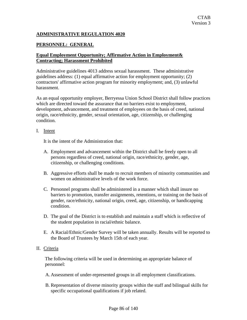### **ADMINISTRATIVE REGULATION 4020**

### **PERSONNEL: GENERAL**

### **Equal Employment Opportunity; Affirmative Action in Employment& Contracting; Harassment Prohibited**

Administrative guidelines 4013 address sexual harassment. These administrative guidelines address: (1) equal affirmative action for employment opportunity; (2) contractors' affirmative action program for minority employment; and, (3) unlawful harassment.

As an equal opportunity employer, Berryessa Union School District shall follow practices which are directed toward the assurance that no barriers exist to employment, development, advancement, and treatment of employees on the basis of creed, national origin, race/ethnicity, gender, sexual orientation, age, citizenship, or challenging condition.

#### I. Intent

It is the intent of the Administration that:

- A. Employment and advancement within the District shall be freely open to all persons regardless of creed, national origin, race/ethnicity, gender, age, citizenship, or challenging conditions.
- B. Aggressive efforts shall be made to recruit members of minority communities and women on administrative levels of the work force.
- C. Personnel programs shall be administered in a manner which shall insure no barriers to promotion, transfer assignments, retentions, or training on the basis of gender, race/ethnicity, national origin, creed, age, citizenship, or handicapping condition.
- D. The goal of the District is to establish and maintain a staff which is reflective of the student population in racial/ethnic balance.
- E. A Racial/Ethnic/Gender Survey will be taken annually. Results will be reported to the Board of Trustees by March 15th of each year.

### II. Criteria

The following criteria will be used in determining an appropriate balance of personnel:

- A. Assessment of under-represented groups in all employment classifications.
- B. Representation of diverse minority groups within the staff and bilingual skills for specific occupational qualifications if job related.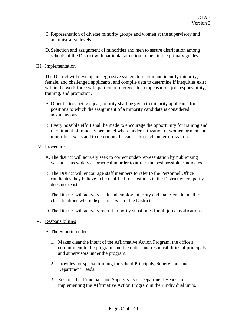- C. Representation of diverse minority groups and women at the supervisory and administrative levels.
- D. Selection and assignment of minorities and men to assure distribution among schools of the District with particular attention to men in the primary grades.

### III. Implementation

The District will develop an aggressive system to recruit and identify minority, female, and challenged applicants, and compile data to determine if inequities exist within the work force with particular reference to compensation, job responsibility, training, and promotion.

- A. Other factors being equal, priority shall be given to minority applicants for positions to which the assignment of a minority candidate is considered advantageous.
- B. Every possible effort shall be made to encourage the opportunity for training and recruitment of minority personnel where under-utilization of women or men and minorities exists and to determine the causes for such under-utilization.

### IV. Procedures

- A. The district will actively seek to correct under-representation by publicizing vacancies as widely as practical in order to attract the best possible candidates.
- B. The District will encourage staff members to refer to the Personnel Office candidates they believe to be qualified for positions in the District where parity does not exist.
- C. The District will actively seek and employ minority and male/female in all job classifications where disparities exist in the District.
- D. The District will actively recruit minority substitutes for all job classifications.

### V. Responsibilities

### A. The Superintendent

- 1. Makes clear the intent of the Affirmative Action Program, the office's commitment to the program, and the duties and responsibilities of principals and supervisors under the program.
- 2. Provides for special training for school Principals, Supervisors, and Department Heads.
- 3. Ensures that Principals and Supervisors or Department Heads are implementing the Affirmative Action Program in their individual units.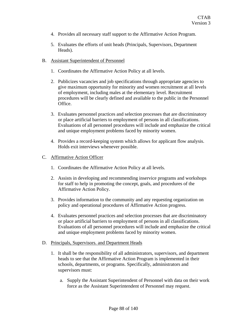- 4. Provides all necessary staff support to the Affirmative Action Program.
- 5. Evaluates the efforts of unit heads (Principals, Supervisors, Department Heads).
- B. Assistant Superintendent of Personnel
	- 1. Coordinates the Affirmative Action Policy at all levels.
	- 2. Publicizes vacancies and job specifications through appropriate agencies to give maximum opportunity for minority and women recruitment at all levels of employment, including males at the elementary level. Recruitment procedures will be clearly defined and available to the public in the Personnel Office.
	- 3. Evaluates personnel practices and selection processes that are discriminatory or place artificial barriers to employment of persons in all classifications. Evaluations of all personnel procedures will include and emphasize the critical and unique employment problems faced by minority women.
	- 4. Provides a record-keeping system which allows for applicant flow analysis. Holds exit interviews whenever possible.
- C. Affirmative Action Officer
	- 1. Coordinates the Affirmative Action Policy at all levels.
	- 2. Assists in developing and recommending inservice programs and workshops for staff to help in promoting the concept, goals, and procedures of the Affirmative Action Policy.
	- 3. Provides information to the community and any requesting organization on policy and operational procedures of Affirmative Action progress.
	- 4. Evaluates personnel practices and selection processes that are discriminatory or place artificial barriers to employment of persons in all classifications. Evaluations of all personnel procedures will include and emphasize the critical and unique employment problems faced by minority women.
- D. Principals, Supervisors. and Department Heads
	- 1. It shall be the responsibility of all administrators, supervisors, and department heads to see that the Affirmative Action Program is implemented in their schools, departments, or programs. Specifically, administrators and supervisors must:
		- a. Supply the Assistant Superintendent of Personnel with data on their work force as the Assistant Superintendent of Personnel may request.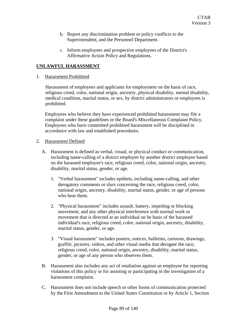- b. Report any discrimination problem or policy conflicts to the Superintendent, and the Personnel Department.
- c. Inform employees and prospective employees of the District's Affirmative Action Policy and Regulations.

### **UNLAWFUL HARASSMENT**

### 1. Harassment Prohibited

Harassment of employees and applicants for employment on the basis of race, religious creed, color, national origin, ancestry, physical disability, mental disability, medical condition, marital status, or sex, by district administrators or employees is prohibited.

Employees who believe they have experienced prohibited harassment may file a complaint under these guidelines or the Board's Miscellaneous Complaint Policy. Employees who have committed prohibited harassment will be disciplined in accordance with law and established procedures.

### 2. Harassment Defined

- A. Harassment is defined as verbal, visual, or physical conduct or communication, including name-calling of a district employee by another district employee based on the harassed employee's race, religious creed, color, national origin, ancestry, disability, marital status, gender, or age.
	- 1. "Verbal harassment" includes epithets, including name-calling, and other derogatory comments or slurs concerning the race, religious creed, color, national origin, ancestry, disability, marital status, gender, or age of persons who hear them.
	- 2. "Physical harassment" includes assault, battery, impeding or blocking movement, and any other physical interference with normal work or movement that is directed at an individual on he basis of the harassed individual's race, religious creed, color, national origin, ancestry, disability, marital status, gender, or age.
	- 3. "Visual harassment" includes posters, notices, bulletins, cartoons, drawings, graffiti, pictures, videos, and other visual media that derogate the race, religious creed, color, national origin, ancestry, disability, marital status, gender, or age of any person who observes them.
- B. Harassment also includes any act of retaliation against an employee for reporting violations of this policy or for assisting or participating in the investigation of a harassment complaint.
- C. Harassment does not include speech or other forms of communication protected by the First Amendment to the United States Constitution or by Article 1, Section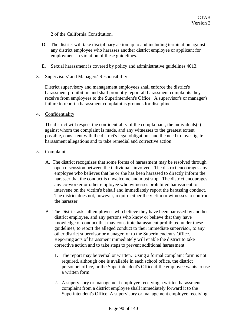2 of the California Constitution.

- D. The district will take disciplinary action up to and including termination against any district employee who harasses another district employee or applicant for employment in violation of these guidelines.
- E. Sexual harassment is covered by policy and administrative guidelines 4013.
- 3. Supervisors' and Managers' Responsibility

District supervisory and management employees shall enforce the district's harassment prohibition and shall promptly report all harassment complaints they receive from employees to the Superintendent's Office. A supervisor's or manager's failure to report a harassment complaint is grounds for discipline.

4. Confidentiality

The district will respect the confidentiality of the complainant, the individuals(s) against whom the complaint is made, and any witnesses to the greatest extent possible, consistent with the district's legal obligations and the need to investigate harassment allegations and to take remedial and corrective action.

- 5. Complaint
	- A. The district recognizes that some forms of harassment may be resolved through open discussion between the individuals involved. The district encourages any employee who believes that he or she has been harassed to directly inform the harasser that the conduct is unwelcome and must stop. The district encourages any co-worker or other employee who witnesses prohibited harassment to intervene on the victim's behalf and immediately report the harassing conduct. The district does not, however, require either the victim or witnesses to confront the harasser.
	- B. The District asks all employees who believe they have been harassed by another district employee, and any persons who know or believe that they have knowledge of conduct that may constitute harassment prohibited under these guidelines, to report the alleged conduct to their immediate supervisor, to any other district supervisor or manager, or to the Superintendent's Office. Reporting acts of harassment immediately will enable the district to take corrective action and to take steps to prevent additional harassment.
		- 1. The report may be verbal or written. Using a formal complaint form is not required, although one is available in each school office, the district personnel office, or the Superintendent's Office if the employee wants to use a written form.
		- 2. A supervisory or management employee receiving a written harassment complaint from a district employee shall immediately forward it to the Superintendent's Office. A supervisory or management employee receiving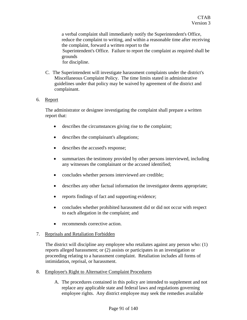a verbal complaint shall immediately notify the Superintendent's Office, reduce the complaint to writing, and within a reasonable time after receiving the complaint, forward a written report to the Superintendent's Office. Failure to report the complaint as required shall be grounds for discipline.

C. The Superintendent will investigate harassment complaints under the district's Miscellaneous Complaint Policy. The time limits stated in administrative guidelines under that policy may be waived by agreement of the district and complainant.

### 6. Report

The administrator or designee investigating the complaint shall prepare a written report that:

- describes the circumstances giving rise to the complaint;
- describes the complainant's allegations;
- describes the accused's response;
- summarizes the testimony provided by other persons interviewed, including any witnesses the complainant or the accused identified;
- concludes whether persons interviewed are credible;
- describes any other factual information the investigator deems appropriate;
- reports findings of fact and supporting evidence;
- concludes whether prohibited harassment did or did not occur with respect to each allegation in the complaint; and
- recommends corrective action.

### 7. Reprisals and Retaliation Forbidden

The district will discipline any employee who retaliates against any person who: (1) reports alleged harassment; or (2) assists or participates in an investigation or proceeding relating to a harassment complaint. Retaliation includes all forms of intimidation, reprisal, or harassment.

- 8. Employee's Right to Alternative Complaint Procedures
	- A. The procedures contained in this policy are intended to supplement and not replace any applicable state and federal laws and regulations governing employee rights. Any district employee may seek the remedies available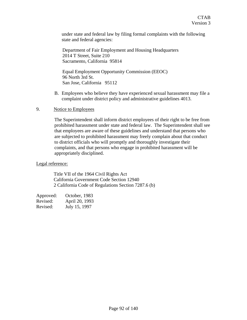under state and federal law by filing formal complaints with the following state and federal agencies:

Department of Fair Employment and Housing Headquarters 2014 T Street, Suite 210 Sacramento, California 95814

Equal Employment Opportunity Commission (EEOC) 96 North 3rd St. San Jose, California 95112

B. Employees who believe they have experienced sexual harassment may file a complaint under district policy and administrative guidelines 4013.

### 9. Notice to Employees

The Superintendent shall inform district employees of their right to be free from prohibited harassment under state and federal law. The Superintendent shall see that employees are aware of these guidelines and understand that persons who are subjected to prohibited harassment may freely complain about that conduct to district officials who will promptly and thoroughly investigate their complaints, and that persons who engage in prohibited harassment will be appropriately disciplined.

### Legal reference:

Title VII of the 1964 Civil Rights Act California Government Code Section 12940 2 California Code of Regulations Section 7287.6 (b)

| Approved: | October, 1983  |
|-----------|----------------|
| Revised:  | April 20, 1993 |
| Revised:  | July 15, 1997  |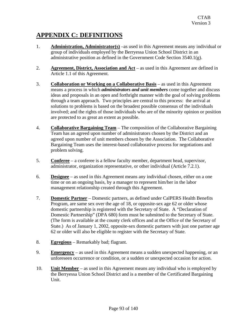# **APPENDIX C: DEFINITIONS**

- 1. **Administration, Administrator(s)** –as used in this Agreement means any individual or group of individuals employed by the Berryessa Union School District in an administrative position as defined in the Government Code Section 3540.1(g).
- 2. **Agreement, District, Association and Act** as used in this Agreement are defined in Article 1.1 of this Agreement.
- 3. **Collaboration or Working on a Collaborative Basis** as used in this Agreement means a process in which *administrators and unit members* come together and discuss ideas and proposals in an open and forthright manner with the goal of solving problems through a team approach. Two principles are central to this process: the arrival at solutions to problems is based on the broadest possible consensus of the individuals involved; and the rights of those individuals who are of the minority opinion or position are protected to as great an extent as possible.
- 4. **Collaborative Bargaining Team** The composition of the Collaborative Bargaining Team has an agreed upon number of administrators chosen by the District and an agreed upon number of unit members chosen by the Association. The Collaborative Bargaining Team uses the interest-based collaborative process for negotiations and problem solving.
- 5. **Conferee** a conferee is a fellow faculty member, department head, supervisor, administrator, organization representative, or other individual (Article 7.2.1).
- 6. **Designee** as used in this Agreement means any individual chosen, either on a one time or on an ongoing basis, by a manager to represent him/her in the labor management relationship created through this Agreement.
- 7. **Domestic Partner** Domestic partners, as defined under CalPERS Health Benefits Program, are same sex over the age of 18, or opposite-sex age 62 or older whose domestic partnership is registered with the Secretary of State. A "Declaration of Domestic Partnership" (DPA 680) form must be submitted to the Secretary of State. (The form is available at the county clerk offices and at the Office of the Secretary of State.) As of January 1, 2002, opposite-sex domestic partners with just one partner age 62 or older will also be eligible to register with the Secretary of State.
- 8. **Egregious** Remarkably bad; flagrant.
- 9. **Emergency** as used in this Agreement means a sudden unexpected happening, or an unforeseen occurrence or condition, or a sudden or unexpected occasion for action.
- 10. **Unit Member** as used in this Agreement means any individual who is employed by the Berryessa Union School District and is a member of the Certificated Bargaining Unit.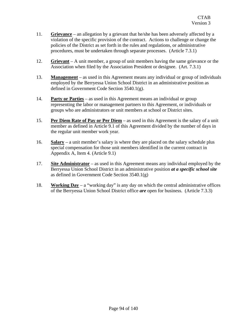- 11. **Grievance** an allegation by a grievant that he/she has been adversely affected by a violation of the specific provision of the contract. Actions to challenge or change the policies of the District as set forth in the rules and regulations, or administrative procedures, must be undertaken through separate processes. (Article 7.3.1)
- 12. **Grievant** A unit member, a group of unit members having the same grievance or the Association when filed by the Association President or designee. (Art. 7.3.1)
- 13. **Management** as used in this Agreement means any individual or group of individuals employed by the Berryessa Union School District in an administrative position as defined in Government Code Section 3540.1(g).
- 14. **Party or Parties** as used in this Agreement means an individual or group representing the labor or management partners to this Agreement, or individuals or groups who are administrators or unit members at school or District sites.
- 15. **Per Diem Rate of Pay or Per Diem** as used in this Agreement is the salary of a unit member as defined in Article 9.1 of this Agreement divided by the number of days in the regular unit member work year.
- 16. **Salary** a unit member's salary is where they are placed on the salary schedule plus special compensation for those unit members identified in the current contract in Appendix A, Item 4. (Article 9.1)
- 17. **Site Administrator** as used in this Agreement means any individual employed by the Berryessa Union School District in an administrative position *at a specific school site*  as defined in Government Code Section 3540.1(g)
- 18. **Working Day** a "working day" is any day on which the central administrative offices of the Berryessa Union School District office *are* open for business. (Article 7.3.3)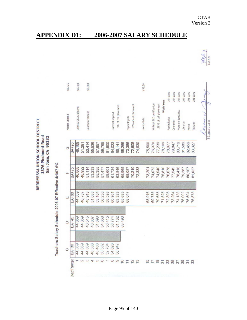| Ī,<br>Ĕ<br>z<br>E<br>3761<br>Ξ<br>ÿ<br>ū |  | 132<br><b>951</b><br>G<br>l,<br>Sar |  |
|------------------------------------------|--|-------------------------------------|--|
|------------------------------------------|--|-------------------------------------|--|

Teachers Salary Schedule 2006-07 Effective 4/1/07 6%

|        | <b>BA+60</b> | <b>BA+75</b> | <b>BA+90</b> |                           |          |
|--------|--------------|--------------|--------------|---------------------------|----------|
| 44,859 | 44,859       | 46,868       | 49,169       | LSH/RSP/SDC stipend       | \$1,000  |
| 44,859 | 46,787       | 48,992       | 51,291       |                           |          |
| 46,515 | 48,913       | 51,114       | 53,414       | Counselor stipend         | \$1,000  |
| 48,637 | 51,038       | 53,233       | 55,536       |                           |          |
| 51,698 | 53,164       | 55,355       | 57,657       |                           |          |
| 54,058 | 56,236       | 57,477       | 59,765       |                           |          |
| 56,415 | 58,598       | 59,601       | 61,900       |                           |          |
| 58,774 | 60,961       | 61,724       | 64,023       | Doctoral Stipend          |          |
| 61,132 | 63,323       | 63,846       | 66,141       | 3% of cell placement      |          |
| 63,490 | 65,685       | 65,965       | 68,265       |                           |          |
|        | 68,047       | 68,087       | 70,386       | Psychologists             |          |
|        |              | 70,210       | 72,508       | 10% of cell placement     |          |
|        |              | 72,333       | 74,630       |                           |          |
|        |              |              |              | <b>Hourly Rate</b>        | \$35.38  |
|        | 68,916       | 73,201       | 75,500       |                           |          |
|        | 69,785       | 74,072       | 76,370       | Without ELD certification |          |
|        | 70,655       | 74,940       | 77,239       | 9835 of cell placement    |          |
|        | 71,525       | 75,810       | 78,109       | <b>Work Year</b>          |          |
|        | 72,395       | 76,678       | 78,977       | Psychologist              | 194 days |
|        | 73,264       | 77,549       | 79,847       | Counselor                 | 194 days |
|        | 74,133       | 78,418       | 80,716       | Program Specialist        | 194 days |
|        | 75,002       | 79,287       | 81,586       | <b>Jbrarian</b>           | 194 days |
|        | 75,594       | 80,157       | 82,456       | Nurse                     | 196 days |
|        | 75,873       | 81,027       | 83,327       | Teacher                   | 183 days |

# **APPENDIX D1: 2006-2007 SALARY SCHEDULE**

Signature

CTAB Version 3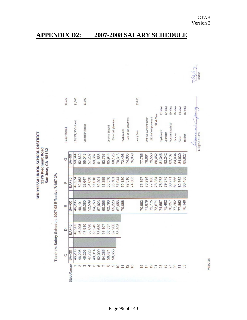Teachers Salary Schedule 2007-08 Effective 7/1/07 3%

| \$1,725        |              | \$1,000             |        | \$1,000           |        |        |        |        |                  |                      |                |                      |                       |               | \$38.63     |                |                           |                         |                  | 194 days     | 194 days  | 194 days           | 194 days | 196 days        | 183 days |      |
|----------------|--------------|---------------------|--------|-------------------|--------|--------|--------|--------|------------------|----------------------|----------------|----------------------|-----------------------|---------------|-------------|----------------|---------------------------|-------------------------|------------------|--------------|-----------|--------------------|----------|-----------------|----------|------|
| Master Stipend |              | LSH/RSP/SDC stipend |        | Counselor stipend |        |        |        |        | Doctoral Stipend | 3% of cell placement |                | <b>Psychologists</b> | 10% of cell placement |               | Hourly Rate |                | Without ELD certification | .9835 of cell placement | <b>Work Year</b> | Psychologist | Counselor | Program Specialist | Ibrarian | Nurse           | Teacher  | Comm |
| $\circ$        | <b>BA+90</b> | 50,644              | 52,830 | 55,016            | 57,202 | 59,387 | 61,558 | 63,757 | 65,944           | 68,125               | 70,313         | 72,498               | 74,683                | 76,869        |             | 77,765         | 78,661                    | 79,556                  | 80,452           | 81,346       | 82,242    | 83,137             | 84,034   | 84,930          | 85,827   |      |
| Щ              | <b>BA+75</b> | 48,274              | 50,462 | 52,647            | 54,830 | 57,016 | 59,201 | 61,389 | 63,576           | 65,761               | 67,944         | 70,130               | 72,316                | 74,503        |             | 75,397         | 76,294                    | 77,188                  | 78,084           | 78,978       | 79,875    | 80,771             | 81,666   | 82,562          | 83,458   |      |
| Ш              | <b>BA+60</b> | 46,205              | 48,191 | 50,380            | 52,569 | 54,759 | 57,923 | 60,356 | 62,790           | 65,223               | 67,656         | 70,088               |                       |               |             | 70,983         | 71,879                    | 72,775                  | 73,671           | 74,567       | 75,462    | 76,357             | 77,252   | 77,862          | 78,149   |      |
| $\Box$         | <b>BA+45</b> | 46,205              | 46,205 | 47,910            | 50,096 | 53,249 | 55,680 | 58,107 | 60,537           | 62,966               | 65,395         |                      |                       |               |             |                |                           |                         |                  |              |           |                    |          |                 |          |      |
| $\circ$        | <b>BA+30</b> | 46,205              | 46,205 | 46,205            | 47,728 | 49,914 | 52,099 | 54,285 | 56,471           | 58,655               |                |                      |                       |               |             |                |                           |                         |                  |              |           |                    |          |                 |          |      |
|                | Step\Range   |                     | 2      | $\infty$          | 4      | LO     | ဖ      |        | $\infty$         | $\sigma$             | $\overline{C}$ | $\overline{1}$       | $\overline{2}$        | $\frac{3}{5}$ |             | $\overline{5}$ | 17                        | $\overline{9}$          | $\overline{21}$  | 23           |           | 25<br>27<br>29     |          | $\overline{31}$ | 33       |      |

# **APPENDIX D2: 2007-2008 SALARY SCHEDULE**

 $7/8/6$ 7 Date

7/18/2007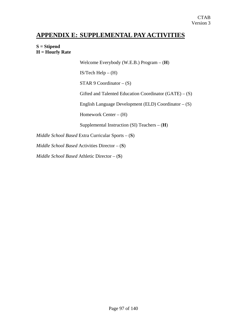# **APPENDIX E: SUPPLEMENTAL PAY ACTIVITIES**

### **S = Stipend H = Hourly Rate**

Welcome Everybody (W.E.B.) Program – (**H**)

IS/Tech Help  $-$  (H)

STAR 9 Coordinator – (S)

Gifted and Talented Education Coordinator  $(GATE) - (S)$ 

English Language Development (ELD) Coordinator – (S)

Homework Center – (H)

Supplemental Instruction (SI) Teachers – (**H**)

*Middle School Based* Extra Curricular Sports – (**S**)

*Middle School Based* Activities Director – (**S**)

*Middle School Based* Athletic Director – (**S**)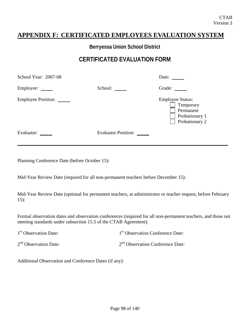# **APPENDIX F: CERTIFICATED EMPLOYEES EVALUATION SYSTEM**

**Berryessa Union School District** 

# **CERTIFICATED EVALUATION FORM**

| School Year: 2007-08      |                            | Date:                                                                                 |
|---------------------------|----------------------------|---------------------------------------------------------------------------------------|
| Employee:                 | School:                    | Grade:                                                                                |
| <b>Employee Position:</b> |                            | <b>Employee Status:</b><br>Temporary<br>Permanent<br>Probationary 1<br>Probationary 2 |
| Evaluator:                | <b>Evaluator Position:</b> |                                                                                       |

Planning Conference Date (before October 15):

Mid-Year Review Date (required for all non-permanent teachers before December 15):

Mid-Year Review Date (optional for permanent teachers, at administrator or teacher request, before February 15):

Formal observation dates and observation conferences (required for all non-permanent teachers, and those not meeting standards under subsection 15.5 of the CTAB Agreement):

| 1 <sup>st</sup> Observation Date: | 1 <sup>st</sup> Observation Conference Date: |
|-----------------------------------|----------------------------------------------|
| 2 <sup>nd</sup> Observation Date: | $2nd$ Observation Conference Date:           |

Additional Observation and Conference Dates (if any):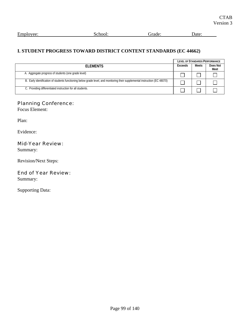| $\blacksquare$<br><b>Employee</b><br>لللائط | - - -<br>:no<br>$\ddot{\phantom{a}}$ | rade: | Jate |
|---------------------------------------------|--------------------------------------|-------|------|
|                                             |                                      |       |      |

### **I. STUDENT PROGRESS TOWARD DISTRICT CONTENT STANDARDS (EC 44662)**

|                                                                                                                             |         | <b>LEVEL OF STANDARDS PERFORMANCE</b><br>Meets |                  |  |
|-----------------------------------------------------------------------------------------------------------------------------|---------|------------------------------------------------|------------------|--|
| <b>FI FMENTS</b>                                                                                                            | Exceeds |                                                | Does Not<br>Meet |  |
| A. Aggregate progress of students (one grade level)                                                                         |         |                                                |                  |  |
| B. Early identification of students functioning below grade level, and monitoring their supplemental instruction (EC 48070) |         |                                                |                  |  |
| C. Providing differentiated instruction for all students.                                                                   |         |                                                |                  |  |

# Planning Conference:

Focus Element:

Plan:

Evidence:

### Mid-Year Review:

Summary:

Revision/Next Steps:

# End of Year Review:

Summary: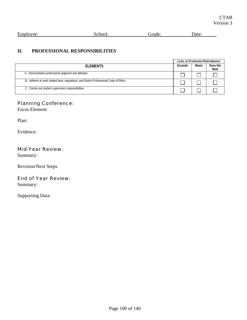| CTAB      |
|-----------|
| Version 3 |

| $\blacksquare$<br>Employee: | ''OOL.<br><br>ັ | -- | . |
|-----------------------------|-----------------|----|---|
|                             |                 |    |   |

# **II. PROFESSIONAL RESPONSIBILITIES**

|                                                                                        |         |       | <b>LEVEL OF STANDARDS PERFORMANCE</b> |
|----------------------------------------------------------------------------------------|---------|-------|---------------------------------------|
| <b>FI FMFNTS</b>                                                                       | Exceeds | Meets | Does Not<br>Meet                      |
| A. Demonstrates professional judgment and attitudes                                    |         |       |                                       |
| B. Adheres to work related laws, regulations, and District Professional Code of Ethics |         |       |                                       |
| C. Carries out student supervisory responsibilities                                    |         |       |                                       |

# Planning Conference:

Focus Element:

Plan:

Evidence:

### Mid-Year Review:

Summary:

Revision/Next Steps:

# End of Year Review:

Summary: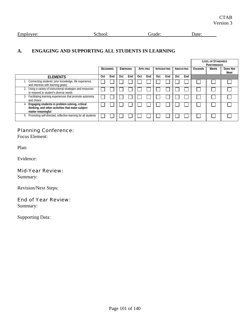```
Employee: School: School: Grade: Date: Date:
```
# **A. ENGAGING AND SUPPORTING ALL STUDENTS IN LEARNING**

|                                                                                                                         |     |                  |     |                 |     |          |            |                    |     |                   |         | <b>LEVEL OF STANDARDS</b><br>PERFORMANCE |                  |
|-------------------------------------------------------------------------------------------------------------------------|-----|------------------|-----|-----------------|-----|----------|------------|--------------------|-----|-------------------|---------|------------------------------------------|------------------|
|                                                                                                                         |     | <b>BEGINNING</b> |     | <b>EMERGING</b> |     | APPLYING |            | <b>INTEGRATING</b> |     | <b>INNOVATING</b> | Exceeds | <b>Meets</b>                             | Does Not<br>Meet |
| <b>ELEMENTS</b>                                                                                                         | 0ct | End              | Oct | End             | Oct | End      | <b>Oct</b> | End                | Oct | End               |         |                                          |                  |
| Connecting students' prior knowledge, life experience,<br>and interests with learning goals)                            |     |                  |     |                 |     |          |            |                    |     |                   |         |                                          |                  |
| Using a variety of instructional strategies and resources<br>to respond to student's diverse needs                      |     |                  |     |                 |     |          |            |                    |     |                   |         |                                          |                  |
| 3. Facilitating learning experiences that promote autonomy<br>and choice                                                |     |                  |     |                 |     |          |            |                    |     |                   |         |                                          |                  |
| Engaging students in problem solving, critical<br>thinking, and other activities that make subject<br>matter meaningful |     |                  |     |                 |     |          |            |                    |     |                   |         |                                          |                  |
| Promoting self-directed, reflective learning for all students<br>5.                                                     |     |                  |     |                 |     |          |            |                    |     |                   |         |                                          |                  |

# Planning Conference:

Focus Element:

Plan:

Evidence:

### Mid-Year Review:

Summary:

Revision/Next Steps:

### End of Year Review:

Summary: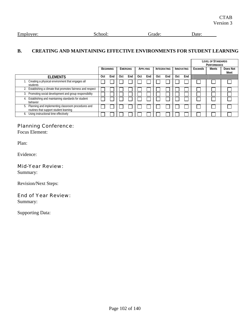| Employee:<br>school:<br>.erade: | Date: |
|---------------------------------|-------|
|---------------------------------|-------|

### **B. CREATING AND MAINTAINING EFFECTIVE ENVIRONMENTS FOR STUDENT LEARNING**

|                                                                                                    |     |                  |     |          |     |          |     |                    |            |                   |         | <b>LEVEL OF STANDARDS</b><br>PERFORMANCE |                  |
|----------------------------------------------------------------------------------------------------|-----|------------------|-----|----------|-----|----------|-----|--------------------|------------|-------------------|---------|------------------------------------------|------------------|
|                                                                                                    |     | <b>BEGINNING</b> |     | EMERGING |     | APPLYING |     | <b>INTEGRATING</b> |            | <b>INNOVATING</b> | Exceeds | Meets                                    | Does Not<br>Meet |
| <b>ELEMENTS</b>                                                                                    | 0ct | End              | Oct | End      | Oct | End      | Oct | End                | <b>Oct</b> | End               |         |                                          |                  |
| Creating a physical environment that engages all<br>students                                       |     |                  |     |          |     |          |     |                    |            |                   |         |                                          |                  |
| 2. Establishing a climate that promotes fairness and respect                                       |     |                  |     |          |     |          |     |                    |            |                   |         |                                          |                  |
| Promoting social development and group responsibility<br>3.                                        |     |                  |     |          |     |          |     |                    |            |                   |         |                                          |                  |
| <b>Establishing and maintaining standards for student</b><br>behavior                              |     |                  |     |          |     |          |     |                    |            |                   |         |                                          |                  |
| Planning and implementing classroom procedures and<br>5.<br>routines that support student learning |     |                  |     |          |     |          |     |                    |            |                   |         |                                          |                  |
| 6. Using instructional time effectively                                                            |     |                  |     |          |     |          |     |                    |            |                   |         |                                          |                  |

# Planning Conference:

Focus Element:

Plan:

Evidence:

### Mid-Year Review:

Summary:

Revision/Next Steps:

### End of Year Review:

Summary: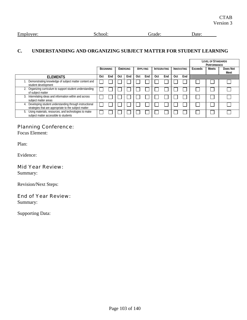```
Employee: School: Grade: Date: Date:
```
# **C. UNDERSTANDING AND ORGANIZING SUBJECT MATTER FOR STUDENT LEARNING**

|                                                                                                                 |                  |     |     |                 |            |          |     |                    |            |     |         | <b>LEVEL OF STANDARDS</b><br>PERFORMANCE |                  |
|-----------------------------------------------------------------------------------------------------------------|------------------|-----|-----|-----------------|------------|----------|-----|--------------------|------------|-----|---------|------------------------------------------|------------------|
|                                                                                                                 | <b>BEGINNING</b> |     |     | <b>EMERGING</b> |            | APPLYING |     | <b>INTEGRATING</b> | INNOVATING |     | Exceeds | <b>Meets</b>                             | Does Not<br>Meet |
| <b>ELEMENTS</b>                                                                                                 | Oct              | End | Oct | End             | <b>Oct</b> | End      | Oct | End                | Oct        | End |         |                                          |                  |
| Demonstrating knowledge of subject matter content and<br>student development                                    |                  |     |     |                 |            |          |     |                    |            |     |         |                                          |                  |
| 2. Organizing curriculum to support student understanding<br>of subject matter                                  |                  |     |     |                 |            |          |     |                    |            |     |         |                                          |                  |
| Interrelating ideas and information within and across<br>3.<br>subject matter areas                             |                  |     |     |                 |            |          |     |                    |            |     |         |                                          |                  |
| Developing student understanding through instructional<br>strategies that are appropriate to the subject matter |                  |     |     |                 |            |          |     |                    |            |     |         |                                          |                  |
| Using materials, resources, and technologies to make<br>5.<br>subject matter accessible to students             |                  |     |     |                 |            |          |     |                    |            |     |         |                                          |                  |

# Planning Conference:

Focus Element:

Plan:

Evidence:

### Mid Year Review:

Summary:

Revision/Next Steps:

### End of Year Review:

Summary: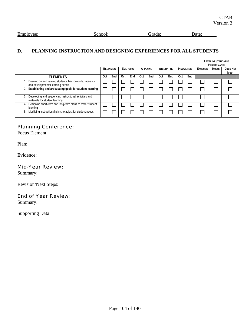| Employee: | rnool. | ade. | Jate |
|-----------|--------|------|------|
|           |        |      |      |

### **D. PLANNING INSTRUCTION AND DESIGNING EXPERIENCES FOR ALL STUDENTS**

|                                                                                                |     |                  |     |          |            |          |     |                    |     |                   |         | <b>LEVEL OF STANDARDS</b><br><b>PERFORMANCE</b> |                  |
|------------------------------------------------------------------------------------------------|-----|------------------|-----|----------|------------|----------|-----|--------------------|-----|-------------------|---------|-------------------------------------------------|------------------|
|                                                                                                |     | <b>BEGINNING</b> |     | EMERGING |            | APPLYING |     | <b>INTEGRATING</b> |     | <b>INNOVATING</b> | Exceeds | Meets                                           | Does Not<br>Meet |
| <b>ELEMENTS</b>                                                                                | Oct | End              | Oct | End      | <b>Oct</b> | End      | Oct | End                | Oct | End               |         |                                                 |                  |
| Drawing on and valuing students' backgrounds, interests,<br>and developmental learning needs   |     |                  |     |          |            |          |     |                    |     |                   |         |                                                 |                  |
| Establishing and articulating goals for student learning                                       |     |                  |     |          |            |          |     |                    |     |                   |         |                                                 |                  |
| Developing and sequencing instructional activities and<br>3.<br>materials for student learning |     |                  |     |          |            |          |     |                    |     |                   |         |                                                 |                  |
| Designing short-term and long-term plans to foster student<br>learning                         |     |                  |     |          |            |          |     |                    |     |                   |         |                                                 |                  |
| Modifying instructional plans to adjust for student needs<br>ხ.                                |     |                  |     |          |            |          |     |                    |     |                   |         |                                                 |                  |

# Planning Conference:

Focus Element:

Plan:

Evidence:

### Mid-Year Review:

Summary:

Revision/Next Steps:

### End of Year Review:

Summary: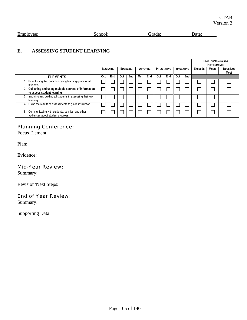```
Employee: School: School: Grade: Date: Date:
```
### **E. ASSESSING STUDENT LEARNING**

|                                                                                            |     |                  |     |                 |            |          |                    |     |                   |     |         | <b>LEVEL OF STANDARDS</b><br>PERFORMANCE |                  |
|--------------------------------------------------------------------------------------------|-----|------------------|-----|-----------------|------------|----------|--------------------|-----|-------------------|-----|---------|------------------------------------------|------------------|
|                                                                                            |     | <b>BEGINNING</b> |     | <b>EMERGING</b> |            | APPLYING | <b>INTEGRATING</b> |     | <b>INNOVATING</b> |     | Exceeds | Meets                                    | Does Not<br>Meet |
| <b>ELEMENTS</b>                                                                            | Oct | End              | Oct | End             | <b>Oct</b> | End      | Oct                | End | <b>Oct</b>        | End |         |                                          |                  |
| Establishing And communicating learning goals for all<br>students                          |     |                  |     |                 |            |          |                    |     |                   |     |         |                                          |                  |
| Collecting and using multiple sources of information<br>to assess student learning         |     |                  |     |                 |            |          |                    |     |                   |     |         |                                          |                  |
| 3. Involving and guiding all students in assessing their own<br>learning                   |     |                  |     |                 |            |          |                    |     |                   |     |         |                                          |                  |
| Using the results of assessments to guide instruction                                      |     |                  |     |                 |            |          |                    |     |                   |     |         |                                          |                  |
| Communicating with students, families, and other<br>ხ.<br>audiences about student progress |     |                  |     |                 |            |          |                    |     |                   |     |         |                                          |                  |

# Planning Conference:

Focus Element:

Plan:

Evidence:

### Mid-Year Review:

Summary:

Revision/Next Steps:

### End of Year Review:

Summary: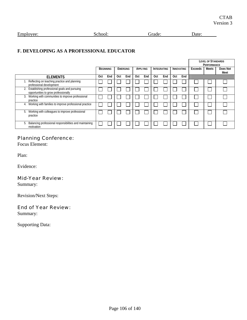### **F. DEVELOPING AS A PROFESSIONAL EDUCATOR**

|                                                                                            |     |                  |            |                 |     |          |            |                    |            |                   |         | <b>LEVEL OF STANDARDS</b><br><b>PERFORMANCE</b> |                  |
|--------------------------------------------------------------------------------------------|-----|------------------|------------|-----------------|-----|----------|------------|--------------------|------------|-------------------|---------|-------------------------------------------------|------------------|
|                                                                                            |     | <b>BEGINNING</b> |            | <b>EMERGING</b> |     | APPLYING |            | <b>INTEGRATING</b> |            | <b>INNOVATING</b> | Exceeds | Meets                                           | Does Not<br>Meet |
| <b>ELEMENTS</b>                                                                            | Oct | End              | <b>Oct</b> | End             | Oct | End      | <b>Oct</b> | End                | <b>Oct</b> | End               |         |                                                 |                  |
| Reflecting on teaching practice and planning<br>professional development                   |     |                  |            |                 |     |          |            |                    |            |                   |         |                                                 |                  |
| Establishing professional goals and pursuing<br>2.<br>opportunities to grow professionally |     |                  |            |                 |     |          |            |                    |            |                   |         |                                                 |                  |
| Working with communities to improve professional<br>3.<br>practice                         |     |                  |            |                 |     |          |            |                    |            |                   |         |                                                 |                  |
| 4. Working with families to improve professional practice                                  |     |                  |            |                 |     |          |            |                    |            |                   |         |                                                 |                  |
| 5. Working with colleagues to improve professional<br>practice                             |     |                  |            |                 |     |          |            |                    |            |                   |         |                                                 |                  |
| Balancing professional responsibilities and maintaining<br>5.<br>motivation                |     |                  |            |                 |     |          |            |                    |            |                   |         |                                                 |                  |

# Planning Conference:

Focus Element:

Plan:

Evidence:

### Mid-Year Review:

Summary:

Revision/Next Steps:

# End of Year Review:

Summary: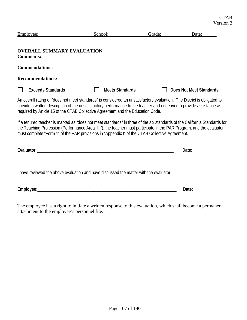| Employee:                                                                                                                                                                                                                                                                                                                                           | School:                | Grade: | Date:                   |
|-----------------------------------------------------------------------------------------------------------------------------------------------------------------------------------------------------------------------------------------------------------------------------------------------------------------------------------------------------|------------------------|--------|-------------------------|
| <b>OVERALL SUMMARY EVALUATION</b><br><b>Comments:</b>                                                                                                                                                                                                                                                                                               |                        |        |                         |
| <b>Commendations:</b>                                                                                                                                                                                                                                                                                                                               |                        |        |                         |
| <b>Recommendations:</b>                                                                                                                                                                                                                                                                                                                             |                        |        |                         |
| <b>Exceeds Standards</b>                                                                                                                                                                                                                                                                                                                            | <b>Meets Standards</b> |        | Does Not Meet Standards |
| An overall rating of "does not meet standards" is considered an unsatisfactory evaluation. The District is obligated to<br>provide a written description of the unsatisfactory performance to the teacher and endeavor to provide assistance as<br>required by Article 15 of the CTAB Collective Agreement and the Education Code.                  |                        |        |                         |
| If a tenured teacher is marked as "does not meet standards" in three of the six standards of the California Standards for<br>the Teaching Profession (Performance Area "III"), the teacher must participate in the PAR Program, and the evaluator<br>must complete "Form 1" of the PAR provisions in "Appendix I" of the CTAB Collective Agreement. |                        |        |                         |
|                                                                                                                                                                                                                                                                                                                                                     |                        |        | Date:                   |
| I have reviewed the above evaluation and have discussed the matter with the evaluator.                                                                                                                                                                                                                                                              |                        |        |                         |
|                                                                                                                                                                                                                                                                                                                                                     |                        |        | Date:                   |

The employee has a right to initiate a written response to this evaluation, which shall become a permanent attachment to the employee's personnel file.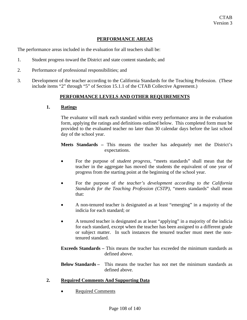### **PERFORMANCE AREAS**

The performance areas included in the evaluation for all teachers shall be:

- 1. Student progress toward the District and state content standards; and
- 2. Performance of professional responsibilities; and
- 3. Development of the teacher according to the California Standards for the Teaching Profession. (These include items "2" through "5" of Section 15.1.1 of the CTAB Collective Agreement.)

### **PERFORMANCE LEVELS AND OTHER REQUIREMENTS**

#### **1. Ratings**

The evaluator will mark each standard within every performance area in the evaluation form, applying the ratings and definitions outlined below. This completed form must be provided to the evaluated teacher no later than 30 calendar days before the last school day of the school year.

**Meets Standards –** This means the teacher has adequately met the District's expectations.

- For the purpose of *student progress,* "meets standards" shall mean that the teacher in the aggregate has moved the students the equivalent of one year of progress from the starting point at the beginning of the school year.
- For the purpose of *the teacher's development according to the California Standards for the Teaching Profession (CSTP),* "meets standards" shall mean that:
- A non-tenured teacher is designated as at least "emerging" in a majority of the indicia for each standard; or
- A tenured teacher is designated as at least "applying" in a majority of the indicia for each standard, except when the teacher has been assigned to a different grade or subject matter. In such instances the tenured teacher must meet the nontenured standard.

**Exceeds Standards –** This means the teacher has exceeded the minimum standards as defined above.

**Below Standards –** This means the teacher has not met the minimum standards as defined above.

### **2. Required Comments And Supporting Data**

**Required Comments**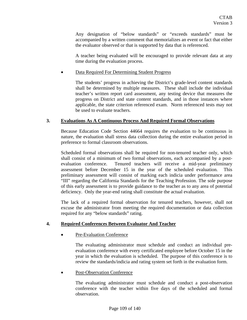Any designation of "below standards" or "exceeds standards" must be accompanied by a written comment that memorializes an event or fact that either the evaluator observed or that is supported by data that is referenced.

A teacher being evaluated will be encouraged to provide relevant data at any time during the evaluation process.

## • Data Required For Determining Student Progress

The students' progress in achieving the District's grade-level content standards shall be determined by multiple measures. These shall include the individual teacher's written report card assessment, any testing device that measures the progress on District and state content standards, and in those instances where applicable, the state criterion referenced exam. Norm referenced tests may not be used to evaluate teachers.

## **3. Evaluations As A Continuous Process And Required Formal Observations**

Because Education Code Section 44664 requires the evaluation to be continuous in nature, the evaluation shall stress data collection during the entire evaluation period in preference to formal classroom observations.

Scheduled formal observations shall be required for non-tenured teacher only, which shall consist of a minimum of two formal observations, each accompanied by a postevaluation conference. Tenured teachers will receive a mid-year preliminary assessment before December 15 in the year of the scheduled evaluation. This preliminary assessment will consist of marking each indicia under performance area "III" regarding the California Standards for the Teaching Profession. The sole purpose of this early assessment is to provide guidance to the teacher as to any area of potential deficiency. Only the year-end rating shall constitute the actual evaluation.

The lack of a required formal observation for tenured teachers, however, shall not excuse the administrator from meeting the required documentation or data collection required for any "below standards" rating.

# **4. Required Conferences Between Evaluator And Teacher**

Pre-Evaluation Conference

The evaluating administrator must schedule and conduct an individual preevaluation conference with every certificated employee before October 15 in the year in which the evaluation is scheduled. The purpose of this conference is to review the standards/indicia and rating system set forth in the evaluation form.

## • Post-Observation Conference

The evaluating administrator must schedule and conduct a post-observation conference with the teacher within five days of the scheduled and formal observation.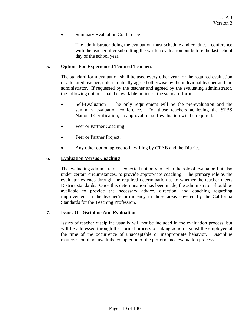## **Summary Evaluation Conference**

The administrator doing the evaluation must schedule and conduct a conference with the teacher after submitting the written evaluation but before the last school day of the school year.

## **5. Options For Experienced Tenured Teachers**

The standard form evaluation shall be used every other year for the required evaluation of a tenured teacher, unless mutually agreed otherwise by the individual teacher and the administrator. If requested by the teacher and agreed by the evaluating administrator, the following options shall be available in lieu of the standard form:

- Self-Evaluation The only requirement will be the pre-evaluation and the summary evaluation conference. For those teachers achieving the STBS National Certification, no approval for self-evaluation will be required.
- Peer or Partner Coaching.
- Peer or Partner Project.
- Any other option agreed to in writing by CTAB and the District.

## **6. Evaluation Versus Coaching**

The evaluating administrator is expected not only to act in the role of evaluator, but also under certain circumstances, to provide appropriate coaching. The primary role as the evaluator extends through the required determination as to whether the teacher meets District standards. Once this determination has been made, the administrator should be available to provide the necessary advice, direction, and coaching regarding improvement in the teacher's proficiency in those areas covered by the California Standards for the Teaching Profession.

## **7. Issues Of Discipline And Evaluation**

Issues of teacher discipline usually will not be included in the evaluation process, but will be addressed through the normal process of taking action against the employee at the time of the occurrence of unacceptable or inappropriate behavior. Discipline matters should not await the completion of the performance evaluation process.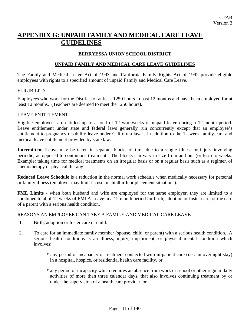# **APPENDIX G: UNPAID FAMILY AND MEDICAL CARE LEAVE GUIDELINES**

## **BERRYESSA UNION SCHOOL DISTRICT**

## **UNPAID FAMILY AND MEDICAL CARE LEAVE GUIDELINES**

The Family and Medical Leave Act of 1993 and California Family Rights Act of 1992 provide eligible employees with rights to a specified amount of unpaid Family and Medical Care Leave.

## **ELIGIBILITY**

Employees who work for the District for at least 1250 hours in past 12 months and have been employed for at least 12 months. (Teachers are deemed to meet the 1250 hours).

#### LEAVE ENTITLEMENT

Eligible employees are entitled up to a total of 12 workweeks of unpaid leave during a 12-month period. Leave entitlement under state and federal laws generally run concurrently except that an employee's entitlement to pregnancy disability leave under California law is in addition to the 12-week family care and medical leave entitlement provided by state law.

**Intermittent Leave** may be taken in separate blocks of time due to a single illness or injury involving periodic, as opposed to continuous treatment. The blocks can vary in size from an hour (or less) to weeks. Example: taking time for medical treatments on an irregular basis or on a regular basis such as a regimen of chemotherapy or physical therapy.

**Reduced Leave Schedule** is a reduction in the normal work schedule when medically necessary for personal or family illness (employer may limit its use in childbirth or placement situations).

**FML Limits** - when both husband and wife are employed for the same employer, they are limited to a combined total of 12 weeks of FMLA Leave in a 12 month period for birth, adoption or foster care, or the care of a parent with a serious health condition.

## REASONS AN EMPLOYEE CAN TAKE A FAMILY AND MEDICAL CARE LEAVE

- 1. Birth, adoption or foster care of child.
- 2. To care for an immediate family member (spouse, child, or parent) with a serious health condition. A serious health conditions is an illness, injury, impairment, or physical mental condition which involves:
	- \* any period of incapacity or treatment connected with in-patient care (i.e.: an overnight stay) in a hospital, hospice, or residential health care facility, or
	- \* any period of incapacity which requires an absence from work or school or other regular daily activities of more than three calendar days, that also involves continuing treatment by or under the supervision of a health care provider, or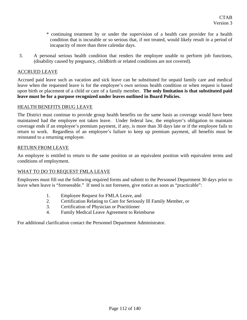- \* continuing treatment by or under the supervision of a health care provider for a health condition that is incurable or so serious that, if not treated, would likely result in a period of incapacity of more than three calendar days.
- 3. A personal serious health condition that renders the employee unable to perform job functions, (disability caused by pregnancy, childbirth or related conditions are not covered).

## ACCRUED LEAVE

Accrued paid leave such as vacation and sick leave can be substituted for unpaid family care and medical leave when the requested leave is for the employee's own serious health condition or when request is based upon birth or placement of a child or care of a family member. **The only limitation is that substituted paid leave must be for a purpose recognized under leaves outlined in Board Policies.**

## HEALTH BENEFITS DRUG LEAVE

The District must continue to provide group health benefits on the same basis as coverage would have been maintained had the employee not taken leave. Under federal law, the employer's obligation to maintain coverage ends if an employee's premium payment, if any, is more than 30 days late or if the employee fails to return to work. Regardless of an employee's failure to keep up premium payment, all benefits must be reinstated to a returning employee.

## RETURN FROM LEAVE

An employee is entitled to return to the same position or an equivalent position with equivalent terms and conditions of employment.

## WHAT TO DO TO REQUEST FMLA LEAVE

Employees must fill out the following required forms and submit to the Personnel Department 30 days prior to leave when leave is "foreseeable." If need is not foreseen, give notice as soon as "practicable":

- 1. Employee Request for FMLA Leave, and
- 2. Certification Relating to Care for Seriously Ill Family Member, or
- 3. Certification of Physician or Practitioner
- 4. Family Medical Leave Agreement to Reimburse

For additional clarification contact the Personnel Department Administrator.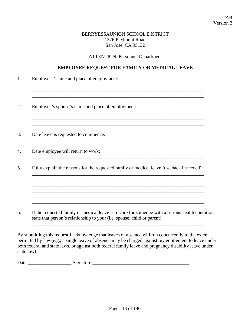## BERRYESSAUNION SCHOOL DISTRICT 1376 Piedmont Road San Jose, CA 95132

ATTENTION: Personnel Department

## **EMPLOYEE REQUEST FOR FAMILY OR MEDICAL LEAVE**

 $\overline{\phantom{a}}$  ,  $\overline{\phantom{a}}$  ,  $\overline{\phantom{a}}$  ,  $\overline{\phantom{a}}$  ,  $\overline{\phantom{a}}$  ,  $\overline{\phantom{a}}$  ,  $\overline{\phantom{a}}$  ,  $\overline{\phantom{a}}$  ,  $\overline{\phantom{a}}$  ,  $\overline{\phantom{a}}$  ,  $\overline{\phantom{a}}$  ,  $\overline{\phantom{a}}$  ,  $\overline{\phantom{a}}$  ,  $\overline{\phantom{a}}$  ,  $\overline{\phantom{a}}$  ,  $\overline{\phantom{a}}$  $\_$  ,  $\_$  ,  $\_$  ,  $\_$  ,  $\_$  ,  $\_$  ,  $\_$  ,  $\_$  ,  $\_$  ,  $\_$  ,  $\_$  ,  $\_$  ,  $\_$  ,  $\_$  ,  $\_$  ,  $\_$  ,  $\_$  ,  $\_$  ,  $\_$  ,  $\_$  ,  $\_$  ,  $\_$  ,  $\_$  ,  $\_$  ,  $\_$  ,  $\_$  ,  $\_$  ,  $\_$  ,  $\_$  ,  $\_$  ,  $\_$  ,  $\_$  ,  $\_$  ,  $\_$  ,  $\_$  ,  $\_$  ,  $\_$  ,

 $\overline{\phantom{a}}$  , and the contribution of the contribution of the contribution of the contribution of the contribution of the contribution of the contribution of the contribution of the contribution of the contribution of the \_\_\_\_\_\_\_\_\_\_\_\_\_\_\_\_\_\_\_\_\_\_\_\_\_\_\_\_\_\_\_\_\_\_\_\_\_\_\_\_\_\_\_\_\_\_\_\_\_\_\_\_\_\_\_\_\_\_\_\_\_\_\_\_\_\_\_\_\_\_\_

\_\_\_\_\_\_\_\_\_\_\_\_\_\_\_\_\_\_\_\_\_\_\_\_\_\_\_\_\_\_\_\_\_\_\_\_\_\_\_\_\_\_\_\_\_\_\_\_\_\_\_\_\_\_\_\_\_\_\_\_\_\_\_\_\_\_\_\_\_\_\_

\_\_\_\_\_\_\_\_\_\_\_\_\_\_\_\_\_\_\_\_\_\_\_\_\_\_\_\_\_\_\_\_\_\_\_\_\_\_\_\_\_\_\_\_\_\_\_\_\_\_\_\_\_\_\_\_\_\_\_\_\_\_\_\_\_\_\_\_\_\_\_

\_\_\_\_\_\_\_\_\_\_\_\_\_\_\_\_\_\_\_\_\_\_\_\_\_\_\_\_\_\_\_\_\_\_\_\_\_\_\_\_\_\_\_\_\_\_\_\_\_\_\_\_\_\_\_\_\_\_\_\_\_\_\_\_\_\_\_\_\_\_\_  $\mathcal{L}_\text{max}$  , and the set of the set of the set of the set of the set of the set of the set of the set of the set of the set of the set of the set of the set of the set of the set of the set of the set of the set of the \_\_\_\_\_\_\_\_\_\_\_\_\_\_\_\_\_\_\_\_\_\_\_\_\_\_\_\_\_\_\_\_\_\_\_\_\_\_\_\_\_\_\_\_\_\_\_\_\_\_\_\_\_\_\_\_\_\_\_\_\_\_\_\_\_\_\_\_\_\_\_ \_\_\_\_\_\_\_\_\_\_\_\_\_\_\_\_\_\_\_\_\_\_\_\_\_\_\_\_\_\_\_\_\_\_\_\_\_\_\_\_\_\_\_\_\_\_\_\_\_\_\_\_\_\_\_\_\_\_\_\_\_\_\_\_\_\_\_\_\_\_\_

- 1. Employees' name and place of employment:
- 2. Employee's spouse's name and place of employment:
- 3. Date leave is requested to commence:
- 4. Date employee will return to work:
- 5. Fully explain the reasons for the requested family or medical leave (use back if needed):

6. If the requested family or medical leave is to care for someone with a serious health condition, state that person's relationship to your (i.e. spouse, child or parent):

\_\_\_\_\_\_\_\_\_\_\_\_\_\_\_\_\_\_\_\_\_\_\_\_\_\_\_\_\_\_\_\_\_\_\_\_\_\_\_\_\_\_\_\_\_\_\_\_\_\_\_\_\_\_\_\_\_\_\_\_\_\_\_\_\_\_\_\_\_\_\_

\_\_\_\_\_\_\_\_\_\_\_\_\_\_\_\_\_\_\_\_\_\_\_\_\_\_\_\_\_\_\_\_\_\_\_\_\_\_\_\_\_\_\_\_\_\_\_\_\_\_\_\_\_\_\_\_\_\_\_\_\_\_\_\_\_\_\_\_\_\_\_

By submitting this request I acknowledge that leaves of absence will run concurrently to the extent permitted by law (e.g., a single leave of absence may be charged against my entitlement to leave under both federal and state laws, or against both federal family leave and pregnancy disability leave under state law).

| $\mathbf{\bar{r}}$<br>Date |  |
|----------------------------|--|
|                            |  |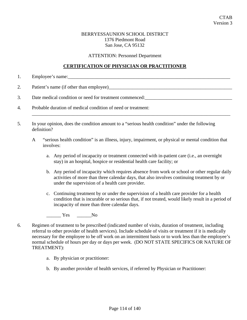## BERRYESSAUNION SCHOOL DISTRICT 1376 Piedmont Road San Jose, CA 95132

ATTENTION: Personnel Department

## **CERTIFICATION OF PHYSICIAN OR PRACTITIONER**

1. Employee's name:\_\_\_\_\_\_\_\_\_\_\_\_\_\_\_\_\_\_\_\_\_\_\_\_\_\_\_\_\_\_\_\_\_\_\_\_\_\_\_\_\_\_\_\_\_\_\_\_\_\_\_\_\_\_\_\_\_\_\_\_\_\_\_\_\_\_\_

2. Patient's name (if other than employee)

3. Date medical condition or need for treatment commenced:\_\_\_\_\_\_\_\_\_\_\_\_\_\_\_\_\_\_\_\_\_\_\_\_\_\_\_\_\_\_\_\_\_\_\_\_

- 4. Probable duration of medical condition of need or treatment:
- 5. In your opinion, does the condition amount to a "serious health condition" under the following definition?
	- A "serious health condition" is an illness, injury, impairment, or physical or mental condition that involves:

\_\_\_\_\_\_\_\_\_\_\_\_\_\_\_\_\_\_\_\_\_\_\_\_\_\_\_\_\_\_\_\_\_\_\_\_\_\_\_\_\_\_\_\_\_\_\_\_\_\_\_\_\_\_\_\_\_\_\_\_\_\_\_\_\_\_\_\_\_\_\_\_\_\_\_\_\_\_\_\_\_\_

- a. Any period of incapacity or treatment connected with in-patient care (i.e., an overnight stay) in an hospital, hospice or residential health care facility; or
- b. Any period of incapacity which requires absence from work or school or other regular daily activities of more than three calendar days, that also involves continuing treatment by or under the supervision of a health care provider.
- c. Continuing treatment by or under the supervision of a health care provider for a health condition that is incurable or so serious that, if not treated, would likely result in a period of incapacity of more than three calendar days.

## \_\_\_\_\_\_ Yes \_\_\_\_\_\_No

- 6. Regimen of treatment to be prescribed (indicated number of visits, duration of treatment, including referral to other provider of health services). Include schedule of visits or treatment if it is medically necessary for the employee to be off work on an intermittent basis or to work less than the employee's normal schedule of hours per day or days per week. (DO NOT STATE SPECIFICS OR NATURE OF TREATMENT):
	- a. By physician or practitioner:
	- b. By another provider of health services, if referred by Physician or Practitioner: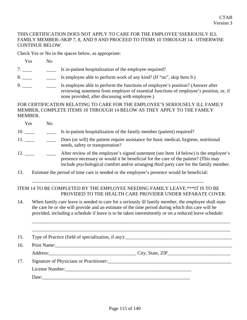## THIS CERTIFICATION DOES NOT APPLY TO CARE FOR THE EMPLOYEE'SSERIOUSLY ILL FAMILY MEMBER--SKIP 7, 8, AND 9 AND PROCEED TO ITEMS 10 THROUGH 14. OTHERWISE CONTINUE BELOW.

Check Yes or No in the spaces below, as appropriate:

Yes No

- 7. \_\_\_\_\_ Is in-patient hospitalization of the employee required?
- 8. Solution is employee able to perform work of any kind? (If "no", skip Item 9.)
- 9. \_\_\_\_ Is employee able to perform the functions of employee's position? (Answer after reviewing statement from employer of essential functions of employee's position, or, if none provided, after discussing with employee.)

FOR CERTIFICATION RELATING TO CARE FOR THE EMPLOYEE'S SERIOUSELY ILL FAMILY MEMBER, COMPLETE ITEMS 10 THROUGH 14 BELOW AS THEY APPLY TO THE FAMILY MEMBER.

- Yes No 10. \_\_\_\_ \_\_\_ Is in-patient hospitalization of the family member (patient) required? 11. \_\_\_\_ Does (or will) the patient require assistance for basic medical, hygiene, nutritional needs, safety or transportation? 12. \_\_\_\_ After review of the employee's signed statement (see Item 14 below) is the employee's presence necessary or would it be beneficial for the care of the patient? (This may include psychological comfort and/or arranging third party care for the family member.
- 13. Estimate the period of time care is needed or the employee's presence would be beneficial:

# ITEM 14 TO BE COMPLETED BY THE EMPLOYEE NEEDING FAMILY LEAVE.\*\*\*IT IS TO BE PROVIDED TO THE HEALTH CARE PROVIDER UNDER SEPARATE COVER.

\_\_\_\_\_\_\_\_\_\_\_\_\_\_\_\_\_\_\_\_\_\_\_\_\_\_\_\_\_\_\_\_\_\_\_\_\_\_\_\_\_\_\_\_\_\_\_\_\_\_\_\_\_\_\_\_\_\_\_\_\_\_\_\_\_\_\_\_\_\_\_

14. When family care leave is needed to care for a seriously ill family member, the employee shall state the care he or she will provide and an estimate of the time period during which this care will be provided, including a schedule if leave is to be taken intermittently or on a reduced leave schedule:

\_\_\_\_\_\_\_\_\_\_\_\_\_\_\_\_\_\_\_\_\_\_\_\_\_\_\_\_\_\_\_\_\_\_\_\_\_\_\_\_\_\_\_\_\_\_\_\_\_\_\_\_\_\_\_\_\_\_\_\_\_\_\_\_\_\_\_\_\_\_\_\_\_\_\_\_\_\_\_\_\_\_

\_\_\_\_\_\_\_\_\_\_\_\_\_\_\_\_\_\_\_\_\_\_\_\_\_\_\_\_\_\_\_\_\_\_\_\_\_\_\_\_\_\_\_\_\_\_\_\_\_\_\_\_\_\_\_\_\_\_\_\_\_\_\_\_\_\_\_\_\_\_\_\_\_\_\_\_\_\_\_\_\_\_ 15. Type of Practice (field of specialization, if any): 16. Print Name:\_\_\_\_\_\_\_\_\_\_\_\_\_\_\_\_\_\_\_\_\_\_\_\_\_\_\_\_\_\_\_\_\_\_\_\_\_\_\_\_\_\_\_\_\_\_\_\_\_\_\_\_\_\_\_\_\_\_\_\_\_\_\_\_\_\_\_\_\_\_\_\_\_ Address:\_\_\_\_\_\_\_\_\_\_\_\_\_\_\_\_\_\_\_\_\_\_\_\_\_\_\_\_\_\_\_\_\_\_\_\_ City, State, ZIP\_\_\_\_\_\_\_\_\_\_\_\_\_\_\_\_\_\_\_\_\_\_\_\_\_\_ 17. Signature of Physicians or Practitioner: \_\_\_\_\_\_\_\_\_\_\_\_\_\_\_\_\_\_\_\_\_\_\_\_\_\_\_\_\_\_\_\_\_\_\_ License Number: Date: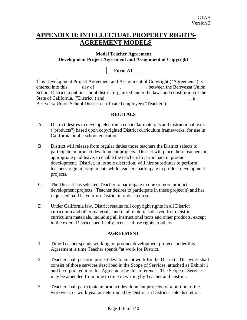# **APPENDIX H: INTELLECTUAL PROPERTY RIGHTS-AGREEMENT MODELS**

# **Model Teacher Agreement Development Project Agreement and Assignment of Copyright**

# **Form A1**

| This Development Project Agreement and Assignment of Copyright ("Agreement") is                 |  |
|-------------------------------------------------------------------------------------------------|--|
| entered into this ______ day of __________________________________, between the Berryessa Union |  |
| School District, a public school district organized under the laws and constitution of the      |  |
| State of California, ("District") and                                                           |  |
| Berryessa Union School District certificated employee ("Teacher").                              |  |

# **RECITALS**

- A. District desires to develop electronic curricular materials and instructional texts ("products") based upon copyrighted District curriculum frameworks, for use in California public school education.
- B. District will release from regular duties those teachers the District selects to participate in product development projects. District will place these teachers on appropriate paid leave, to enable the teachers to participate in product development. District, in its sole discretion, will hire substitutes to perform teachers' regular assignments while teachers participate in product development projects.
- C. The District has selected Teacher to participate in one or more product development projects. Teacher desires to participate in these project(s) and has requested paid leave from District in order to do so.
- D. Under California law, District retains full copyright rights in all District curriculum and other materials, and in all materials derived from District curriculum materials, including all instructional texts and other products, except to the extent District specifically licenses those rights to others.

# **AGREEMENT**

- 1. Time Teacher spends working on product development projects under this Agreement is time Teacher spends "at work for District."
- 2. Teacher shall perform project development work for the District. This work shall consist of those services described in the Scope of Services, attached as Exhibit 1 and incorporated into this Agreement by this reference. The Scope of Services may be amended from time to time in writing by Teacher and District.
- 3. Teacher shall participate in product development projects for a portion of the workweek or work year as determined by District in District's sole discretion.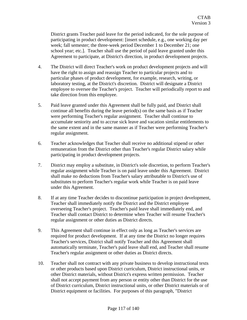District grants Teacher paid leave for the period indicated, for the sole purpose of participating in product development: [insert schedule, e.g., one working day per week; fall semester; the three-week period December 1 to December 21; one school year; etc.]. Teacher shall use the period of paid leave granted under this Agreement to participate, at District's direction, in product development projects.

- 4. The District will direct Teacher's work on product development projects and will have the right to assign and reassign Teacher to particular projects and to particular phases of product development, for example, research, writing, or laboratory testing, at the District's discretion. District will designate a District employee to oversee the Teacher's project. Teacher will periodically report to and take direction from this employee.
- 5. Paid leave granted under this Agreement shall be fully paid, and District shall continue all benefits during the leave period(s) on the same basis as if Teacher were performing Teacher's regular assignment. Teacher shall continue to accumulate seniority and to accrue sick leave and vacation similar entitlements to the same extent and in the same manner as if Teacher were performing Teacher's regular assignment.
- 6. Teacher acknowledges that Teacher shall receive no additional stipend or other remuneration from the District other than Teacher's regular District salary while participating in product development projects.
- 7. District may employ a substitute, in District's sole discretion, to perform Teacher's regular assignment while Teacher is on paid leave under this Agreement. District shall make no deductions from Teacher's salary attributable to District's use of substitutes to perform Teacher's regular work while Teacher is on paid leave under this Agreement.
- 8. If at any time Teacher decides to discontinue participation in project development, Teacher shall immediately notify the District and the District employee overseeing Teacher's project. Teacher's paid leave shall immediately end, and Teacher shall contact District to determine when Teacher will resume Teacher's regular assignment or other duties as District directs.
- 9. This Agreement shall continue in effect only as long as Teacher's services are required for product development. If at any time the District no longer requires Teacher's services, District shall notify Teacher and this Agreement shall automatically terminate, Teacher's paid leave shall end, and Teacher shall resume Teacher's regular assignment or other duties as District directs.
- 10. Teacher shall not contract with any private business to develop instructional texts or other products based upon District curriculum, District instructional units, or other District materials, without District's express written permission. Teacher shall not accept payment from any person or entity other than District for the use of District curriculum, District instructional units, or other District materials or of District equipment or facilities. For purposes of this paragraph, "District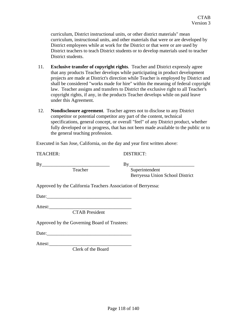curriculum, District instructional units, or other district materials" mean curriculum, instructional units, and other materials that were or are developed by District employees while at work for the District or that were or are used by District teachers to teach District students or to develop materials used to teacher District students.

- 11. **Exclusive transfer of copyright rights**. Teacher and District expressly agree that any products Teacher develops while participating in product development projects are made at District's direction while Teacher is employed by District and shall be considered "works made for hire" within the meaning of federal copyright law. Teacher assigns and transfers to District the exclusive right to all Teacher's copyright rights, if any, in the products Teacher develops while on paid leave under this Agreement.
- 12. **Nondisclosure agreement**. Teacher agrees not to disclose to any District competitor or potential competitor any part of the content, technical specifications, general concept, or overall "feel" of any District product, whether fully developed or in progress, that has not been made available to the public or to the general teaching profession.

Executed in San Jose, California, on the day and year first written above:

| <b>TEACHER:</b>                                               | <b>DISTRICT:</b>                |
|---------------------------------------------------------------|---------------------------------|
| By                                                            | By                              |
| Teacher                                                       | Superintendent                  |
|                                                               | Berryessa Union School District |
| Approved by the California Teachers Association of Berryessa: |                                 |
|                                                               |                                 |
| <b>CTAB</b> President                                         |                                 |
| Approved by the Governing Board of Trustees:                  |                                 |

 $Date:$ 

Attest:\_\_\_\_\_\_\_\_\_\_\_\_\_\_\_\_\_\_\_\_\_\_\_\_\_\_\_\_\_\_\_\_\_\_

Clerk of the Board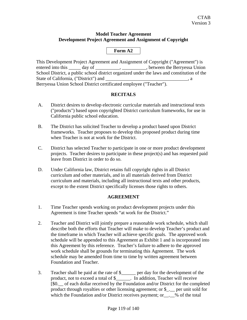## **Model Teacher Agreement Development Project Agreement and Assignment of Copyright**

# **Form A2**

This Development Project Agreement and Assignment of Copyright ("Agreement") is entered into this \_\_\_\_\_ day of \_\_\_\_\_\_\_\_\_\_, \_\_\_\_\_\_\_\_\_, between the Berryessa Union School District, a public school district organized under the laws and constitution of the State of California, ("District") and  $\qquad \qquad$  , a Berryessa Union School District certificated employee ("Teacher").

# **RECITALS**

- A. District desires to develop electronic curricular materials and instructional texts ("products") based upon copyrighted District curriculum frameworks, for use in California public school education.
- B. The District has solicited Teacher to develop a product based upon District frameworks. Teacher proposes to develop this proposed product during time when Teacher is not at work for the District.
- C. District has selected Teacher to participate in one or more product development projects. Teacher desires to participate in these project(s) and has requested paid leave from District in order to do so.
- D. Under California law, District retains full copyright rights in all District curriculum and other materials, and in all materials derived from District curriculum and materials, including all instructional texts and other products, except to the extent District specifically licenses those rights to others.

# **AGREEMENT**

- 1. Time Teacher spends working on product development projects under this Agreement is time Teacher spends "at work for the District."
- 2. Teacher and District will jointly prepare a reasonable work schedule, which shall describe both the efforts that Teacher will make to develop Teacher's product and the timeframe in which Teacher will achieve specific goals. The approved work schedule will be appended to this Agreement as Exhibit 1 and is incorporated into this Agreement by this reference. Teacher's failure to adhere to the approved work schedule shall be grounds for terminating this Agreement. The work schedule may be amended from time to time by written agreement between Foundation and Teacher.
- 3. Teacher shall be paid at the rate of \$\_\_\_\_\_\_ per day for the development of the product, not to exceed a total of \$\_\_\_\_\_\_. In addition, Teacher will receive [\$0.\_\_ of each dollar received by the Foundation and/or District for the completed product through royalties or other licensing agreement; or \$\_.\_\_ per unit sold for which the Foundation and/or District receives payment; or\_\_.\_% of the total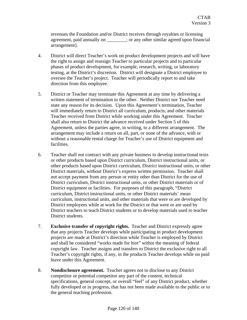revenues the Foundation and/or District receives through royalties or licensing agreement, paid annually on \_\_\_\_\_\_\_\_; or any other similar agreed upon financial arrangement].

- 4. District will direct Teacher's work on product development projects and will have the right to assign and reassign Teacher to particular projects and to particular phases of product development, for example, research, writing, or laboratory testing, at the District's discretion. District will designate a District employee to oversee the Teacher's project. Teacher will periodically report to and take direction from this employee.
- 5. District or Teacher may terminate this Agreement at any time by delivering a written statement of termination to the other. Neither District nor Teacher need state any reason for its decision. Upon this Agreement's termination, Teacher will immediately return to District all curriculum, products, and other materials Teacher received from District while working under this Agreement. Teacher shall also return to District the advance received under Section 5 of this Agreement, unless the parties agree, in writing, to a different arrangement. The arrangement may include a return on all, part, or none of the advance, with or without a reasonable rental charge for Teacher's use of District equipment and facilities.
- 6. Teacher shall not contract with any private business to develop instructional texts or other products based upon District curriculum, District instructional units, or other products based upon District curriculum, District instructional units, or other District materials, without District's express written permission. Teacher shall not accept payment from any person or entity other than District for the use of District curriculum, District instructional units, or other District materials or of District equipment or facilities. For purposes of this paragraph, "District curriculum, District instructional units, or other District materials' mean curriculum, instructional units, and other materials that were or are developed by District employees while at work for the District or that were or are used by District teachers to teach District students or to develop materials used to teacher District students.
- 7. **Exclusive transfer of copyright rights.** Teacher and District expressly agree that any projects Teacher develops while participating in product development projects are made at District's direction while Teacher is employed by District and shall be considered "works made for hire" within the meaning of federal copyright law. Teacher assigns and transfers to District the exclusive right to all Teacher's copyright rights, if any, in the products Teacher develops while on paid leave under this Agreement.
- 8. **Nondisclosure agreement.** Teacher agrees not to disclose to any District competitor or potential competitor any part of the content, technical specifications, general concept, or overall "feel" of any District product, whether fully developed or in progress, that has not been made available to the public or to the general teaching profession.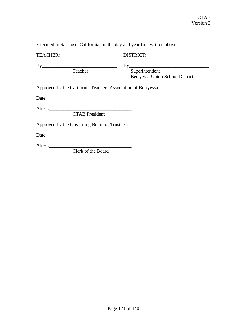Executed in San Jose, California, on the day and year first written above:

# DISTRICT:

By\_\_\_\_\_\_\_\_\_\_\_\_\_\_\_\_\_\_\_\_\_\_\_\_\_\_\_\_\_\_\_ By\_\_\_\_\_\_\_\_\_\_\_\_\_\_\_\_\_\_\_\_\_\_\_\_\_\_\_\_\_\_\_\_\_ Superintendent Berryessa Union School District

Approved by the California Teachers Association of Berryessa:

Date:\_\_\_\_\_\_\_\_\_\_\_\_\_\_\_\_\_\_\_\_\_\_\_\_\_\_\_\_\_\_\_\_\_\_\_

Attest:\_\_\_\_\_\_\_\_\_\_\_\_\_\_\_\_\_\_\_\_\_\_\_\_\_\_\_\_\_\_\_\_\_\_

CTAB President

Approved by the Governing Board of Trustees:

Date:\_\_\_\_\_\_\_\_\_\_\_\_\_\_\_\_\_\_\_\_\_\_\_\_\_\_\_\_\_\_\_\_\_\_\_

Attest:\_\_\_\_\_\_\_\_\_\_\_\_\_\_\_\_\_\_\_\_\_\_\_\_\_\_\_\_\_\_\_\_\_\_

Clerk of the Board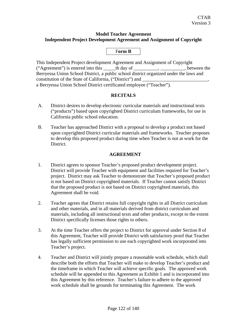# **Model Teacher Agreement Independent Project Development Agreement and Assignment of Copyright**

# F**orm B**

This Independent Project development Agreement and Assignment of Copyright ("Agreement") is entered into this \_\_\_\_\_th day of \_\_\_\_\_\_\_\_\_\_, \_\_\_\_\_\_\_\_\_\_, between the Berryessa Union School District, a public school district organized under the laws and constitution of the State of California, ("District") and a Berryessa Union School District certificated employee ("Teacher").

# **RECITALS**

- A. District desires to develop electronic curricular materials and instructional texts ("products") based upon copyrighted District curriculum frameworks, for use in California public school education.
- B. Teacher has approached District with a proposal to develop a product not based upon copyrighted District curricular materials and frameworks. Teacher proposes to develop this proposed product during time when Teacher is not at work for the District.

# **AGREEMENT**

- 1. District agrees to sponsor Teacher's proposed product development project. District will provide Teacher with equipment and facilities required for Teacher's project. District may ask Teacher to demonstrate that Teacher's proposed product is not based on District copyrighted materials. If Teacher cannot satisfy District that the proposed product is not based on District copyrighted materials, this Agreement shall be void.
- 2. Teacher agrees that District retains full copyright rights in all District curriculum and other materials, and in all materials derived from district curriculum and materials, including all instructional texts and other products, except to the extent District specifically licenses those rights to others.
- 3. At the time Teacher offers the project to District for approval under Section 8 of this Agreement, Teacher will provide District with satisfactory proof that Teacher has legally sufficient permission to use each copyrighted work incorporated into Teacher's project.
- 4. Teacher and District will jointly prepare a reasonable work schedule, which shall describe both the efforts that Teacher will make to develop Teacher's product and the timeframe in which Teacher will achieve specific goals. The approved work schedule will be appended to this Agreement as Exhibit 1 and is incorporated into this Agreement by this reference. Teacher's failure to adhere to the approved work schedule shall be grounds for terminating this Agreement. The work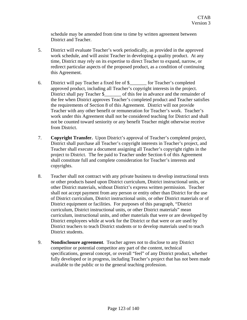schedule may be amended from time to time by written agreement between District and Teacher.

- 5. District will evaluate Teacher's work periodically, as provided in the approved work schedule, and will assist Teacher in developing a quality product. At any time, District may rely on its expertise to direct Teacher to expand, narrow, or redirect particular aspects of the proposed product, as a condition of continuing this Agreement.
- 6. District will pay Teacher a fixed fee of \$\_\_\_\_\_\_\_ for Teacher's completed approved product, including all Teacher's copyright interests in the project. District shall pay Teacher \$\_\_\_\_\_\_\_ of this fee in advance and the remainder of the fee when District approves Teacher's completed product and Teacher satisfies the requirements of Section 8 of this Agreement. District will not provide Teacher with any other benefit or remuneration for Teacher's work. Teacher's work under this Agreement shall not be considered teaching for District and shall not be counted toward seniority or any benefit Teacher might otherwise receive from District.
- 7. **Copyright Transfer.** Upon District's approval of Teacher's completed project, District shall purchase all Teacher's copyright interests in Teacher's project, and Teacher shall execute a document assigning all Teacher's copyright rights in the project to District. The fee paid to Teacher under Section 6 of this Agreement shall constitute full and complete consideration for Teacher's interests and copyrights.
- 8. Teacher shall not contract with any private business to develop instructional texts or other products based upon District curriculum, District instructional units, or other District materials, without District's express written permission. Teacher shall not accept payment from any person or entity other than District for the use of District curriculum, District instructional units, or other District materials or of District equipment or facilities. For purposes of this paragraph, "District curriculum, District instructional units, or other District materials" mean curriculum, instructional units, and other materials that were or are developed by District employees while at work for the District or that were or are used by District teachers to teach District students or to develop materials used to teach District students.
- 9. **Nondisclosure agreement**. Teacher agrees not to disclose to any District competitor or potential competitor any part of the content, technical specifications, general concept, or overall "feel" of any District product, whether fully developed or in progress, including Teacher's project that has not been made available to the public or to the general teaching profession.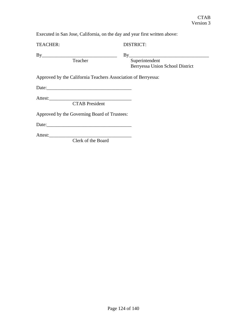Executed in San Jose, California, on the day and year first written above:

TEACHER: DISTRICT:

By\_\_\_\_\_\_\_\_\_\_\_\_\_\_\_\_\_\_\_\_\_\_\_\_\_\_\_\_\_\_\_ By\_\_\_\_\_\_\_\_\_\_\_\_\_\_\_\_\_\_\_\_\_\_\_\_\_\_\_\_\_\_\_\_\_ Superintendent Berryessa Union School District

Approved by the California Teachers Association of Berryessa:

Date:\_\_\_\_\_\_\_\_\_\_\_\_\_\_\_\_\_\_\_\_\_\_\_\_\_\_\_\_\_\_\_\_\_\_\_

Attest:\_\_\_\_\_\_\_\_\_\_\_\_\_\_\_\_\_\_\_\_\_\_\_\_\_\_\_\_\_\_\_\_\_\_

CTAB President

Approved by the Governing Board of Trustees:

Date:\_\_\_\_\_\_\_\_\_\_\_\_\_\_\_\_\_\_\_\_\_\_\_\_\_\_\_\_\_\_\_\_\_\_\_

Attest:\_\_\_\_\_\_\_\_\_\_\_\_\_\_\_\_\_\_\_\_\_\_\_\_\_\_\_\_\_\_\_\_\_\_

Clerk of the Board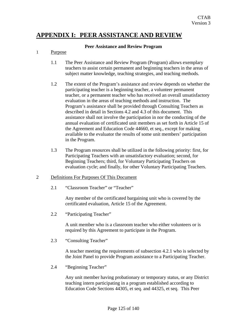# **APPENDIX I: PEER ASSISTANCE AND REVIEW**

## **Peer Assistance and Review Program**

## 1 Purpose

- 1.1 The Peer Assistance and Review Program (Program) allows exemplary teachers to assist certain permanent and beginning teachers in the areas of subject matter knowledge, teaching strategies, and teaching methods.
- 1.2 The extent of the Program's assistance and review depends on whether the participating teacher is a beginning teacher, a volunteer permanent teacher, or a permanent teacher who has received an overall unsatisfactory evaluation in the areas of teaching methods and instruction. The Program's assistance shall be provided through Consulting Teachers as described in detail in Sections 4.2 and 4.3 of this document. This assistance shall not involve the participation in nor the conducting of the annual evaluation of certificated unit members as set forth in Article 15 of the Agreement and Education Code 44660, et seq., except for making available to the evaluator the results of some unit members' participation in the Program.
- 1.3 The Program resources shall be utilized in the following priority: first, for Participating Teachers with an unsatisfactory evaluation; second, for Beginning Teachers; third, for Voluntary Participating Teachers on evaluation cycle; and finally, for other Voluntary Participating Teachers.

## 2 Definitions For Purposes Of This Document

2.1 "Classroom Teacher" or "Teacher"

Any member of the certificated bargaining unit who is covered by the certificated evaluation, Article 15 of the Agreement.

2.2 "Participating Teacher"

A unit member who is a classroom teacher who either volunteers or is required by this Agreement to participate in the Program.

2.3 "Consulting Teacher"

A teacher meeting the requirements of subsection 4.2.1 who is selected by the Joint Panel to provide Program assistance to a Participating Teacher.

2.4 "Beginning Teacher"

Any unit member having probationary or temporary status, or any District teaching intern participating in a program established according to Education Code Sections 44305, et seq. and 44325, et seq. This Peer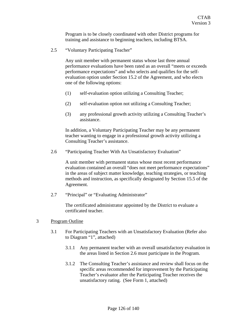Program is to be closely coordinated with other District programs for training and assistance to beginning teachers, including BTSA.

2.5 "Voluntary Participating Teacher"

Any unit member with permanent status whose last three annual performance evaluations have been rated as an overall "meets or exceeds performance expectations" and who selects and qualifies for the selfevaluation option under Section 15.2 of the Agreement, and who elects one of the following options:

- (1) self-evaluation option utilizing a Consulting Teacher;
- (2) self-evaluation option not utilizing a Consulting Teacher;
- (3) any professional growth activity utilizing a Consulting Teacher's assistance.

In addition, a Voluntary Participating Teacher may be any permanent teacher wanting to engage in a professional growth activity utilizing a Consulting Teacher's assistance.

2.6 "Participating Teacher With An Unsatisfactory Evaluation"

A unit member with permanent status whose most recent performance evaluation contained an overall "does not meet performance expectations" in the areas of subject matter knowledge, teaching strategies, or teaching methods and instruction, as specifically designated by Section 15.5 of the Agreement.

2.7 "Principal" or "Evaluating Administrator"

The certificated administrator appointed by the District to evaluate a certificated teacher.

- 3 Program Outline
	- 3.1 For Participating Teachers with an Unsatisfactory Evaluation (Refer also to Diagram "1", attached)
		- 3.1.1 Any permanent teacher with an overall unsatisfactory evaluation in the areas listed in Section 2.6 must participate in the Program.
		- 3.1.2 The Consulting Teacher's assistance and review shall focus on the specific areas recommended for improvement by the Participating Teacher's evaluator after the Participating Teacher receives the unsatisfactory rating. (See Form 1, attached)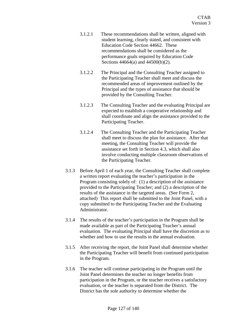- 3.1.2.1 These recommendations shall be written, aligned with student learning, clearly stated, and consistent with Education Code Section 44662. These recommendations shall be considered as the performance goals required by Education Code Sections 44664(a) and 44500(b)(2).
- 3.1.2.2 The Principal and the Consulting Teacher assigned to the Participating Teacher shall meet and discuss the recommended areas of improvement outlined by the Principal and the types of assistance that should be provided by the Consulting Teacher.
- 3.1.2.3 The Consulting Teacher and the evaluating Principal are expected to establish a cooperative relationship and shall coordinate and align the assistance provided to the Participating Teacher.
- 3.1.2.4 The Consulting Teacher and the Participating Teacher shall meet to discuss the plan for assistance. After that meeting, the Consulting Teacher will provide the assistance set forth in Section 4.3, which shall also involve conducting multiple classroom observations of the Participating Teacher.
- 3.1.3 Before April 1 of each year, the Consulting Teacher shall complete a written report evaluating the teacher's participation in the Program consisting solely of: (1) a description of the assistance provided to the Participating Teacher; and (2) a description of the results of the assistance in the targeted areas. (See Form 2, attached) This report shall be submitted to the Joint Panel, with a copy submitted to the Participating Teacher and the Evaluating Administrator.
- 3.1.4 The results of the teacher's participation in the Program shall be made available as part of the Participating Teacher's annual evaluation. The evaluating Principal shall have the discretion as to whether and how to use the results in the annual evaluation.
- 3.1.5 After receiving the report, the Joint Panel shall determine whether the Participating Teacher will benefit from continued participation in the Program.
- 3.1.6 The teacher will continue participating in the Program until the Joint Panel determines the teacher no longer benefits from participation in the Program, or the teacher receives a satisfactory evaluation, or the teacher is separated from the District. The District has the sole authority to determine whether the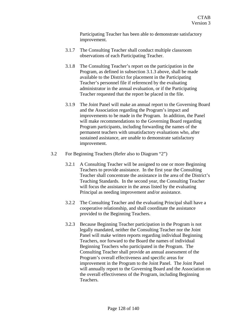Participating Teacher has been able to demonstrate satisfactory improvement.

- 3.1.7 The Consulting Teacher shall conduct multiple classroom observations of each Participating Teacher.
- 3.1.8 The Consulting Teacher's report on the participation in the Program, as defined in subsection 3.1.3 above, shall be made available to the District for placement in the Participating Teacher's personnel file if referenced by the evaluating administrator in the annual evaluation, or if the Participating Teacher requested that the report be placed in the file.
- 3.1.9 The Joint Panel will make an annual report to the Governing Board and the Association regarding the Program's impact and improvements to be made in the Program. In addition, the Panel will make recommendations to the Governing Board regarding Program participants, including forwarding the names of the permanent teachers with unsatisfactory evaluations who, after sustained assistance, are unable to demonstrate satisfactory improvement.
- 3.2 For Beginning Teachers (Refer also to Diagram "2")
	- 3.2.1 A Consulting Teacher will be assigned to one or more Beginning Teachers to provide assistance. In the first year the Consulting Teacher shall concentrate the assistance in the area of the District's Teaching Standards. In the second year, the Consulting Teacher will focus the assistance in the areas listed by the evaluating Principal as needing improvement and/or assistance.
	- 3.2.2 The Consulting Teacher and the evaluating Principal shall have a cooperative relationship, and shall coordinate the assistance provided to the Beginning Teachers.
	- 3.2.3 Because Beginning Teacher participation in the Program is not legally mandated, neither the Consulting Teacher nor the Joint Panel will make written reports regarding individual Beginning Teachers, nor forward to the Board the names of individual Beginning Teachers who participated in the Program. The Consulting Teacher shall provide an annual assessment of the Program's overall effectiveness and specific areas for improvement in the Program to the Joint Panel. The Joint Panel will annually report to the Governing Board and the Association on the overall effectiveness of the Program, including Beginning Teachers.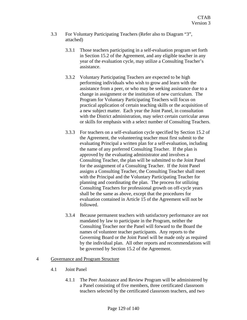- 3.3 For Voluntary Participating Teachers (Refer also to Diagram "3", attached)
	- 3.3.1 Those teachers participating in a self-evaluation program set forth in Section 15.2 of the Agreement, and any eligible teacher in any year of the evaluation cycle, may utilize a Consulting Teacher's assistance.
	- 3.3.2 Voluntary Participating Teachers are expected to be high performing individuals who wish to grow and learn with the assistance from a peer, or who may be seeking assistance due to a change in assignment or the institution of new curriculum. The Program for Voluntary Participating Teachers will focus on practical application of certain teaching skills or the acquisition of a new subject matter. Each year the Joint Panel, in consultation with the District administration, may select certain curricular areas or skills for emphasis with a select number of Consulting Teachers.
	- 3.3.3 For teachers on a self-evaluation cycle specified by Section 15.2 of the Agreement, the volunteering teacher must first submit to the evaluating Principal a written plan for a self-evaluation, including the name of any preferred Consulting Teacher. If the plan is approved by the evaluating administrator and involves a Consulting Teacher, the plan will be submitted to the Joint Panel for the assignment of a Consulting Teacher. If the Joint Panel assigns a Consulting Teacher, the Consulting Teacher shall meet with the Principal and the Voluntary Participating Teacher for planning and coordinating the plan. The process for utilizing Consulting Teachers for professional growth on off-cycle years shall be the same as above, except that the procedures for evaluation contained in Article 15 of the Agreement will not be followed.
	- 3.3.4 Because permanent teachers with satisfactory performance are not mandated by law to participate in the Program, neither the Consulting Teacher nor the Panel will forward to the Board the names of volunteer teacher participants. Any reports to the Governing Board or the Joint Panel will be made only as required by the individual plan. All other reports and recommendations will be governed by Section 15.2 of the Agreement.

# 4 Governance and Program Structure

- 4.1 Joint Panel
	- 4.1.1 The Peer Assistance and Review Program will be administered by a Panel consisting of five members, three certificated classroom teachers selected by the certificated classroom teachers, and two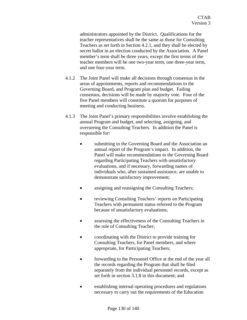administrators appointed by the District. Qualifications for the teacher representatives shall be the same as those for Consulting Teachers as set forth in Section 4.2.1, and they shall be elected by secret ballot in an election conducted by the Association. A Panel member's term shall be three years, except the first terms of the teacher members will be one two-year term, one three-year term, and one four-year term.

- 4.1.2 The Joint Panel will make all decisions through consensus in the areas of appointments, reports and recommendations to the Governing Board, and Program plan and budget. Failing consensus, decisions will be made by majority vote. Four of the five Panel members will constitute a quorum for purposes of meeting and conducting business.
- 4.1.3 The Joint Panel's primary responsibilities involve establishing the annual Program and budget, and selecting, assigning, and overseeing the Consulting Teachers. In addition the Panel is responsible for:
	- submitting to the Governing Board and the Association an annual report of the Program's impact. In addition, the Panel will make recommendations to the Governing Board regarding Participating Teachers with unsatisfactory evaluations, and if necessary, forwarding names of individuals who, after sustained assistance, are unable to demonstrate satisfactory improvement;
	- assigning and reassigning the Consulting Teachers;
	- reviewing Consulting Teachers' reports on Participating Teachers with permanent status referred to the Program because of unsatisfactory evaluations;
	- assessing the effectiveness of the Consulting Teachers in the role of Consulting Teacher;
	- coordinating with the District to provide training for Consulting Teachers, for Panel members, and where appropriate, for Participating Teachers;
	- forwarding to the Personnel Office at the end of the year all the records regarding the Program that shall be filed separately from the individual personnel records, except as set forth in section 3.1.8 in this document; and
	- establishing internal operating procedures and regulations necessary to carry out the requirements of the Education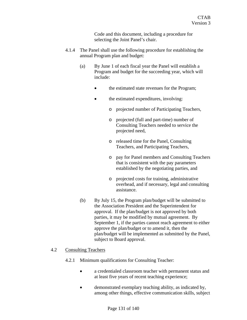Code and this document, including a procedure for selecting the Joint Panel's chair.

- 4.1.4 The Panel shall use the following procedure for establishing the annual Program plan and budget:
	- (a) By June 1 of each fiscal year the Panel will establish a Program and budget for the succeeding year, which will include:
		- the estimated state revenues for the Program;
		- the estimated expenditures, involving:
			- o projected number of Participating Teachers,
			- o projected (full and part-time) number of Consulting Teachers needed to service the projected need,
			- o released time for the Panel, Consulting Teachers, and Participating Teachers,
			- o pay for Panel members and Consulting Teachers that is consistent with the pay parameters established by the negotiating parties, and
			- o projected costs for training, administrative overhead, and if necessary, legal and consulting assistance.
	- (b) By July 15, the Program plan/budget will be submitted to the Association President and the Superintendent for approval. If the plan/budget is not approved by both parties, it may be modified by mutual agreement. By September 1, if the parties cannot reach agreement to either approve the plan/budget or to amend it, then the plan/budget will be implemented as submitted by the Panel, subject to Board approval.

## 4.2 Consulting Teachers

- 4.2.1 Minimum qualifications for Consulting Teacher:
	- a credentialed classroom teacher with permanent status and at least five years of recent teaching experience;
	- demonstrated exemplary teaching ability, as indicated by, among other things, effective communication skills, subject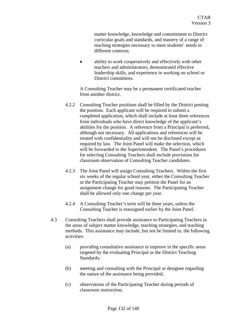matter knowledge, knowledge and commitment to District curricular goals and standards, and mastery of a range of teaching strategies necessary to meet students' needs in different contexts;

ability to work cooperatively and effectively with other teachers and administrators, demonstrated effective leadership skills, and experience in working on school or District committees.

A Consulting Teacher may be a permanent certificated teacher from another district.

- 4.2.2 Consulting Teacher positions shall be filled by the District posting the position. Each applicant will be required to submit a completed application, which shall include at least three references from individuals who have direct knowledge of the applicant's abilities for the position. A reference from a Principal is preferred, although not necessary. All applications and references will be treated with confidentiality and will not be disclosed except as required by law. The Joint Panel will make the selection, which will be forwarded to the Superintendent. The Panel's procedures for selecting Consulting Teachers shall include provisions for classroom observation of Consulting Teacher candidates.
- 4.2.3 The Joint Panel will assign Consulting Teachers. Within the first six weeks of the regular school year, either the Consulting Teacher or the Participating Teacher may petition the Panel for an assignment change for good reasons. The Participating Teacher shall be allowed only one change per year.
- 4.2.4 A Consulting Teacher's term will be three years, unless the Consulting Teacher is reassigned earlier by the Joint Panel.
- 4.3 Consulting Teachers shall provide assistance to Participating Teachers in the areas of subject matter knowledge, teaching strategies, and teaching methods. This assistance may include, but not be limited to, the following activities:
	- (a) providing consultative assistance to improve in the specific areas targeted by the evaluating Principal or the District Teaching Standards;
	- (b) meeting and consulting with the Principal or designee regarding the nature of the assistance being provided;
	- (c) observations of the Participating Teacher during periods of classroom instruction;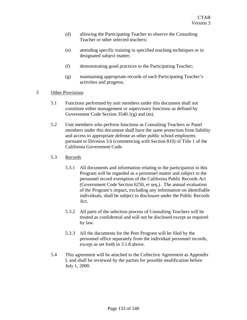- (d) allowing the Participating Teacher to observe the Consulting Teacher or other selected teachers;
- (e) attending specific training in specified teaching techniques or in designated subject matter;
- (f) demonstrating good practices to the Participating Teacher;
- (g) maintaining appropriate records of each Participating Teacher's activities and progress.

## 5 Other Provisions

- 5.1 Functions performed by unit members under this document shall not constitute either management or supervisory functions as defined by Government Code Section 3540.1(g) and (m).
- 5.2 Unit members who perform functions as Consulting Teachers or Panel members under this document shall have the same protection from liability and access to appropriate defense as other public school employees pursuant to Division 3.6 (commencing with Section 810) of Title 1 of the California Government Code.
- 5.3 Records
	- 5.3.1 All documents and information relating to the participation in this Program will be regarded as a personnel matter and subject to the personnel record exemption of the California Public Records Act (Government Code Section 6250, et seq.). The annual evaluation of the Program's impact, excluding any information on identifiable individuals, shall be subject to disclosure under the Public Records Act.
	- 5.3.2 All parts of the selection process of Consulting Teachers will be treated as confidential and will not be disclosed except as required by law.
	- 5.3.3 All the documents for the Peer Program will be filed by the personnel office separately from the individual personnel records, except as set forth in 3.1.8 above.
- 5.4 This agreement will be attached to the Collective Agreement as Appendix I, and shall be reviewed by the parties for possible modification before July 1, 2000.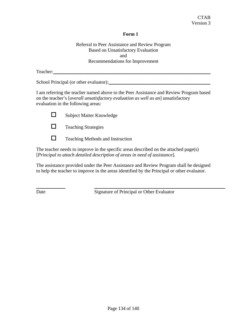# **Form 1**

Referral to Peer Assistance and Review Program Based on Unsatisfactory Evaluation and Recommendations for Improvement

Teacher:

School Principal (or other evaluator):

I am referring the teacher named above to the Peer Assistance and Review Program based on the teacher's [*overall unsatisfactory evaluation as well as an*] unsatisfactory evaluation in the following areas:





 $\Box$  Teaching Methods and Instruction

The teacher needs to improve in the specific areas described on the attached page(s) [*Principal to attach detailed description of areas in need of assistance*].

The assistance provided under the Peer Assistance and Review Program shall be designed to help the teacher to improve in the areas identified by the Principal or other evaluator.

Date Signature of Principal or Other Evaluator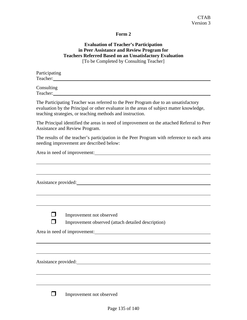## **Form 2**

## **Evaluation of Teacher's Participation in Peer Assistance and Review Program for Teachers Referred Based on an Unsatisfactory Evaluation**  [To be Completed by Consulting Teacher]

| Participating |  |  |
|---------------|--|--|
| Teacher:      |  |  |
| $C = -11$     |  |  |

Consulting Teacher:

The Participating Teacher was referred to the Peer Program due to an unsatisfactory evaluation by the Principal or other evaluator in the areas of subject matter knowledge, teaching strategies, or teaching methods and instruction.

The Principal identified the areas in need of improvement on the attached Referral to Peer Assistance and Review Program.

The results of the teacher's participation in the Peer Program with reference to each area needing improvement are described below:

Area in need of improvement:

| Assistance provided: |  |
|----------------------|--|

**I** Improvement not observed

Improvement observed (attach detailed description)

Area in need of improvement:

Assistance provided:

**Improvement not observed**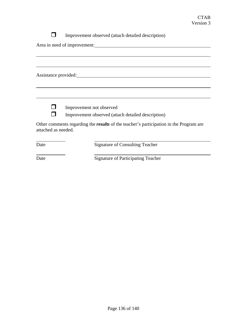Improvement observed (attach detailed description)

Area in need of improvement:

Assistance provided:



**Improvement not observed** 

Improvement observed (attach detailed description)

Other comments regarding the *results* of the teacher's participation in the Program are attached as needed.

Date Signature of Consulting Teacher

Date Signature of Participating Teacher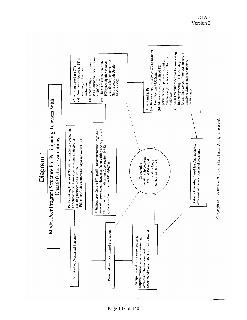

Copyright © 1999 by Kay & Stevens Law Firm. All rights reserved.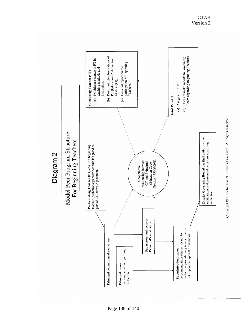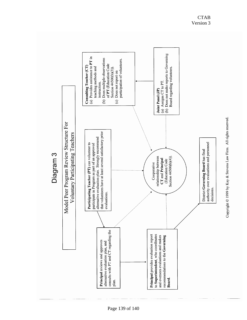

Page 139 of 140